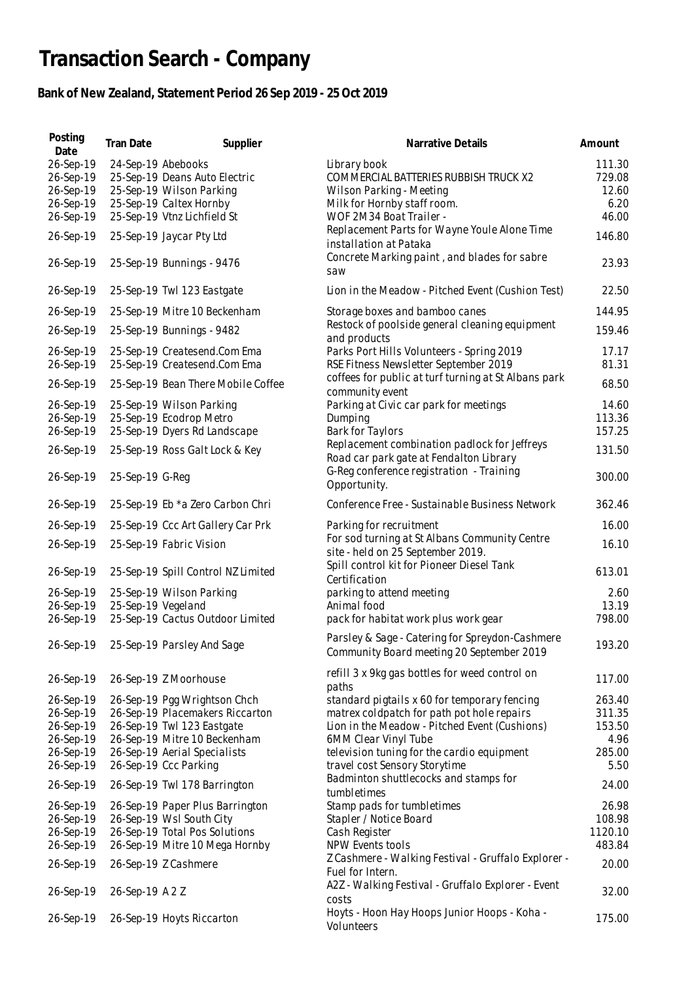## **Transaction Search - Company**

## **Bank of New Zealand, Statement Period 26 Sep 2019 - 25 Oct 2019**

| Posting<br>Date                                               | Tran Date          | Supplier                                                                                                            | Narrative Details                                                                                                                           | Amount                                     |
|---------------------------------------------------------------|--------------------|---------------------------------------------------------------------------------------------------------------------|---------------------------------------------------------------------------------------------------------------------------------------------|--------------------------------------------|
| 26-Sep-19<br>26-Sep-19<br>26-Sep-19<br>26-Sep-19<br>26-Sep-19 | 24-Sep-19 Abebooks | 25-Sep-19 Deans Auto Electric<br>25-Sep-19 Wilson Parking<br>25-Sep-19 Caltex Hornby<br>25-Sep-19 Vtnz Lichfield St | Library book<br>COMMERCIAL BATTERIES RUBBISH TRUCK X2<br>Wilson Parking - Meeting<br>Milk for Hornby staff room.<br>WOF 2M34 Boat Trailer - | 111.30<br>729.08<br>12.60<br>6.20<br>46.00 |
| 26-Sep-19                                                     |                    | 25-Sep-19 Jaycar Pty Ltd                                                                                            | Replacement Parts for Wayne Youle Alone Time<br>installation at Pataka                                                                      | 146.80                                     |
| 26-Sep-19                                                     |                    | 25-Sep-19 Bunnings - 9476                                                                                           | Concrete Marking paint, and blades for sabre<br>saw                                                                                         | 23.93                                      |
| 26-Sep-19                                                     |                    | 25-Sep-19 Twl 123 Eastgate                                                                                          | Lion in the Meadow - Pitched Event (Cushion Test)                                                                                           | 22.50                                      |
| 26-Sep-19                                                     |                    | 25-Sep-19 Mitre 10 Beckenham                                                                                        | Storage boxes and bamboo canes                                                                                                              | 144.95                                     |
| 26-Sep-19                                                     |                    | 25-Sep-19 Bunnings - 9482                                                                                           | Restock of poolside general cleaning equipment<br>and products                                                                              | 159.46                                     |
| 26-Sep-19<br>26-Sep-19                                        |                    | 25-Sep-19 Createsend.Com Ema<br>25-Sep-19 Createsend.Com Ema                                                        | Parks Port Hills Volunteers - Spring 2019<br>RSE Fitness Newsletter September 2019                                                          | 17.17<br>81.31                             |
| 26-Sep-19                                                     |                    | 25-Sep-19 Bean There Mobile Coffee                                                                                  | coffees for public at turf turning at St Albans park<br>community event                                                                     | 68.50                                      |
| 26-Sep-19<br>26-Sep-19<br>26-Sep-19                           |                    | 25-Sep-19 Wilson Parking<br>25-Sep-19 Ecodrop Metro<br>25-Sep-19 Dyers Rd Landscape                                 | Parking at Civic car park for meetings<br>Dumping<br><b>Bark for Taylors</b>                                                                | 14.60<br>113.36<br>157.25                  |
| 26-Sep-19                                                     |                    | 25-Sep-19 Ross Galt Lock & Key                                                                                      | Replacement combination padlock for Jeffreys<br>Road car park gate at Fendalton Library                                                     | 131.50                                     |
| 26-Sep-19                                                     | 25-Sep-19 G-Reg    |                                                                                                                     | G-Reg conference registration - Training<br>Opportunity.                                                                                    | 300.00                                     |
| 26-Sep-19                                                     |                    | 25-Sep-19 Eb *a Zero Carbon Chri                                                                                    | Conference Free - Sustainable Business Network                                                                                              | 362.46                                     |
| 26-Sep-19                                                     |                    | 25-Sep-19 Ccc Art Gallery Car Prk                                                                                   | Parking for recruitment                                                                                                                     | 16.00                                      |
| 26-Sep-19                                                     |                    | 25-Sep-19 Fabric Vision                                                                                             | For sod turning at St Albans Community Centre<br>site - held on 25 September 2019.                                                          | 16.10                                      |
| 26-Sep-19                                                     |                    | 25-Sep-19 Spill Control NZ Limited                                                                                  | Spill control kit for Pioneer Diesel Tank<br>Certification                                                                                  | 613.01                                     |
| 26-Sep-19                                                     |                    | 25-Sep-19 Wilson Parking                                                                                            | parking to attend meeting                                                                                                                   | 2.60                                       |
| 26-Sep-19<br>26-Sep-19                                        | 25-Sep-19 Vegeland | 25-Sep-19 Cactus Outdoor Limited                                                                                    | Animal food<br>pack for habitat work plus work gear                                                                                         | 13.19<br>798.00                            |
| 26-Sep-19                                                     |                    | 25-Sep-19 Parsley And Sage                                                                                          | Parsley & Sage - Catering for Spreydon-Cashmere<br>Community Board meeting 20 September 2019                                                | 193.20                                     |
| 26-Sep-19                                                     |                    | 26-Sep-19 Z Moorhouse                                                                                               | refill 3 x 9kg gas bottles for weed control on<br>paths                                                                                     | 117.00                                     |
| 26-Sep-19                                                     |                    | 26-Sep-19 Pgg Wrightson Chch                                                                                        | standard pigtails x 60 for temporary fencing                                                                                                | 263.40                                     |
| 26-Sep-19<br>26-Sep-19                                        |                    | 26-Sep-19 Placemakers Riccarton<br>26-Sep-19 Twl 123 Eastgate                                                       | matrex coldpatch for path pot hole repairs<br>Lion in the Meadow - Pitched Event (Cushions)                                                 | 311.35<br>153.50                           |
| 26-Sep-19                                                     |                    | 26-Sep-19 Mitre 10 Beckenham                                                                                        | 6MM Clear Vinyl Tube                                                                                                                        | 4.96                                       |
| 26-Sep-19                                                     |                    | 26-Sep-19 Aerial Specialists                                                                                        | television tuning for the cardio equipment                                                                                                  | 285.00                                     |
| 26-Sep-19<br>26-Sep-19                                        |                    | 26-Sep-19 Ccc Parking<br>26-Sep-19 Twl 178 Barrington                                                               | travel cost Sensory Storytime<br>Badminton shuttlecocks and stamps for                                                                      | 5.50<br>24.00                              |
| 26-Sep-19                                                     |                    | 26-Sep-19 Paper Plus Barrington                                                                                     | tumbletimes<br>Stamp pads for tumbletimes                                                                                                   | 26.98                                      |
| 26-Sep-19                                                     |                    | 26-Sep-19 Wsl South City                                                                                            | Stapler / Notice Board                                                                                                                      | 108.98                                     |
| 26-Sep-19                                                     |                    | 26-Sep-19 Total Pos Solutions                                                                                       | Cash Register                                                                                                                               | 1120.10                                    |
| 26-Sep-19                                                     |                    | 26-Sep-19 Mitre 10 Mega Hornby                                                                                      | NPW Events tools<br>Z Cashmere - Walking Festival - Gruffalo Explorer -                                                                     | 483.84                                     |
| 26-Sep-19                                                     |                    | 26-Sep-19 Z Cashmere                                                                                                | Fuel for Intern.<br>A2Z - Walking Festival - Gruffalo Explorer - Event                                                                      | 20.00                                      |
| 26-Sep-19                                                     | 26-Sep-19 A 2 Z    |                                                                                                                     | costs                                                                                                                                       | 32.00                                      |
| 26-Sep-19                                                     |                    | 26-Sep-19 Hoyts Riccarton                                                                                           | Hoyts - Hoon Hay Hoops Junior Hoops - Koha -<br>Volunteers                                                                                  | 175.00                                     |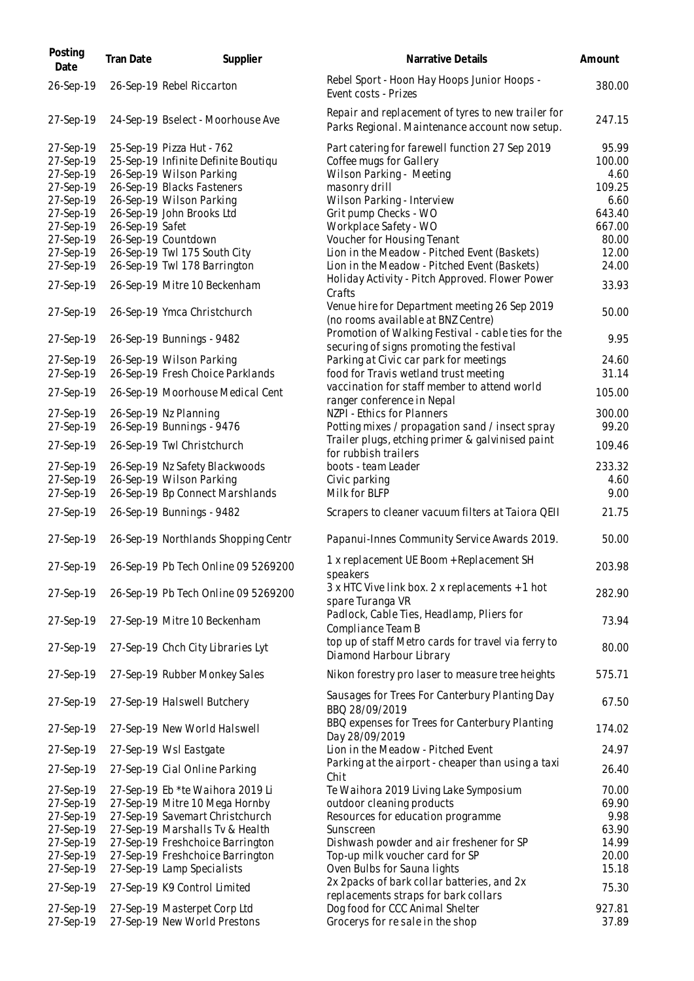| Posting<br>Date        | Tran Date       | Supplier                                           | Narrative Details                                                                                    | Amount          |
|------------------------|-----------------|----------------------------------------------------|------------------------------------------------------------------------------------------------------|-----------------|
| 26-Sep-19              |                 | 26-Sep-19 Rebel Riccarton                          | Rebel Sport - Hoon Hay Hoops Junior Hoops -<br>Event costs - Prizes                                  | 380.00          |
| 27-Sep-19              |                 | 24-Sep-19 Bselect - Moorhouse Ave                  | Repair and replacement of tyres to new trailer for<br>Parks Regional. Maintenance account now setup. | 247.15          |
| 27-Sep-19              |                 | 25-Sep-19 Pizza Hut - 762                          | Part catering for farewell function 27 Sep 2019                                                      | 95.99           |
| 27-Sep-19              |                 | 25-Sep-19 Infinite Definite Boutiqu                | Coffee mugs for Gallery                                                                              | 100.00          |
| 27-Sep-19              |                 | 26-Sep-19 Wilson Parking                           | Wilson Parking - Meeting                                                                             | 4.60            |
| 27-Sep-19              |                 | 26-Sep-19 Blacks Fasteners                         | masonry drill                                                                                        | 109.25          |
| 27-Sep-19              |                 | 26-Sep-19 Wilson Parking                           | Wilson Parking - Interview                                                                           | 6.60            |
| 27-Sep-19              |                 | 26-Sep-19 John Brooks Ltd                          | Grit pump Checks - WO                                                                                | 643.40          |
| 27-Sep-19              | 26-Sep-19 Safet |                                                    | Workplace Safety - WO                                                                                | 667.00          |
| 27-Sep-19              |                 | 26-Sep-19 Countdown                                | Voucher for Housing Tenant                                                                           | 80.00           |
| 27-Sep-19              |                 | 26-Sep-19 Twl 175 South City                       | Lion in the Meadow - Pitched Event (Baskets)                                                         | 12.00           |
| 27-Sep-19              |                 | 26-Sep-19 Twl 178 Barrington                       | Lion in the Meadow - Pitched Event (Baskets)                                                         | 24.00           |
| 27-Sep-19              |                 | 26-Sep-19 Mitre 10 Beckenham                       | Holiday Activity - Pitch Approved. Flower Power<br>Crafts                                            | 33.93           |
| 27-Sep-19              |                 | 26-Sep-19 Ymca Christchurch                        | Venue hire for Department meeting 26 Sep 2019<br>(no rooms available at BNZ Centre)                  | 50.00           |
| 27-Sep-19              |                 | 26-Sep-19 Bunnings - 9482                          | Promotion of Walking Festival - cable ties for the<br>securing of signs promoting the festival       | 9.95            |
| 27-Sep-19              |                 | 26-Sep-19 Wilson Parking                           | Parking at Civic car park for meetings                                                               | 24.60           |
| 27-Sep-19              |                 | 26-Sep-19 Fresh Choice Parklands                   | food for Travis wetland trust meeting                                                                | 31.14           |
| 27-Sep-19              |                 | 26-Sep-19 Moorhouse Medical Cent                   | vaccination for staff member to attend world<br>ranger conference in Nepal                           | 105.00          |
| 27-Sep-19<br>27-Sep-19 |                 | 26-Sep-19 Nz Planning<br>26-Sep-19 Bunnings - 9476 | NZPI - Ethics for Planners<br>Potting mixes / propagation sand / insect spray                        | 300.00<br>99.20 |
| 27-Sep-19              |                 | 26-Sep-19 Twl Christchurch                         | Trailer plugs, etching primer & galvinised paint<br>for rubbish trailers                             | 109.46          |
| 27-Sep-19              |                 | 26-Sep-19 Nz Safety Blackwoods                     | boots - team Leader                                                                                  | 233.32          |
| 27-Sep-19              |                 | 26-Sep-19 Wilson Parking                           | Civic parking                                                                                        | 4.60            |
| 27-Sep-19              |                 | 26-Sep-19 Bp Connect Marshlands                    | Milk for BLFP                                                                                        | 9.00            |
| 27-Sep-19              |                 | 26-Sep-19 Bunnings - 9482                          | Scrapers to cleaner vacuum filters at Taiora QEII                                                    | 21.75           |
| 27-Sep-19              |                 | 26-Sep-19 Northlands Shopping Centr                | Papanui-Innes Community Service Awards 2019.                                                         | 50.00           |
|                        |                 | 27-Sep-19 26-Sep-19 Pb Tech Online 09 5269200      | 1 x replacement UE Boom + Replacement SH<br>speakers                                                 | 203.98          |
| 27-Sep-19              |                 | 26-Sep-19 Pb Tech Online 09 5269200                | 3 x HTC Vive link box. 2 x replacements + 1 hot<br>spare Turanga VR                                  | 282.90          |
| 27-Sep-19              |                 | 27-Sep-19 Mitre 10 Beckenham                       | Padlock, Cable Ties, Headlamp, Pliers for<br>Compliance Team B                                       | 73.94           |
| 27-Sep-19              |                 | 27-Sep-19 Chch City Libraries Lyt                  | top up of staff Metro cards for travel via ferry to<br>Diamond Harbour Library                       | 80.00           |
| 27-Sep-19              |                 | 27-Sep-19 Rubber Monkey Sales                      | Nikon forestry pro laser to measure tree heights                                                     | 575.71          |
| 27-Sep-19              |                 | 27-Sep-19 Halswell Butchery                        | Sausages for Trees For Canterbury Planting Day<br>BBQ 28/09/2019                                     | 67.50           |
| 27-Sep-19              |                 | 27-Sep-19 New World Halswell                       | BBQ expenses for Trees for Canterbury Planting<br>Day 28/09/2019                                     | 174.02          |
| 27-Sep-19              |                 | 27-Sep-19 Wsl Eastgate                             | Lion in the Meadow - Pitched Event                                                                   | 24.97           |
| 27-Sep-19              |                 | 27-Sep-19 Cial Online Parking                      | Parking at the airport - cheaper than using a taxi<br>Chit                                           | 26.40           |
| 27-Sep-19              |                 | 27-Sep-19 Eb *te Waihora 2019 Li                   | Te Waihora 2019 Living Lake Symposium                                                                | 70.00           |
| 27-Sep-19              |                 | 27-Sep-19 Mitre 10 Mega Hornby                     | outdoor cleaning products                                                                            | 69.90           |
| 27-Sep-19              |                 | 27-Sep-19 Savemart Christchurch                    | Resources for education programme                                                                    | 9.98            |
| 27-Sep-19              |                 | 27-Sep-19 Marshalls Tv & Health                    | Sunscreen                                                                                            | 63.90           |
| 27-Sep-19              |                 | 27-Sep-19 Freshchoice Barrington                   | Dishwash powder and air freshener for SP                                                             | 14.99           |
| 27-Sep-19              |                 | 27-Sep-19 Freshchoice Barrington                   | Top-up milk voucher card for SP                                                                      | 20.00           |
| 27-Sep-19              |                 | 27-Sep-19 Lamp Specialists                         | Oven Bulbs for Sauna lights                                                                          | 15.18           |
| 27-Sep-19              |                 | 27-Sep-19 K9 Control Limited                       | 2x 2packs of bark collar batteries, and 2x<br>replacements straps for bark collars                   | 75.30           |
| 27-Sep-19              |                 | 27-Sep-19 Masterpet Corp Ltd                       | Dog food for CCC Animal Shelter                                                                      | 927.81          |
| 27-Sep-19              |                 | 27-Sep-19 New World Prestons                       | Grocerys for re sale in the shop                                                                     | 37.89           |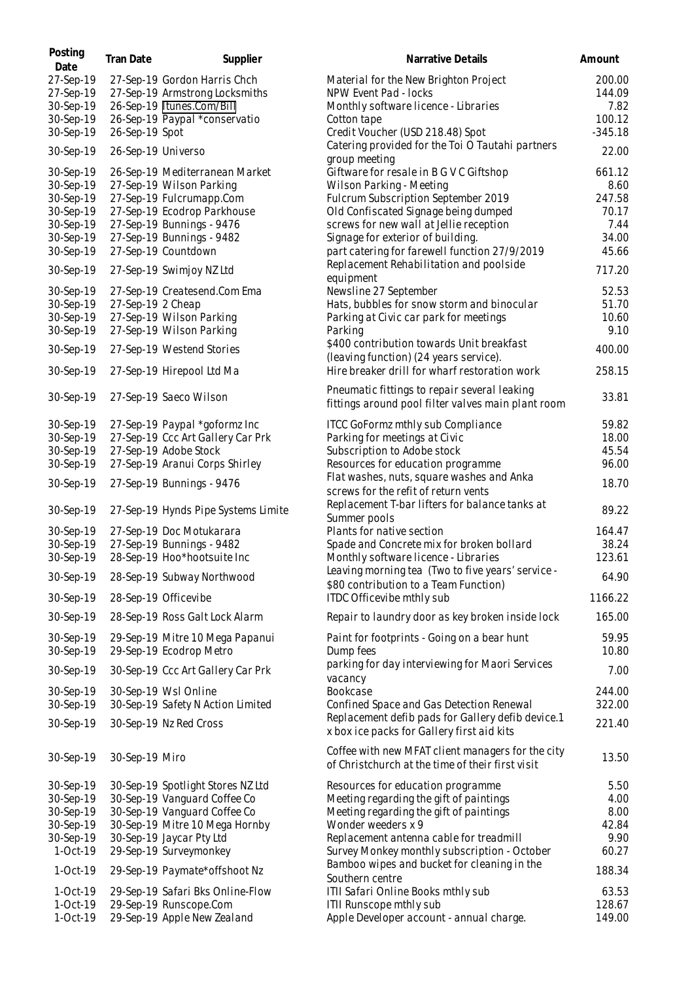| Posting<br>Date        | Tran Date          | Supplier                                                       | Narrative Details                                                                                     | Amount           |
|------------------------|--------------------|----------------------------------------------------------------|-------------------------------------------------------------------------------------------------------|------------------|
| 27-Sep-19<br>27-Sep-19 |                    | 27-Sep-19 Gordon Harris Chch<br>27-Sep-19 Armstrong Locksmiths | Material for the New Brighton Project<br>NPW Event Pad - locks                                        | 200.00<br>144.09 |
| 30-Sep-19              |                    | 26-Sep-19 Itunes.Com/Bill                                      | Monthly software licence - Libraries                                                                  | 7.82             |
| 30-Sep-19              |                    | 26-Sep-19 Paypal *conservatio                                  | Cotton tape                                                                                           | 100.12           |
| 30-Sep-19              | 26-Sep-19 Spot     |                                                                | Credit Voucher (USD 218.48) Spot                                                                      | $-345.18$        |
| 30-Sep-19              | 26-Sep-19 Universo |                                                                | Catering provided for the Toi O Tautahi partners<br>group meeting                                     | 22.00            |
| 30-Sep-19              |                    | 26-Sep-19 Mediterranean Market                                 | Giftware for resale in B G V C Giftshop                                                               | 661.12           |
| 30-Sep-19              |                    | 27-Sep-19 Wilson Parking                                       | Wilson Parking - Meeting                                                                              | 8.60             |
| 30-Sep-19              |                    | 27-Sep-19 Fulcrumapp.Com                                       | Fulcrum Subscription September 2019                                                                   | 247.58           |
| 30-Sep-19              |                    | 27-Sep-19 Ecodrop Parkhouse                                    | Old Confiscated Signage being dumped                                                                  | 70.17            |
| 30-Sep-19              |                    | 27-Sep-19 Bunnings - 9476                                      | screws for new wall at Jellie reception                                                               | 7.44             |
| 30-Sep-19              |                    | 27-Sep-19 Bunnings - 9482                                      | Signage for exterior of building.                                                                     | 34.00            |
| 30-Sep-19              |                    | 27-Sep-19 Countdown                                            | part catering for farewell function 27/9/2019<br>Replacement Rehabilitation and poolside              | 45.66            |
| 30-Sep-19              |                    | 27-Sep-19 Swimjoy NZ Ltd                                       | equipment                                                                                             | 717.20           |
| 30-Sep-19              |                    | 27-Sep-19 Createsend.Com Ema                                   | Newsline 27 September                                                                                 | 52.53            |
| 30-Sep-19              | 27-Sep-19 2 Cheap  |                                                                | Hats, bubbles for snow storm and binocular                                                            | 51.70            |
| 30-Sep-19              |                    | 27-Sep-19 Wilson Parking                                       | Parking at Civic car park for meetings                                                                | 10.60            |
| 30-Sep-19              |                    | 27-Sep-19 Wilson Parking                                       | Parking                                                                                               | 9.10             |
| 30-Sep-19              |                    | 27-Sep-19 Westend Stories                                      | \$400 contribution towards Unit breakfast<br>(leaving function) (24 years service).                   | 400.00           |
| 30-Sep-19              |                    | 27-Sep-19 Hirepool Ltd Ma                                      | Hire breaker drill for wharf restoration work                                                         | 258.15           |
| 30-Sep-19              |                    | 27-Sep-19 Saeco Wilson                                         | Pneumatic fittings to repair several leaking<br>fittings around pool filter valves main plant room    | 33.81            |
| 30-Sep-19              |                    | 27-Sep-19 Paypal *goformz Inc                                  | ITCC GoFormz mthly sub Compliance                                                                     | 59.82            |
| 30-Sep-19              |                    | 27-Sep-19 Ccc Art Gallery Car Prk                              | Parking for meetings at Civic                                                                         | 18.00            |
| 30-Sep-19              |                    | 27-Sep-19 Adobe Stock                                          | Subscription to Adobe stock                                                                           | 45.54            |
| 30-Sep-19              |                    | 27-Sep-19 Aranui Corps Shirley                                 | Resources for education programme                                                                     | 96.00            |
| 30-Sep-19              |                    | 27-Sep-19 Bunnings - 9476                                      | Flat washes, nuts, square washes and Anka<br>screws for the refit of return vents                     | 18.70            |
| 30-Sep-19              |                    | 27-Sep-19 Hynds Pipe Systems Limite                            | Replacement T-bar lifters for balance tanks at<br>Summer pools                                        | 89.22            |
| 30-Sep-19              |                    | 27-Sep-19 Doc Motukarara                                       | Plants for native section                                                                             | 164.47           |
| 30-Sep-19              |                    | 27-Sep-19 Bunnings - 9482                                      | Spade and Concrete mix for broken bollard                                                             | 38.24            |
| 30-Sep-19              |                    | 28-Sep-19 Hoo*hootsuite Inc                                    | Monthly software licence - Libraries                                                                  | 123.61           |
| 30-Sep-19              |                    | 28-Sep-19 Subway Northwood                                     | Leaving morning tea (Two to five years' service -<br>\$80 contribution to a Team Function)            | 64.90            |
| 30-Sep-19              |                    | 28-Sep-19 Officevibe                                           | ITDC Officevibe mthly sub                                                                             | 1166.22          |
| 30-Sep-19              |                    | 28-Sep-19 Ross Galt Lock Alarm                                 | Repair to laundry door as key broken inside lock                                                      | 165.00           |
| 30-Sep-19              |                    | 29-Sep-19 Mitre 10 Mega Papanui                                | Paint for footprints - Going on a bear hunt                                                           | 59.95            |
| 30-Sep-19              |                    | 29-Sep-19 Ecodrop Metro                                        | Dump fees                                                                                             | 10.80            |
| 30-Sep-19              |                    | 30-Sep-19 Ccc Art Gallery Car Prk                              | parking for day interviewing for Maori Services<br>vacancy                                            | 7.00             |
| 30-Sep-19              |                    | 30-Sep-19 Wsl Online                                           | Bookcase                                                                                              | 244.00           |
| 30-Sep-19              |                    | 30-Sep-19 Safety N Action Limited                              | Confined Space and Gas Detection Renewal                                                              | 322.00           |
| 30-Sep-19              |                    | 30-Sep-19 Nz Red Cross                                         | Replacement defib pads for Gallery defib device.1<br>x box ice packs for Gallery first aid kits       | 221.40           |
| 30-Sep-19              | 30-Sep-19 Miro     |                                                                | Coffee with new MFAT client managers for the city<br>of Christchurch at the time of their first visit | 13.50            |
| 30-Sep-19              |                    | 30-Sep-19 Spotlight Stores NZ Ltd                              | Resources for education programme                                                                     | 5.50             |
| 30-Sep-19              |                    | 30-Sep-19 Vanguard Coffee Co                                   | Meeting regarding the gift of paintings                                                               | 4.00             |
| 30-Sep-19              |                    | 30-Sep-19 Vanguard Coffee Co                                   | Meeting regarding the gift of paintings                                                               | 8.00             |
| 30-Sep-19              |                    | 30-Sep-19 Mitre 10 Mega Hornby                                 | Wonder weeders x 9                                                                                    | 42.84            |
| 30-Sep-19              |                    | 30-Sep-19 Jaycar Pty Ltd                                       | Replacement antenna cable for treadmill                                                               | 9.90             |
| 1-Oct-19               |                    | 29-Sep-19 Surveymonkey                                         | Survey Monkey monthly subscription - October                                                          | 60.27            |
| 1-Oct-19               |                    | 29-Sep-19 Paymate*offshoot Nz                                  | Bamboo wipes and bucket for cleaning in the<br>Southern centre                                        | 188.34           |
| 1-Oct-19               |                    | 29-Sep-19 Safari Bks Online-Flow                               | ITII Safari Online Books mthly sub                                                                    | 63.53            |
| 1-Oct-19               |                    | 29-Sep-19 Runscope.Com                                         | ITII Runscope mthly sub                                                                               | 128.67           |
| 1-Oct-19               |                    | 29-Sep-19 Apple New Zealand                                    | Apple Developer account - annual charge.                                                              | 149.00           |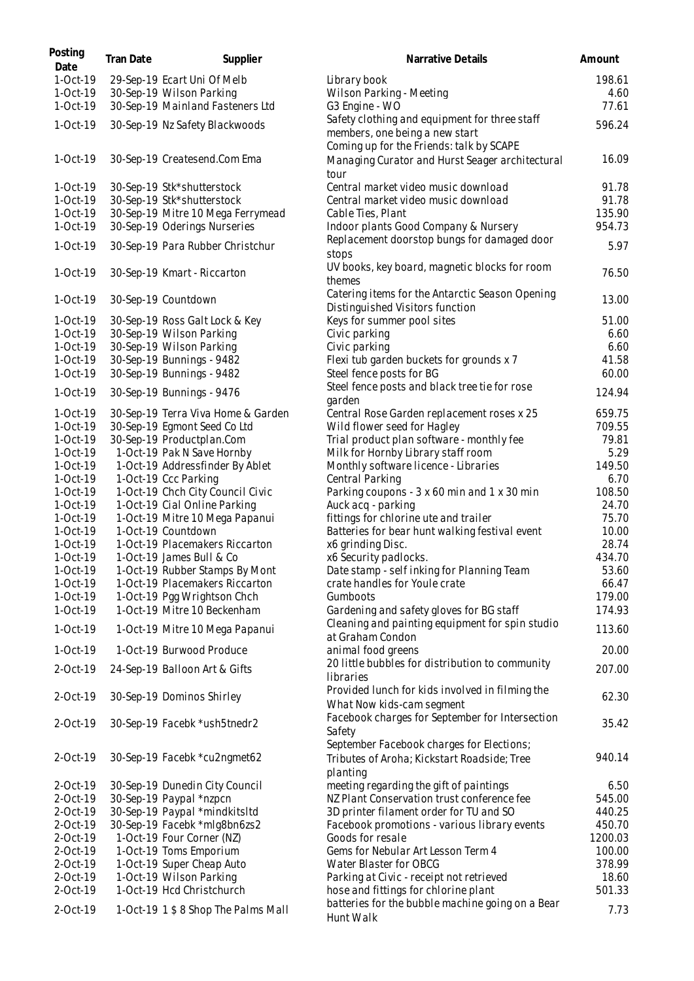| 1-Oct-19<br>29-Sep-19 Ecart Uni Of Melb<br>Library book<br>1-Oct-19<br>30-Sep-19 Wilson Parking<br>Wilson Parking - Meeting<br>4.60<br>1-Oct-19<br>30-Sep-19 Mainland Fasteners Ltd<br>G3 Engine - WO<br>Safety clothing and equipment for three staff<br>1-Oct-19<br>30-Sep-19 Nz Safety Blackwoods<br>members, one being a new start<br>Coming up for the Friends: talk by SCAPE<br>1-Oct-19<br>30-Sep-19 Createsend.Com Ema<br>16.09<br>Managing Curator and Hurst Seager architectural<br>tour<br>1-Oct-19<br>30-Sep-19 Stk*shutterstock<br>Central market video music download<br>1-Oct-19<br>30-Sep-19 Stk*shutterstock<br>Central market video music download<br>1-Oct-19<br>30-Sep-19 Mitre 10 Mega Ferrymead<br>Cable Ties, Plant<br>1-Oct-19<br>30-Sep-19 Oderings Nurseries<br>Indoor plants Good Company & Nursery<br>Replacement doorstop bungs for damaged door<br>1-Oct-19<br>30-Sep-19 Para Rubber Christchur<br>stops<br>UV books, key board, magnetic blocks for room<br>1-Oct-19<br>30-Sep-19 Kmart - Riccarton<br>themes<br>Catering items for the Antarctic Season Opening<br>1-Oct-19<br>30-Sep-19 Countdown<br>Distinguished Visitors function<br>1-Oct-19<br>30-Sep-19 Ross Galt Lock & Key<br>Keys for summer pool sites<br>51.00<br>1-Oct-19<br>30-Sep-19 Wilson Parking<br>Civic parking<br>6.60<br>1-Oct-19<br>30-Sep-19 Wilson Parking<br>Civic parking<br>6.60<br>1-Oct-19<br>30-Sep-19 Bunnings - 9482<br>Flexi tub garden buckets for grounds x 7<br>41.58<br>1-Oct-19<br>30-Sep-19 Bunnings - 9482<br>Steel fence posts for BG<br>60.00<br>Steel fence posts and black tree tie for rose<br>1-Oct-19<br>30-Sep-19 Bunnings - 9476<br>garden<br>1-Oct-19<br>30-Sep-19 Terra Viva Home & Garden<br>659.75<br>Central Rose Garden replacement roses x 25<br>709.55<br>30-Sep-19 Egmont Seed Co Ltd<br>Wild flower seed for Hagley<br>1-Oct-19<br>79.81<br>30-Sep-19 Productplan.Com<br>Trial product plan software - monthly fee<br>1-Oct-19<br>5.29<br>1-Oct-19<br>1-Oct-19 Pak N Save Hornby<br>Milk for Hornby Library staff room<br>1-Oct-19<br>1-Oct-19 Addressfinder By Ablet<br>Monthly software licence - Libraries<br>149.50<br>1-Oct-19 Ccc Parking<br>Central Parking<br>1-Oct-19<br>6.70<br>1-Oct-19 Chch City Council Civic<br>Parking coupons - 3 x 60 min and 1 x 30 min<br>108.50<br>1-Oct-19<br>1-Oct-19 Cial Online Parking<br>Auck acq - parking<br>24.70<br>1-Oct-19<br>1-Oct-19 Mitre 10 Mega Papanui<br>fittings for chlorine ute and trailer<br>75.70<br>1-Oct-19<br>1-Oct-19 Countdown<br>Batteries for bear hunt walking festival event<br>1-Oct-19<br>10.00<br>28.74<br>1-Oct-19 Placemakers Riccarton<br>x6 grinding Disc.<br>1-Oct-19<br>1-Oct-19 James Bull & Co<br>x6 Security padlocks.<br>434.70<br>1-Oct-19<br>1-Oct-19<br>1-Oct-19 Rubber Stamps By Mont<br>Date stamp - self inking for Planning Team<br>53.60<br>crate handles for Youle crate<br>1-Oct-19<br>1-Oct-19 Placemakers Riccarton<br>66.47<br>179.00<br>1-Oct-19<br>1-Oct-19 Pgg Wrightson Chch<br>Gumboots<br>1-Oct-19<br>1-Oct-19 Mitre 10 Beckenham<br>Gardening and safety gloves for BG staff<br>174.93<br>Cleaning and painting equipment for spin studio<br>113.60<br>1-Oct-19<br>1-Oct-19 Mitre 10 Mega Papanui<br>at Graham Condon<br>1-Oct-19<br>1-Oct-19 Burwood Produce<br>animal food greens<br>20.00<br>20 little bubbles for distribution to community<br>2-Oct-19<br>24-Sep-19 Balloon Art & Gifts<br>libraries<br>Provided lunch for kids involved in filming the<br>30-Sep-19 Dominos Shirley<br>2-Oct-19<br>What Now kids-cam segment<br>Facebook charges for September for Intersection<br>30-Sep-19 Facebk *ush5tnedr2<br>2-Oct-19<br>Safety<br>September Facebook charges for Elections;<br>2-Oct-19<br>30-Sep-19 Facebk *cu2ngmet62<br>Tributes of Aroha; Kickstart Roadside; Tree<br>planting<br>30-Sep-19 Dunedin City Council<br>meeting regarding the gift of paintings<br>2-Oct-19<br>6.50<br>2-Oct-19<br>30-Sep-19 Paypal *nzpcn<br>NZ Plant Conservation trust conference fee<br>545.00<br>2-Oct-19<br>30-Sep-19 Paypal *mindkitsItd<br>3D printer filament order for TU and SO<br>440.25<br>30-Sep-19 Facebk *mlg8bn6zs2<br>450.70<br>2-Oct-19<br>Facebook promotions - various library events<br>1200.03<br>1-Oct-19 Four Corner (NZ)<br>Goods for resale<br>2-Oct-19<br>1-Oct-19 Toms Emporium<br>Gems for Nebular Art Lesson Term 4<br>100.00<br>2-Oct-19<br>1-Oct-19 Super Cheap Auto<br>Water Blaster for OBCG<br>378.99<br>2-Oct-19<br>1-Oct-19 Wilson Parking<br>2-Oct-19<br>Parking at Civic - receipt not retrieved<br>18.60<br>1-Oct-19 Hcd Christchurch<br>2-Oct-19<br>hose and fittings for chlorine plant<br>501.33<br>batteries for the bubble machine going on a Bear<br>2-Oct-19<br>1-Oct-19 1 \$ 8 Shop The Palms Mall | Posting<br>Date | Tran Date | Supplier | Narrative Details | Amount |
|-----------------------------------------------------------------------------------------------------------------------------------------------------------------------------------------------------------------------------------------------------------------------------------------------------------------------------------------------------------------------------------------------------------------------------------------------------------------------------------------------------------------------------------------------------------------------------------------------------------------------------------------------------------------------------------------------------------------------------------------------------------------------------------------------------------------------------------------------------------------------------------------------------------------------------------------------------------------------------------------------------------------------------------------------------------------------------------------------------------------------------------------------------------------------------------------------------------------------------------------------------------------------------------------------------------------------------------------------------------------------------------------------------------------------------------------------------------------------------------------------------------------------------------------------------------------------------------------------------------------------------------------------------------------------------------------------------------------------------------------------------------------------------------------------------------------------------------------------------------------------------------------------------------------------------------------------------------------------------------------------------------------------------------------------------------------------------------------------------------------------------------------------------------------------------------------------------------------------------------------------------------------------------------------------------------------------------------------------------------------------------------------------------------------------------------------------------------------------------------------------------------------------------------------------------------------------------------------------------------------------------------------------------------------------------------------------------------------------------------------------------------------------------------------------------------------------------------------------------------------------------------------------------------------------------------------------------------------------------------------------------------------------------------------------------------------------------------------------------------------------------------------------------------------------------------------------------------------------------------------------------------------------------------------------------------------------------------------------------------------------------------------------------------------------------------------------------------------------------------------------------------------------------------------------------------------------------------------------------------------------------------------------------------------------------------------------------------------------------------------------------------------------------------------------------------------------------------------------------------------------------------------------------------------------------------------------------------------------------------------------------------------------------------------------------------------------------------------------------------------------------------------------------------------------------------------------------------------------------------------------------------------------------------------------------------------------------------------------------------------------------------------------------------------------------------------------------------------------------------------------------------------------------------------------------------------------------------------------------------------------------------------------------------------------------------------------------------------------------------------------------------------------------------------------------|-----------------|-----------|----------|-------------------|--------|
|                                                                                                                                                                                                                                                                                                                                                                                                                                                                                                                                                                                                                                                                                                                                                                                                                                                                                                                                                                                                                                                                                                                                                                                                                                                                                                                                                                                                                                                                                                                                                                                                                                                                                                                                                                                                                                                                                                                                                                                                                                                                                                                                                                                                                                                                                                                                                                                                                                                                                                                                                                                                                                                                                                                                                                                                                                                                                                                                                                                                                                                                                                                                                                                                                                                                                                                                                                                                                                                                                                                                                                                                                                                                                                                                                                                                                                                                                                                                                                                                                                                                                                                                                                                                                                                                                                                                                                                                                                                                                                                                                                                                                                                                                                                                                                                                     |                 |           |          |                   | 198.61 |
|                                                                                                                                                                                                                                                                                                                                                                                                                                                                                                                                                                                                                                                                                                                                                                                                                                                                                                                                                                                                                                                                                                                                                                                                                                                                                                                                                                                                                                                                                                                                                                                                                                                                                                                                                                                                                                                                                                                                                                                                                                                                                                                                                                                                                                                                                                                                                                                                                                                                                                                                                                                                                                                                                                                                                                                                                                                                                                                                                                                                                                                                                                                                                                                                                                                                                                                                                                                                                                                                                                                                                                                                                                                                                                                                                                                                                                                                                                                                                                                                                                                                                                                                                                                                                                                                                                                                                                                                                                                                                                                                                                                                                                                                                                                                                                                                     |                 |           |          |                   |        |
|                                                                                                                                                                                                                                                                                                                                                                                                                                                                                                                                                                                                                                                                                                                                                                                                                                                                                                                                                                                                                                                                                                                                                                                                                                                                                                                                                                                                                                                                                                                                                                                                                                                                                                                                                                                                                                                                                                                                                                                                                                                                                                                                                                                                                                                                                                                                                                                                                                                                                                                                                                                                                                                                                                                                                                                                                                                                                                                                                                                                                                                                                                                                                                                                                                                                                                                                                                                                                                                                                                                                                                                                                                                                                                                                                                                                                                                                                                                                                                                                                                                                                                                                                                                                                                                                                                                                                                                                                                                                                                                                                                                                                                                                                                                                                                                                     |                 |           |          |                   | 77.61  |
|                                                                                                                                                                                                                                                                                                                                                                                                                                                                                                                                                                                                                                                                                                                                                                                                                                                                                                                                                                                                                                                                                                                                                                                                                                                                                                                                                                                                                                                                                                                                                                                                                                                                                                                                                                                                                                                                                                                                                                                                                                                                                                                                                                                                                                                                                                                                                                                                                                                                                                                                                                                                                                                                                                                                                                                                                                                                                                                                                                                                                                                                                                                                                                                                                                                                                                                                                                                                                                                                                                                                                                                                                                                                                                                                                                                                                                                                                                                                                                                                                                                                                                                                                                                                                                                                                                                                                                                                                                                                                                                                                                                                                                                                                                                                                                                                     |                 |           |          |                   | 596.24 |
|                                                                                                                                                                                                                                                                                                                                                                                                                                                                                                                                                                                                                                                                                                                                                                                                                                                                                                                                                                                                                                                                                                                                                                                                                                                                                                                                                                                                                                                                                                                                                                                                                                                                                                                                                                                                                                                                                                                                                                                                                                                                                                                                                                                                                                                                                                                                                                                                                                                                                                                                                                                                                                                                                                                                                                                                                                                                                                                                                                                                                                                                                                                                                                                                                                                                                                                                                                                                                                                                                                                                                                                                                                                                                                                                                                                                                                                                                                                                                                                                                                                                                                                                                                                                                                                                                                                                                                                                                                                                                                                                                                                                                                                                                                                                                                                                     |                 |           |          |                   |        |
|                                                                                                                                                                                                                                                                                                                                                                                                                                                                                                                                                                                                                                                                                                                                                                                                                                                                                                                                                                                                                                                                                                                                                                                                                                                                                                                                                                                                                                                                                                                                                                                                                                                                                                                                                                                                                                                                                                                                                                                                                                                                                                                                                                                                                                                                                                                                                                                                                                                                                                                                                                                                                                                                                                                                                                                                                                                                                                                                                                                                                                                                                                                                                                                                                                                                                                                                                                                                                                                                                                                                                                                                                                                                                                                                                                                                                                                                                                                                                                                                                                                                                                                                                                                                                                                                                                                                                                                                                                                                                                                                                                                                                                                                                                                                                                                                     |                 |           |          |                   |        |
|                                                                                                                                                                                                                                                                                                                                                                                                                                                                                                                                                                                                                                                                                                                                                                                                                                                                                                                                                                                                                                                                                                                                                                                                                                                                                                                                                                                                                                                                                                                                                                                                                                                                                                                                                                                                                                                                                                                                                                                                                                                                                                                                                                                                                                                                                                                                                                                                                                                                                                                                                                                                                                                                                                                                                                                                                                                                                                                                                                                                                                                                                                                                                                                                                                                                                                                                                                                                                                                                                                                                                                                                                                                                                                                                                                                                                                                                                                                                                                                                                                                                                                                                                                                                                                                                                                                                                                                                                                                                                                                                                                                                                                                                                                                                                                                                     |                 |           |          |                   | 91.78  |
|                                                                                                                                                                                                                                                                                                                                                                                                                                                                                                                                                                                                                                                                                                                                                                                                                                                                                                                                                                                                                                                                                                                                                                                                                                                                                                                                                                                                                                                                                                                                                                                                                                                                                                                                                                                                                                                                                                                                                                                                                                                                                                                                                                                                                                                                                                                                                                                                                                                                                                                                                                                                                                                                                                                                                                                                                                                                                                                                                                                                                                                                                                                                                                                                                                                                                                                                                                                                                                                                                                                                                                                                                                                                                                                                                                                                                                                                                                                                                                                                                                                                                                                                                                                                                                                                                                                                                                                                                                                                                                                                                                                                                                                                                                                                                                                                     |                 |           |          |                   | 91.78  |
|                                                                                                                                                                                                                                                                                                                                                                                                                                                                                                                                                                                                                                                                                                                                                                                                                                                                                                                                                                                                                                                                                                                                                                                                                                                                                                                                                                                                                                                                                                                                                                                                                                                                                                                                                                                                                                                                                                                                                                                                                                                                                                                                                                                                                                                                                                                                                                                                                                                                                                                                                                                                                                                                                                                                                                                                                                                                                                                                                                                                                                                                                                                                                                                                                                                                                                                                                                                                                                                                                                                                                                                                                                                                                                                                                                                                                                                                                                                                                                                                                                                                                                                                                                                                                                                                                                                                                                                                                                                                                                                                                                                                                                                                                                                                                                                                     |                 |           |          |                   | 135.90 |
|                                                                                                                                                                                                                                                                                                                                                                                                                                                                                                                                                                                                                                                                                                                                                                                                                                                                                                                                                                                                                                                                                                                                                                                                                                                                                                                                                                                                                                                                                                                                                                                                                                                                                                                                                                                                                                                                                                                                                                                                                                                                                                                                                                                                                                                                                                                                                                                                                                                                                                                                                                                                                                                                                                                                                                                                                                                                                                                                                                                                                                                                                                                                                                                                                                                                                                                                                                                                                                                                                                                                                                                                                                                                                                                                                                                                                                                                                                                                                                                                                                                                                                                                                                                                                                                                                                                                                                                                                                                                                                                                                                                                                                                                                                                                                                                                     |                 |           |          |                   | 954.73 |
|                                                                                                                                                                                                                                                                                                                                                                                                                                                                                                                                                                                                                                                                                                                                                                                                                                                                                                                                                                                                                                                                                                                                                                                                                                                                                                                                                                                                                                                                                                                                                                                                                                                                                                                                                                                                                                                                                                                                                                                                                                                                                                                                                                                                                                                                                                                                                                                                                                                                                                                                                                                                                                                                                                                                                                                                                                                                                                                                                                                                                                                                                                                                                                                                                                                                                                                                                                                                                                                                                                                                                                                                                                                                                                                                                                                                                                                                                                                                                                                                                                                                                                                                                                                                                                                                                                                                                                                                                                                                                                                                                                                                                                                                                                                                                                                                     |                 |           |          |                   | 5.97   |
|                                                                                                                                                                                                                                                                                                                                                                                                                                                                                                                                                                                                                                                                                                                                                                                                                                                                                                                                                                                                                                                                                                                                                                                                                                                                                                                                                                                                                                                                                                                                                                                                                                                                                                                                                                                                                                                                                                                                                                                                                                                                                                                                                                                                                                                                                                                                                                                                                                                                                                                                                                                                                                                                                                                                                                                                                                                                                                                                                                                                                                                                                                                                                                                                                                                                                                                                                                                                                                                                                                                                                                                                                                                                                                                                                                                                                                                                                                                                                                                                                                                                                                                                                                                                                                                                                                                                                                                                                                                                                                                                                                                                                                                                                                                                                                                                     |                 |           |          |                   | 76.50  |
|                                                                                                                                                                                                                                                                                                                                                                                                                                                                                                                                                                                                                                                                                                                                                                                                                                                                                                                                                                                                                                                                                                                                                                                                                                                                                                                                                                                                                                                                                                                                                                                                                                                                                                                                                                                                                                                                                                                                                                                                                                                                                                                                                                                                                                                                                                                                                                                                                                                                                                                                                                                                                                                                                                                                                                                                                                                                                                                                                                                                                                                                                                                                                                                                                                                                                                                                                                                                                                                                                                                                                                                                                                                                                                                                                                                                                                                                                                                                                                                                                                                                                                                                                                                                                                                                                                                                                                                                                                                                                                                                                                                                                                                                                                                                                                                                     |                 |           |          |                   | 13.00  |
|                                                                                                                                                                                                                                                                                                                                                                                                                                                                                                                                                                                                                                                                                                                                                                                                                                                                                                                                                                                                                                                                                                                                                                                                                                                                                                                                                                                                                                                                                                                                                                                                                                                                                                                                                                                                                                                                                                                                                                                                                                                                                                                                                                                                                                                                                                                                                                                                                                                                                                                                                                                                                                                                                                                                                                                                                                                                                                                                                                                                                                                                                                                                                                                                                                                                                                                                                                                                                                                                                                                                                                                                                                                                                                                                                                                                                                                                                                                                                                                                                                                                                                                                                                                                                                                                                                                                                                                                                                                                                                                                                                                                                                                                                                                                                                                                     |                 |           |          |                   |        |
|                                                                                                                                                                                                                                                                                                                                                                                                                                                                                                                                                                                                                                                                                                                                                                                                                                                                                                                                                                                                                                                                                                                                                                                                                                                                                                                                                                                                                                                                                                                                                                                                                                                                                                                                                                                                                                                                                                                                                                                                                                                                                                                                                                                                                                                                                                                                                                                                                                                                                                                                                                                                                                                                                                                                                                                                                                                                                                                                                                                                                                                                                                                                                                                                                                                                                                                                                                                                                                                                                                                                                                                                                                                                                                                                                                                                                                                                                                                                                                                                                                                                                                                                                                                                                                                                                                                                                                                                                                                                                                                                                                                                                                                                                                                                                                                                     |                 |           |          |                   |        |
|                                                                                                                                                                                                                                                                                                                                                                                                                                                                                                                                                                                                                                                                                                                                                                                                                                                                                                                                                                                                                                                                                                                                                                                                                                                                                                                                                                                                                                                                                                                                                                                                                                                                                                                                                                                                                                                                                                                                                                                                                                                                                                                                                                                                                                                                                                                                                                                                                                                                                                                                                                                                                                                                                                                                                                                                                                                                                                                                                                                                                                                                                                                                                                                                                                                                                                                                                                                                                                                                                                                                                                                                                                                                                                                                                                                                                                                                                                                                                                                                                                                                                                                                                                                                                                                                                                                                                                                                                                                                                                                                                                                                                                                                                                                                                                                                     |                 |           |          |                   |        |
|                                                                                                                                                                                                                                                                                                                                                                                                                                                                                                                                                                                                                                                                                                                                                                                                                                                                                                                                                                                                                                                                                                                                                                                                                                                                                                                                                                                                                                                                                                                                                                                                                                                                                                                                                                                                                                                                                                                                                                                                                                                                                                                                                                                                                                                                                                                                                                                                                                                                                                                                                                                                                                                                                                                                                                                                                                                                                                                                                                                                                                                                                                                                                                                                                                                                                                                                                                                                                                                                                                                                                                                                                                                                                                                                                                                                                                                                                                                                                                                                                                                                                                                                                                                                                                                                                                                                                                                                                                                                                                                                                                                                                                                                                                                                                                                                     |                 |           |          |                   |        |
|                                                                                                                                                                                                                                                                                                                                                                                                                                                                                                                                                                                                                                                                                                                                                                                                                                                                                                                                                                                                                                                                                                                                                                                                                                                                                                                                                                                                                                                                                                                                                                                                                                                                                                                                                                                                                                                                                                                                                                                                                                                                                                                                                                                                                                                                                                                                                                                                                                                                                                                                                                                                                                                                                                                                                                                                                                                                                                                                                                                                                                                                                                                                                                                                                                                                                                                                                                                                                                                                                                                                                                                                                                                                                                                                                                                                                                                                                                                                                                                                                                                                                                                                                                                                                                                                                                                                                                                                                                                                                                                                                                                                                                                                                                                                                                                                     |                 |           |          |                   |        |
|                                                                                                                                                                                                                                                                                                                                                                                                                                                                                                                                                                                                                                                                                                                                                                                                                                                                                                                                                                                                                                                                                                                                                                                                                                                                                                                                                                                                                                                                                                                                                                                                                                                                                                                                                                                                                                                                                                                                                                                                                                                                                                                                                                                                                                                                                                                                                                                                                                                                                                                                                                                                                                                                                                                                                                                                                                                                                                                                                                                                                                                                                                                                                                                                                                                                                                                                                                                                                                                                                                                                                                                                                                                                                                                                                                                                                                                                                                                                                                                                                                                                                                                                                                                                                                                                                                                                                                                                                                                                                                                                                                                                                                                                                                                                                                                                     |                 |           |          |                   | 124.94 |
|                                                                                                                                                                                                                                                                                                                                                                                                                                                                                                                                                                                                                                                                                                                                                                                                                                                                                                                                                                                                                                                                                                                                                                                                                                                                                                                                                                                                                                                                                                                                                                                                                                                                                                                                                                                                                                                                                                                                                                                                                                                                                                                                                                                                                                                                                                                                                                                                                                                                                                                                                                                                                                                                                                                                                                                                                                                                                                                                                                                                                                                                                                                                                                                                                                                                                                                                                                                                                                                                                                                                                                                                                                                                                                                                                                                                                                                                                                                                                                                                                                                                                                                                                                                                                                                                                                                                                                                                                                                                                                                                                                                                                                                                                                                                                                                                     |                 |           |          |                   |        |
|                                                                                                                                                                                                                                                                                                                                                                                                                                                                                                                                                                                                                                                                                                                                                                                                                                                                                                                                                                                                                                                                                                                                                                                                                                                                                                                                                                                                                                                                                                                                                                                                                                                                                                                                                                                                                                                                                                                                                                                                                                                                                                                                                                                                                                                                                                                                                                                                                                                                                                                                                                                                                                                                                                                                                                                                                                                                                                                                                                                                                                                                                                                                                                                                                                                                                                                                                                                                                                                                                                                                                                                                                                                                                                                                                                                                                                                                                                                                                                                                                                                                                                                                                                                                                                                                                                                                                                                                                                                                                                                                                                                                                                                                                                                                                                                                     |                 |           |          |                   |        |
|                                                                                                                                                                                                                                                                                                                                                                                                                                                                                                                                                                                                                                                                                                                                                                                                                                                                                                                                                                                                                                                                                                                                                                                                                                                                                                                                                                                                                                                                                                                                                                                                                                                                                                                                                                                                                                                                                                                                                                                                                                                                                                                                                                                                                                                                                                                                                                                                                                                                                                                                                                                                                                                                                                                                                                                                                                                                                                                                                                                                                                                                                                                                                                                                                                                                                                                                                                                                                                                                                                                                                                                                                                                                                                                                                                                                                                                                                                                                                                                                                                                                                                                                                                                                                                                                                                                                                                                                                                                                                                                                                                                                                                                                                                                                                                                                     |                 |           |          |                   |        |
|                                                                                                                                                                                                                                                                                                                                                                                                                                                                                                                                                                                                                                                                                                                                                                                                                                                                                                                                                                                                                                                                                                                                                                                                                                                                                                                                                                                                                                                                                                                                                                                                                                                                                                                                                                                                                                                                                                                                                                                                                                                                                                                                                                                                                                                                                                                                                                                                                                                                                                                                                                                                                                                                                                                                                                                                                                                                                                                                                                                                                                                                                                                                                                                                                                                                                                                                                                                                                                                                                                                                                                                                                                                                                                                                                                                                                                                                                                                                                                                                                                                                                                                                                                                                                                                                                                                                                                                                                                                                                                                                                                                                                                                                                                                                                                                                     |                 |           |          |                   |        |
|                                                                                                                                                                                                                                                                                                                                                                                                                                                                                                                                                                                                                                                                                                                                                                                                                                                                                                                                                                                                                                                                                                                                                                                                                                                                                                                                                                                                                                                                                                                                                                                                                                                                                                                                                                                                                                                                                                                                                                                                                                                                                                                                                                                                                                                                                                                                                                                                                                                                                                                                                                                                                                                                                                                                                                                                                                                                                                                                                                                                                                                                                                                                                                                                                                                                                                                                                                                                                                                                                                                                                                                                                                                                                                                                                                                                                                                                                                                                                                                                                                                                                                                                                                                                                                                                                                                                                                                                                                                                                                                                                                                                                                                                                                                                                                                                     |                 |           |          |                   |        |
|                                                                                                                                                                                                                                                                                                                                                                                                                                                                                                                                                                                                                                                                                                                                                                                                                                                                                                                                                                                                                                                                                                                                                                                                                                                                                                                                                                                                                                                                                                                                                                                                                                                                                                                                                                                                                                                                                                                                                                                                                                                                                                                                                                                                                                                                                                                                                                                                                                                                                                                                                                                                                                                                                                                                                                                                                                                                                                                                                                                                                                                                                                                                                                                                                                                                                                                                                                                                                                                                                                                                                                                                                                                                                                                                                                                                                                                                                                                                                                                                                                                                                                                                                                                                                                                                                                                                                                                                                                                                                                                                                                                                                                                                                                                                                                                                     |                 |           |          |                   |        |
|                                                                                                                                                                                                                                                                                                                                                                                                                                                                                                                                                                                                                                                                                                                                                                                                                                                                                                                                                                                                                                                                                                                                                                                                                                                                                                                                                                                                                                                                                                                                                                                                                                                                                                                                                                                                                                                                                                                                                                                                                                                                                                                                                                                                                                                                                                                                                                                                                                                                                                                                                                                                                                                                                                                                                                                                                                                                                                                                                                                                                                                                                                                                                                                                                                                                                                                                                                                                                                                                                                                                                                                                                                                                                                                                                                                                                                                                                                                                                                                                                                                                                                                                                                                                                                                                                                                                                                                                                                                                                                                                                                                                                                                                                                                                                                                                     |                 |           |          |                   |        |
|                                                                                                                                                                                                                                                                                                                                                                                                                                                                                                                                                                                                                                                                                                                                                                                                                                                                                                                                                                                                                                                                                                                                                                                                                                                                                                                                                                                                                                                                                                                                                                                                                                                                                                                                                                                                                                                                                                                                                                                                                                                                                                                                                                                                                                                                                                                                                                                                                                                                                                                                                                                                                                                                                                                                                                                                                                                                                                                                                                                                                                                                                                                                                                                                                                                                                                                                                                                                                                                                                                                                                                                                                                                                                                                                                                                                                                                                                                                                                                                                                                                                                                                                                                                                                                                                                                                                                                                                                                                                                                                                                                                                                                                                                                                                                                                                     |                 |           |          |                   |        |
|                                                                                                                                                                                                                                                                                                                                                                                                                                                                                                                                                                                                                                                                                                                                                                                                                                                                                                                                                                                                                                                                                                                                                                                                                                                                                                                                                                                                                                                                                                                                                                                                                                                                                                                                                                                                                                                                                                                                                                                                                                                                                                                                                                                                                                                                                                                                                                                                                                                                                                                                                                                                                                                                                                                                                                                                                                                                                                                                                                                                                                                                                                                                                                                                                                                                                                                                                                                                                                                                                                                                                                                                                                                                                                                                                                                                                                                                                                                                                                                                                                                                                                                                                                                                                                                                                                                                                                                                                                                                                                                                                                                                                                                                                                                                                                                                     |                 |           |          |                   |        |
|                                                                                                                                                                                                                                                                                                                                                                                                                                                                                                                                                                                                                                                                                                                                                                                                                                                                                                                                                                                                                                                                                                                                                                                                                                                                                                                                                                                                                                                                                                                                                                                                                                                                                                                                                                                                                                                                                                                                                                                                                                                                                                                                                                                                                                                                                                                                                                                                                                                                                                                                                                                                                                                                                                                                                                                                                                                                                                                                                                                                                                                                                                                                                                                                                                                                                                                                                                                                                                                                                                                                                                                                                                                                                                                                                                                                                                                                                                                                                                                                                                                                                                                                                                                                                                                                                                                                                                                                                                                                                                                                                                                                                                                                                                                                                                                                     |                 |           |          |                   |        |
|                                                                                                                                                                                                                                                                                                                                                                                                                                                                                                                                                                                                                                                                                                                                                                                                                                                                                                                                                                                                                                                                                                                                                                                                                                                                                                                                                                                                                                                                                                                                                                                                                                                                                                                                                                                                                                                                                                                                                                                                                                                                                                                                                                                                                                                                                                                                                                                                                                                                                                                                                                                                                                                                                                                                                                                                                                                                                                                                                                                                                                                                                                                                                                                                                                                                                                                                                                                                                                                                                                                                                                                                                                                                                                                                                                                                                                                                                                                                                                                                                                                                                                                                                                                                                                                                                                                                                                                                                                                                                                                                                                                                                                                                                                                                                                                                     |                 |           |          |                   |        |
|                                                                                                                                                                                                                                                                                                                                                                                                                                                                                                                                                                                                                                                                                                                                                                                                                                                                                                                                                                                                                                                                                                                                                                                                                                                                                                                                                                                                                                                                                                                                                                                                                                                                                                                                                                                                                                                                                                                                                                                                                                                                                                                                                                                                                                                                                                                                                                                                                                                                                                                                                                                                                                                                                                                                                                                                                                                                                                                                                                                                                                                                                                                                                                                                                                                                                                                                                                                                                                                                                                                                                                                                                                                                                                                                                                                                                                                                                                                                                                                                                                                                                                                                                                                                                                                                                                                                                                                                                                                                                                                                                                                                                                                                                                                                                                                                     |                 |           |          |                   |        |
|                                                                                                                                                                                                                                                                                                                                                                                                                                                                                                                                                                                                                                                                                                                                                                                                                                                                                                                                                                                                                                                                                                                                                                                                                                                                                                                                                                                                                                                                                                                                                                                                                                                                                                                                                                                                                                                                                                                                                                                                                                                                                                                                                                                                                                                                                                                                                                                                                                                                                                                                                                                                                                                                                                                                                                                                                                                                                                                                                                                                                                                                                                                                                                                                                                                                                                                                                                                                                                                                                                                                                                                                                                                                                                                                                                                                                                                                                                                                                                                                                                                                                                                                                                                                                                                                                                                                                                                                                                                                                                                                                                                                                                                                                                                                                                                                     |                 |           |          |                   |        |
|                                                                                                                                                                                                                                                                                                                                                                                                                                                                                                                                                                                                                                                                                                                                                                                                                                                                                                                                                                                                                                                                                                                                                                                                                                                                                                                                                                                                                                                                                                                                                                                                                                                                                                                                                                                                                                                                                                                                                                                                                                                                                                                                                                                                                                                                                                                                                                                                                                                                                                                                                                                                                                                                                                                                                                                                                                                                                                                                                                                                                                                                                                                                                                                                                                                                                                                                                                                                                                                                                                                                                                                                                                                                                                                                                                                                                                                                                                                                                                                                                                                                                                                                                                                                                                                                                                                                                                                                                                                                                                                                                                                                                                                                                                                                                                                                     |                 |           |          |                   |        |
|                                                                                                                                                                                                                                                                                                                                                                                                                                                                                                                                                                                                                                                                                                                                                                                                                                                                                                                                                                                                                                                                                                                                                                                                                                                                                                                                                                                                                                                                                                                                                                                                                                                                                                                                                                                                                                                                                                                                                                                                                                                                                                                                                                                                                                                                                                                                                                                                                                                                                                                                                                                                                                                                                                                                                                                                                                                                                                                                                                                                                                                                                                                                                                                                                                                                                                                                                                                                                                                                                                                                                                                                                                                                                                                                                                                                                                                                                                                                                                                                                                                                                                                                                                                                                                                                                                                                                                                                                                                                                                                                                                                                                                                                                                                                                                                                     |                 |           |          |                   |        |
|                                                                                                                                                                                                                                                                                                                                                                                                                                                                                                                                                                                                                                                                                                                                                                                                                                                                                                                                                                                                                                                                                                                                                                                                                                                                                                                                                                                                                                                                                                                                                                                                                                                                                                                                                                                                                                                                                                                                                                                                                                                                                                                                                                                                                                                                                                                                                                                                                                                                                                                                                                                                                                                                                                                                                                                                                                                                                                                                                                                                                                                                                                                                                                                                                                                                                                                                                                                                                                                                                                                                                                                                                                                                                                                                                                                                                                                                                                                                                                                                                                                                                                                                                                                                                                                                                                                                                                                                                                                                                                                                                                                                                                                                                                                                                                                                     |                 |           |          |                   |        |
|                                                                                                                                                                                                                                                                                                                                                                                                                                                                                                                                                                                                                                                                                                                                                                                                                                                                                                                                                                                                                                                                                                                                                                                                                                                                                                                                                                                                                                                                                                                                                                                                                                                                                                                                                                                                                                                                                                                                                                                                                                                                                                                                                                                                                                                                                                                                                                                                                                                                                                                                                                                                                                                                                                                                                                                                                                                                                                                                                                                                                                                                                                                                                                                                                                                                                                                                                                                                                                                                                                                                                                                                                                                                                                                                                                                                                                                                                                                                                                                                                                                                                                                                                                                                                                                                                                                                                                                                                                                                                                                                                                                                                                                                                                                                                                                                     |                 |           |          |                   |        |
|                                                                                                                                                                                                                                                                                                                                                                                                                                                                                                                                                                                                                                                                                                                                                                                                                                                                                                                                                                                                                                                                                                                                                                                                                                                                                                                                                                                                                                                                                                                                                                                                                                                                                                                                                                                                                                                                                                                                                                                                                                                                                                                                                                                                                                                                                                                                                                                                                                                                                                                                                                                                                                                                                                                                                                                                                                                                                                                                                                                                                                                                                                                                                                                                                                                                                                                                                                                                                                                                                                                                                                                                                                                                                                                                                                                                                                                                                                                                                                                                                                                                                                                                                                                                                                                                                                                                                                                                                                                                                                                                                                                                                                                                                                                                                                                                     |                 |           |          |                   |        |
|                                                                                                                                                                                                                                                                                                                                                                                                                                                                                                                                                                                                                                                                                                                                                                                                                                                                                                                                                                                                                                                                                                                                                                                                                                                                                                                                                                                                                                                                                                                                                                                                                                                                                                                                                                                                                                                                                                                                                                                                                                                                                                                                                                                                                                                                                                                                                                                                                                                                                                                                                                                                                                                                                                                                                                                                                                                                                                                                                                                                                                                                                                                                                                                                                                                                                                                                                                                                                                                                                                                                                                                                                                                                                                                                                                                                                                                                                                                                                                                                                                                                                                                                                                                                                                                                                                                                                                                                                                                                                                                                                                                                                                                                                                                                                                                                     |                 |           |          |                   |        |
|                                                                                                                                                                                                                                                                                                                                                                                                                                                                                                                                                                                                                                                                                                                                                                                                                                                                                                                                                                                                                                                                                                                                                                                                                                                                                                                                                                                                                                                                                                                                                                                                                                                                                                                                                                                                                                                                                                                                                                                                                                                                                                                                                                                                                                                                                                                                                                                                                                                                                                                                                                                                                                                                                                                                                                                                                                                                                                                                                                                                                                                                                                                                                                                                                                                                                                                                                                                                                                                                                                                                                                                                                                                                                                                                                                                                                                                                                                                                                                                                                                                                                                                                                                                                                                                                                                                                                                                                                                                                                                                                                                                                                                                                                                                                                                                                     |                 |           |          |                   | 207.00 |
|                                                                                                                                                                                                                                                                                                                                                                                                                                                                                                                                                                                                                                                                                                                                                                                                                                                                                                                                                                                                                                                                                                                                                                                                                                                                                                                                                                                                                                                                                                                                                                                                                                                                                                                                                                                                                                                                                                                                                                                                                                                                                                                                                                                                                                                                                                                                                                                                                                                                                                                                                                                                                                                                                                                                                                                                                                                                                                                                                                                                                                                                                                                                                                                                                                                                                                                                                                                                                                                                                                                                                                                                                                                                                                                                                                                                                                                                                                                                                                                                                                                                                                                                                                                                                                                                                                                                                                                                                                                                                                                                                                                                                                                                                                                                                                                                     |                 |           |          |                   | 62.30  |
|                                                                                                                                                                                                                                                                                                                                                                                                                                                                                                                                                                                                                                                                                                                                                                                                                                                                                                                                                                                                                                                                                                                                                                                                                                                                                                                                                                                                                                                                                                                                                                                                                                                                                                                                                                                                                                                                                                                                                                                                                                                                                                                                                                                                                                                                                                                                                                                                                                                                                                                                                                                                                                                                                                                                                                                                                                                                                                                                                                                                                                                                                                                                                                                                                                                                                                                                                                                                                                                                                                                                                                                                                                                                                                                                                                                                                                                                                                                                                                                                                                                                                                                                                                                                                                                                                                                                                                                                                                                                                                                                                                                                                                                                                                                                                                                                     |                 |           |          |                   | 35.42  |
|                                                                                                                                                                                                                                                                                                                                                                                                                                                                                                                                                                                                                                                                                                                                                                                                                                                                                                                                                                                                                                                                                                                                                                                                                                                                                                                                                                                                                                                                                                                                                                                                                                                                                                                                                                                                                                                                                                                                                                                                                                                                                                                                                                                                                                                                                                                                                                                                                                                                                                                                                                                                                                                                                                                                                                                                                                                                                                                                                                                                                                                                                                                                                                                                                                                                                                                                                                                                                                                                                                                                                                                                                                                                                                                                                                                                                                                                                                                                                                                                                                                                                                                                                                                                                                                                                                                                                                                                                                                                                                                                                                                                                                                                                                                                                                                                     |                 |           |          |                   | 940.14 |
|                                                                                                                                                                                                                                                                                                                                                                                                                                                                                                                                                                                                                                                                                                                                                                                                                                                                                                                                                                                                                                                                                                                                                                                                                                                                                                                                                                                                                                                                                                                                                                                                                                                                                                                                                                                                                                                                                                                                                                                                                                                                                                                                                                                                                                                                                                                                                                                                                                                                                                                                                                                                                                                                                                                                                                                                                                                                                                                                                                                                                                                                                                                                                                                                                                                                                                                                                                                                                                                                                                                                                                                                                                                                                                                                                                                                                                                                                                                                                                                                                                                                                                                                                                                                                                                                                                                                                                                                                                                                                                                                                                                                                                                                                                                                                                                                     |                 |           |          |                   |        |
|                                                                                                                                                                                                                                                                                                                                                                                                                                                                                                                                                                                                                                                                                                                                                                                                                                                                                                                                                                                                                                                                                                                                                                                                                                                                                                                                                                                                                                                                                                                                                                                                                                                                                                                                                                                                                                                                                                                                                                                                                                                                                                                                                                                                                                                                                                                                                                                                                                                                                                                                                                                                                                                                                                                                                                                                                                                                                                                                                                                                                                                                                                                                                                                                                                                                                                                                                                                                                                                                                                                                                                                                                                                                                                                                                                                                                                                                                                                                                                                                                                                                                                                                                                                                                                                                                                                                                                                                                                                                                                                                                                                                                                                                                                                                                                                                     |                 |           |          |                   |        |
|                                                                                                                                                                                                                                                                                                                                                                                                                                                                                                                                                                                                                                                                                                                                                                                                                                                                                                                                                                                                                                                                                                                                                                                                                                                                                                                                                                                                                                                                                                                                                                                                                                                                                                                                                                                                                                                                                                                                                                                                                                                                                                                                                                                                                                                                                                                                                                                                                                                                                                                                                                                                                                                                                                                                                                                                                                                                                                                                                                                                                                                                                                                                                                                                                                                                                                                                                                                                                                                                                                                                                                                                                                                                                                                                                                                                                                                                                                                                                                                                                                                                                                                                                                                                                                                                                                                                                                                                                                                                                                                                                                                                                                                                                                                                                                                                     |                 |           |          |                   |        |
|                                                                                                                                                                                                                                                                                                                                                                                                                                                                                                                                                                                                                                                                                                                                                                                                                                                                                                                                                                                                                                                                                                                                                                                                                                                                                                                                                                                                                                                                                                                                                                                                                                                                                                                                                                                                                                                                                                                                                                                                                                                                                                                                                                                                                                                                                                                                                                                                                                                                                                                                                                                                                                                                                                                                                                                                                                                                                                                                                                                                                                                                                                                                                                                                                                                                                                                                                                                                                                                                                                                                                                                                                                                                                                                                                                                                                                                                                                                                                                                                                                                                                                                                                                                                                                                                                                                                                                                                                                                                                                                                                                                                                                                                                                                                                                                                     |                 |           |          |                   |        |
|                                                                                                                                                                                                                                                                                                                                                                                                                                                                                                                                                                                                                                                                                                                                                                                                                                                                                                                                                                                                                                                                                                                                                                                                                                                                                                                                                                                                                                                                                                                                                                                                                                                                                                                                                                                                                                                                                                                                                                                                                                                                                                                                                                                                                                                                                                                                                                                                                                                                                                                                                                                                                                                                                                                                                                                                                                                                                                                                                                                                                                                                                                                                                                                                                                                                                                                                                                                                                                                                                                                                                                                                                                                                                                                                                                                                                                                                                                                                                                                                                                                                                                                                                                                                                                                                                                                                                                                                                                                                                                                                                                                                                                                                                                                                                                                                     |                 |           |          |                   |        |
|                                                                                                                                                                                                                                                                                                                                                                                                                                                                                                                                                                                                                                                                                                                                                                                                                                                                                                                                                                                                                                                                                                                                                                                                                                                                                                                                                                                                                                                                                                                                                                                                                                                                                                                                                                                                                                                                                                                                                                                                                                                                                                                                                                                                                                                                                                                                                                                                                                                                                                                                                                                                                                                                                                                                                                                                                                                                                                                                                                                                                                                                                                                                                                                                                                                                                                                                                                                                                                                                                                                                                                                                                                                                                                                                                                                                                                                                                                                                                                                                                                                                                                                                                                                                                                                                                                                                                                                                                                                                                                                                                                                                                                                                                                                                                                                                     |                 |           |          |                   |        |
|                                                                                                                                                                                                                                                                                                                                                                                                                                                                                                                                                                                                                                                                                                                                                                                                                                                                                                                                                                                                                                                                                                                                                                                                                                                                                                                                                                                                                                                                                                                                                                                                                                                                                                                                                                                                                                                                                                                                                                                                                                                                                                                                                                                                                                                                                                                                                                                                                                                                                                                                                                                                                                                                                                                                                                                                                                                                                                                                                                                                                                                                                                                                                                                                                                                                                                                                                                                                                                                                                                                                                                                                                                                                                                                                                                                                                                                                                                                                                                                                                                                                                                                                                                                                                                                                                                                                                                                                                                                                                                                                                                                                                                                                                                                                                                                                     |                 |           |          |                   |        |
|                                                                                                                                                                                                                                                                                                                                                                                                                                                                                                                                                                                                                                                                                                                                                                                                                                                                                                                                                                                                                                                                                                                                                                                                                                                                                                                                                                                                                                                                                                                                                                                                                                                                                                                                                                                                                                                                                                                                                                                                                                                                                                                                                                                                                                                                                                                                                                                                                                                                                                                                                                                                                                                                                                                                                                                                                                                                                                                                                                                                                                                                                                                                                                                                                                                                                                                                                                                                                                                                                                                                                                                                                                                                                                                                                                                                                                                                                                                                                                                                                                                                                                                                                                                                                                                                                                                                                                                                                                                                                                                                                                                                                                                                                                                                                                                                     |                 |           |          |                   |        |
|                                                                                                                                                                                                                                                                                                                                                                                                                                                                                                                                                                                                                                                                                                                                                                                                                                                                                                                                                                                                                                                                                                                                                                                                                                                                                                                                                                                                                                                                                                                                                                                                                                                                                                                                                                                                                                                                                                                                                                                                                                                                                                                                                                                                                                                                                                                                                                                                                                                                                                                                                                                                                                                                                                                                                                                                                                                                                                                                                                                                                                                                                                                                                                                                                                                                                                                                                                                                                                                                                                                                                                                                                                                                                                                                                                                                                                                                                                                                                                                                                                                                                                                                                                                                                                                                                                                                                                                                                                                                                                                                                                                                                                                                                                                                                                                                     |                 |           |          |                   |        |
|                                                                                                                                                                                                                                                                                                                                                                                                                                                                                                                                                                                                                                                                                                                                                                                                                                                                                                                                                                                                                                                                                                                                                                                                                                                                                                                                                                                                                                                                                                                                                                                                                                                                                                                                                                                                                                                                                                                                                                                                                                                                                                                                                                                                                                                                                                                                                                                                                                                                                                                                                                                                                                                                                                                                                                                                                                                                                                                                                                                                                                                                                                                                                                                                                                                                                                                                                                                                                                                                                                                                                                                                                                                                                                                                                                                                                                                                                                                                                                                                                                                                                                                                                                                                                                                                                                                                                                                                                                                                                                                                                                                                                                                                                                                                                                                                     |                 |           |          | Hunt Walk         | 7.73   |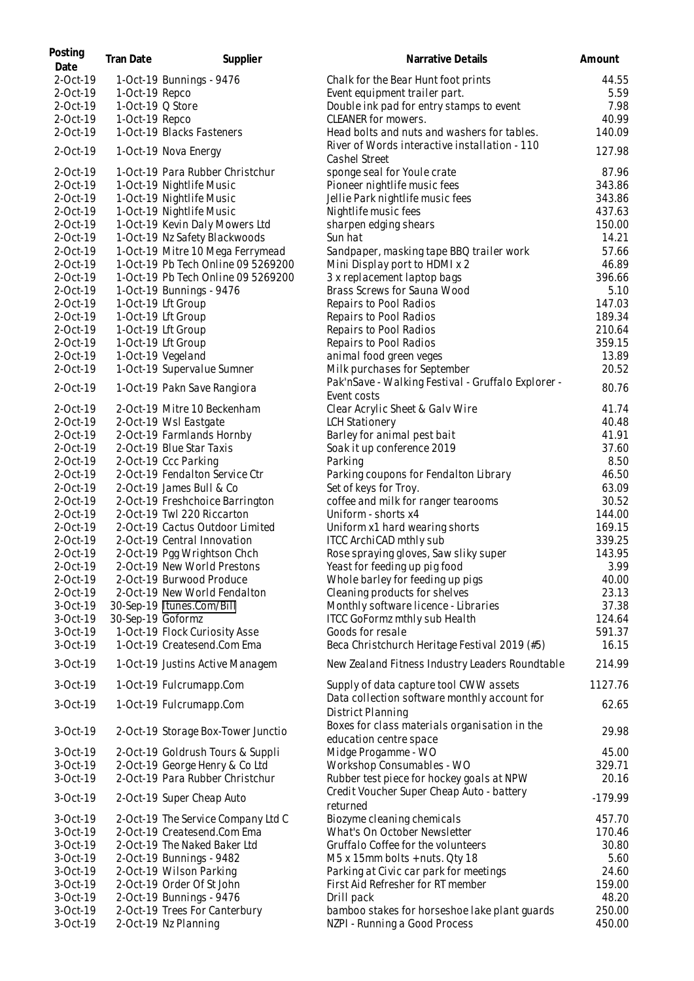| Posting<br>Date      | Tran Date         | Supplier                                                          | Narrative Details                                                                                | Amount          |
|----------------------|-------------------|-------------------------------------------------------------------|--------------------------------------------------------------------------------------------------|-----------------|
| 2-Oct-19             |                   | 1-Oct-19 Bunnings - 9476                                          | Chalk for the Bear Hunt foot prints                                                              | 44.55           |
| 2-Oct-19             | 1-Oct-19 Repco    |                                                                   | Event equipment trailer part.                                                                    | 5.59            |
| 2-Oct-19             | 1-Oct-19 Q Store  |                                                                   | Double ink pad for entry stamps to event                                                         | 7.98            |
| 2-Oct-19             | 1-Oct-19 Repco    |                                                                   | CLEANER for mowers.                                                                              | 40.99           |
| 2-Oct-19             |                   | 1-Oct-19 Blacks Fasteners                                         | Head bolts and nuts and washers for tables.                                                      | 140.09          |
| 2-Oct-19             |                   | 1-Oct-19 Nova Energy                                              | River of Words interactive installation - 110<br>Cashel Street                                   | 127.98          |
| 2-Oct-19             |                   | 1-Oct-19 Para Rubber Christchur                                   | sponge seal for Youle crate                                                                      | 87.96           |
| 2-Oct-19             |                   | 1-Oct-19 Nightlife Music                                          | Pioneer nightlife music fees                                                                     | 343.86          |
| 2-Oct-19             |                   | 1-Oct-19 Nightlife Music                                          | Jellie Park nightlife music fees                                                                 | 343.86          |
| 2-Oct-19             |                   | 1-Oct-19 Nightlife Music                                          | Nightlife music fees                                                                             | 437.63          |
| 2-Oct-19             |                   | 1-Oct-19 Kevin Daly Mowers Ltd                                    | sharpen edging shears                                                                            | 150.00          |
| 2-Oct-19             |                   | 1-Oct-19 Nz Safety Blackwoods                                     | Sun hat                                                                                          | 14.21           |
| 2-Oct-19             |                   | 1-Oct-19 Mitre 10 Mega Ferrymead                                  | Sandpaper, masking tape BBQ trailer work                                                         | 57.66           |
| 2-Oct-19             |                   | 1-Oct-19 Pb Tech Online 09 5269200                                | Mini Display port to HDMI x 2                                                                    | 46.89           |
| 2-Oct-19             |                   | 1-Oct-19 Pb Tech Online 09 5269200                                | 3 x replacement laptop bags                                                                      | 396.66          |
| 2-Oct-19             |                   | 1-Oct-19 Bunnings - 9476                                          | Brass Screws for Sauna Wood                                                                      | 5.10            |
| 2-Oct-19             |                   | 1-Oct-19 Lft Group                                                | Repairs to Pool Radios                                                                           | 147.03          |
| 2-Oct-19             |                   | 1-Oct-19 Lft Group                                                | Repairs to Pool Radios                                                                           | 189.34          |
| 2-Oct-19             |                   | 1-Oct-19 Lft Group                                                | Repairs to Pool Radios                                                                           | 210.64          |
| 2-Oct-19             |                   | 1-Oct-19 Lft Group                                                | Repairs to Pool Radios                                                                           | 359.15          |
| 2-Oct-19             |                   | 1-Oct-19 Vegeland                                                 | animal food green veges                                                                          | 13.89           |
| 2-Oct-19             |                   | 1-Oct-19 Supervalue Sumner                                        | Milk purchases for September                                                                     | 20.52           |
|                      |                   |                                                                   | Pak'nSave - Walking Festival - Gruffalo Explorer -                                               |                 |
| 2-Oct-19             |                   | 1-Oct-19 Pakn Save Rangiora                                       | Event costs                                                                                      | 80.76           |
| 2-Oct-19             |                   | 2-Oct-19 Mitre 10 Beckenham                                       | Clear Acrylic Sheet & Galv Wire                                                                  | 41.74           |
| 2-Oct-19             |                   | 2-Oct-19 Wsl Eastgate                                             | <b>LCH Stationery</b>                                                                            | 40.48           |
| 2-Oct-19             |                   | 2-Oct-19 Farmlands Hornby                                         | Barley for animal pest bait                                                                      | 41.91           |
| 2-Oct-19             |                   | 2-Oct-19 Blue Star Taxis                                          | Soak it up conference 2019                                                                       | 37.60           |
| 2-Oct-19             |                   | 2-Oct-19 Ccc Parking                                              | Parking                                                                                          | 8.50            |
| 2-Oct-19             |                   | 2-Oct-19 Fendalton Service Ctr                                    | Parking coupons for Fendalton Library                                                            | 46.50           |
| 2-Oct-19             |                   | 2-Oct-19 James Bull & Co                                          | Set of keys for Troy.                                                                            | 63.09           |
| 2-Oct-19             |                   | 2-Oct-19 Freshchoice Barrington                                   | coffee and milk for ranger tearooms                                                              | 30.52           |
| 2-Oct-19             |                   | 2-Oct-19 Twl 220 Riccarton                                        | Uniform - shorts x4                                                                              | 144.00          |
| 2-Oct-19             |                   | 2-Oct-19 Cactus Outdoor Limited                                   | Uniform x1 hard wearing shorts                                                                   | 169.15          |
| 2-Oct-19             |                   | 2-Oct-19 Central Innovation                                       | ITCC ArchiCAD mthly sub                                                                          | 339.25          |
| 2-Oct-19             |                   | 2-Oct-19 Pgg Wrightson Chch                                       | Rose spraying gloves, Saw sliky super                                                            | 143.95          |
| 2-Oct-19             |                   | 2-Oct-19 New World Prestons                                       | Yeast for feeding up pig food                                                                    | 3.99            |
| 2-Oct-19             |                   | 2-Oct-19 Burwood Produce                                          | Whole barley for feeding up pigs                                                                 | 40.00           |
| 2-Oct-19             |                   | 2-Oct-19 New World Fendalton                                      | Cleaning products for shelves                                                                    | 23.13           |
| 3-Oct-19             |                   | 30-Sep-19 Itunes.Com/Bill                                         | Monthly software licence - Libraries                                                             | 37.38           |
| 3-Oct-19             | 30-Sep-19 Goformz |                                                                   | ITCC GoFormz mthly sub Health                                                                    | 124.64          |
| 3-Oct-19             |                   | 1-Oct-19 Flock Curiosity Asse                                     | Goods for resale                                                                                 | 591.37          |
| 3-Oct-19<br>3-Oct-19 |                   | 1-Oct-19 Createsend.Com Ema<br>1-Oct-19 Justins Active Managem    | Beca Christchurch Heritage Festival 2019 (#5)<br>New Zealand Fitness Industry Leaders Roundtable | 16.15<br>214.99 |
|                      |                   |                                                                   |                                                                                                  |                 |
| $3-Oct-19$           |                   | 1-Oct-19 Fulcrumapp.Com                                           | Supply of data capture tool CWW assets<br>Data collection software monthly account for           | 1127.76         |
| 3-Oct-19             |                   | 1-Oct-19 Fulcrumapp.Com                                           | District Planning<br>Boxes for class materials organisation in the                               | 62.65           |
| 3-Oct-19             |                   | 2-Oct-19 Storage Box-Tower Junctio                                | education centre space                                                                           | 29.98           |
| 3-Oct-19             |                   | 2-Oct-19 Goldrush Tours & Suppli                                  | Midge Progamme - WO                                                                              | 45.00           |
| 3-Oct-19<br>3-Oct-19 |                   | 2-Oct-19 George Henry & Co Ltd<br>2-Oct-19 Para Rubber Christchur | Workshop Consumables - WO                                                                        | 329.71          |
|                      |                   |                                                                   | Rubber test piece for hockey goals at NPW                                                        | 20.16           |
| 3-Oct-19             |                   | 2-Oct-19 Super Cheap Auto                                         | Credit Voucher Super Cheap Auto - battery<br>returned                                            | $-179.99$       |
| 3-Oct-19             |                   | 2-Oct-19 The Service Company Ltd C                                | Biozyme cleaning chemicals                                                                       | 457.70          |
| 3-Oct-19             |                   | 2-Oct-19 Createsend.Com Ema                                       | What's On October Newsletter                                                                     | 170.46          |
| 3-Oct-19             |                   | 2-Oct-19 The Naked Baker Ltd                                      | Gruffalo Coffee for the volunteers                                                               | 30.80           |
| 3-Oct-19             |                   | 2-Oct-19 Bunnings - 9482                                          | M5 x 15mm bolts + nuts. Qty 18                                                                   | 5.60            |
| 3-Oct-19             |                   | 2-Oct-19 Wilson Parking                                           | Parking at Civic car park for meetings                                                           | 24.60           |
| 3-Oct-19             |                   | 2-Oct-19 Order Of St John                                         | First Aid Refresher for RT member                                                                | 159.00          |
| 3-Oct-19             |                   | 2-Oct-19 Bunnings - 9476                                          | Drill pack                                                                                       | 48.20           |
| 3-Oct-19             |                   | 2-Oct-19 Trees For Canterbury                                     | bamboo stakes for horseshoe lake plant guards                                                    | 250.00          |
| 3-Oct-19             |                   | 2-Oct-19 Nz Planning                                              | NZPI - Running a Good Process                                                                    | 450.00          |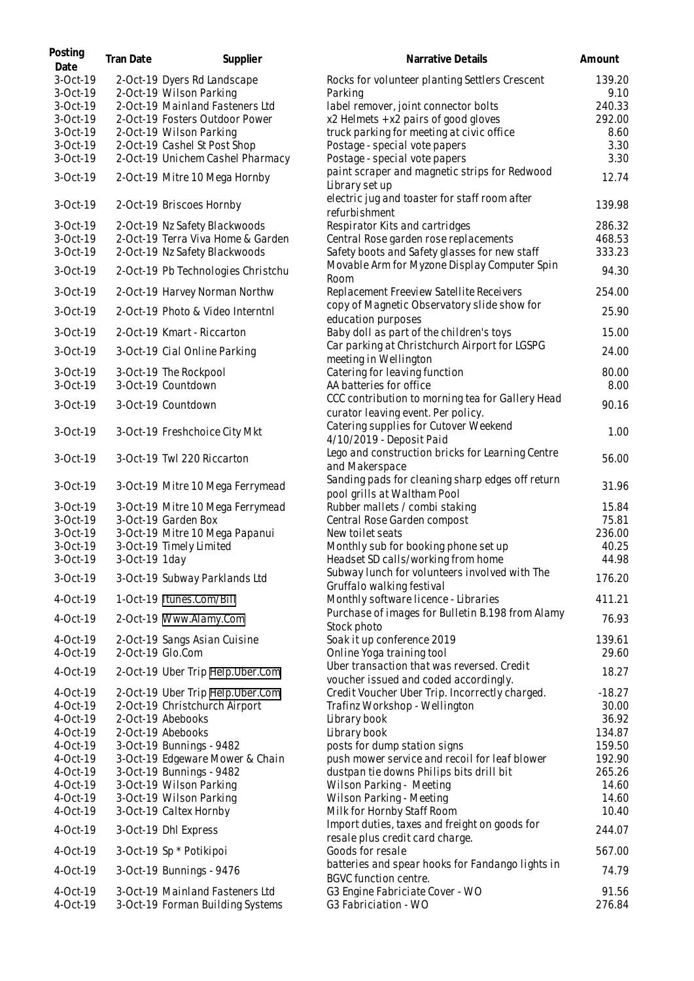| Posting<br>Date      | Tran Date     | Supplier                                                            | Narrative Details                                                                   | Amount          |
|----------------------|---------------|---------------------------------------------------------------------|-------------------------------------------------------------------------------------|-----------------|
| 3-Oct-19             |               | 2-Oct-19 Dyers Rd Landscape                                         | Rocks for volunteer planting Settlers Crescent                                      | 139.20          |
| 3-Oct-19             |               | 2-Oct-19 Wilson Parking                                             | Parking                                                                             | 9.10            |
| 3-Oct-19             |               | 2-Oct-19 Mainland Fasteners Ltd                                     | label remover, joint connector bolts                                                | 240.33          |
| 3-Oct-19             |               | 2-Oct-19 Fosters Outdoor Power                                      | x2 Helmets + x2 pairs of good gloves                                                | 292.00          |
| 3-Oct-19<br>3-Oct-19 |               | 2-Oct-19 Wilson Parking<br>2-Oct-19 Cashel St Post Shop             | truck parking for meeting at civic office                                           | 8.60<br>3.30    |
| 3-Oct-19             |               | 2-Oct-19 Unichem Cashel Pharmacy                                    | Postage - special vote papers<br>Postage - special vote papers                      | 3.30            |
|                      |               |                                                                     | paint scraper and magnetic strips for Redwood                                       |                 |
| 3-Oct-19             |               | 2-Oct-19 Mitre 10 Mega Hornby                                       | Library set up                                                                      | 12.74           |
| 3-Oct-19             |               | 2-Oct-19 Briscoes Hornby                                            | electric jug and toaster for staff room after<br>refurbishment                      | 139.98          |
| 3-Oct-19             |               | 2-Oct-19 Nz Safety Blackwoods                                       | Respirator Kits and cartridges                                                      | 286.32          |
| 3-Oct-19             |               | 2-Oct-19 Terra Viva Home & Garden                                   | Central Rose garden rose replacements                                               | 468.53          |
| 3-Oct-19             |               | 2-Oct-19 Nz Safety Blackwoods                                       | Safety boots and Safety glasses for new staff                                       | 333.23          |
| 3-Oct-19             |               | 2-Oct-19 Pb Technologies Christchu                                  | Movable Arm for Myzone Display Computer Spin<br>Room                                | 94.30           |
| 3-Oct-19             |               | 2-Oct-19 Harvey Norman Northw                                       | Replacement Freeview Satellite Receivers                                            | 254.00          |
| 3-Oct-19             |               | 2-Oct-19 Photo & Video Interntnl                                    | copy of Magnetic Observatory slide show for<br>education purposes                   | 25.90           |
| 3-Oct-19             |               | 2-Oct-19 Kmart - Riccarton                                          | Baby doll as part of the children's toys                                            | 15.00           |
| 3-Oct-19             |               | 3-Oct-19 Cial Online Parking                                        | Car parking at Christchurch Airport for LGSPG<br>meeting in Wellington              | 24.00           |
| 3-Oct-19             |               | 3-Oct-19 The Rockpool                                               | Catering for leaving function                                                       | 80.00           |
| 3-Oct-19             |               | 3-Oct-19 Countdown                                                  | AA batteries for office                                                             | 8.00            |
| 3-Oct-19             |               | 3-Oct-19 Countdown                                                  | CCC contribution to morning tea for Gallery Head                                    | 90.16           |
|                      |               |                                                                     | curator leaving event. Per policy.                                                  |                 |
| 3-Oct-19             |               | 3-Oct-19 Freshchoice City Mkt                                       | Catering supplies for Cutover Weekend<br>4/10/2019 - Deposit Paid                   | 1.00            |
| 3-Oct-19             |               | 3-Oct-19 Twl 220 Riccarton                                          | Lego and construction bricks for Learning Centre<br>and Makerspace                  | 56.00           |
| 3-Oct-19             |               | 3-Oct-19 Mitre 10 Mega Ferrymead                                    | Sanding pads for cleaning sharp edges off return<br>pool grills at Waltham Pool     | 31.96           |
| 3-Oct-19             |               | 3-Oct-19 Mitre 10 Mega Ferrymead                                    | Rubber mallets / combi staking                                                      | 15.84           |
| 3-Oct-19             |               | 3-Oct-19 Garden Box                                                 | Central Rose Garden compost                                                         | 75.81           |
| 3-Oct-19             |               | 3-Oct-19 Mitre 10 Mega Papanui                                      | New toilet seats                                                                    | 236.00          |
| 3-Oct-19             |               | 3-Oct-19 Timely Limited                                             | Monthly sub for booking phone set up                                                | 40.25           |
| 3-Oct-19             | 3-Oct-19 1day |                                                                     | Headset SD calls/working from home                                                  | 44.98           |
|                      |               |                                                                     | Subway lunch for volunteers involved with The                                       |                 |
| 3-Oct-19             |               | 3-Oct-19 Subway Parklands Ltd                                       | Gruffalo walking festival                                                           | 176.20          |
| 4-Oct-19             |               | 1-Oct-19 Itunes.Com/Bill                                            | Monthly software licence - Libraries                                                | 411.21          |
| 4-Oct-19             |               | 2-Oct-19 Www.Alamy.Com                                              | Purchase of images for Bulletin B.198 from Alamy<br>Stock photo                     | 76.93           |
| 4-Oct-19             |               | 2-Oct-19 Sangs Asian Cuisine                                        | Soak it up conference 2019                                                          | 139.61          |
| 4-Oct-19             |               | 2-Oct-19 Glo.Com                                                    | Online Yoga training tool                                                           | 29.60           |
| 4-Oct-19             |               | 2-Oct-19 Uber Trip Help.Uber.Com                                    | Uber transaction that was reversed. Credit<br>voucher issued and coded accordingly. | 18.27           |
| 4-Oct-19             |               | 2-Oct-19 Uber Trip Help.Uber.Com                                    | Credit Voucher Uber Trip. Incorrectly charged.                                      | $-18.27$        |
| 4-Oct-19             |               | 2-Oct-19 Christchurch Airport                                       | Trafinz Workshop - Wellington                                                       | 30.00           |
| 4-Oct-19             |               | 2-Oct-19 Abebooks                                                   | Library book                                                                        | 36.92           |
| 4-Oct-19             |               | 2-Oct-19 Abebooks                                                   | Library book                                                                        | 134.87          |
| 4-Oct-19             |               | 3-Oct-19 Bunnings - 9482                                            | posts for dump station signs                                                        | 159.50          |
| 4-Oct-19             |               | 3-Oct-19 Edgeware Mower & Chain                                     | push mower service and recoil for leaf blower                                       | 192.90          |
| 4-Oct-19             |               | 3-Oct-19 Bunnings - 9482                                            | dustpan tie downs Philips bits drill bit                                            | 265.26          |
| 4-Oct-19             |               | 3-Oct-19 Wilson Parking                                             | Wilson Parking - Meeting                                                            | 14.60           |
| 4-Oct-19             |               | 3-Oct-19 Wilson Parking                                             | Wilson Parking - Meeting                                                            | 14.60           |
| 4-Oct-19             |               | 3-Oct-19 Caltex Hornby                                              | Milk for Hornby Staff Room                                                          | 10.40           |
| 4-Oct-19             |               | 3-Oct-19 Dhl Express                                                | Import duties, taxes and freight on goods for<br>resale plus credit card charge.    | 244.07          |
| 4-Oct-19             |               | 3-Oct-19 Sp * Potikipoi                                             | Goods for resale                                                                    | 567.00          |
| 4-Oct-19             |               | 3-Oct-19 Bunnings - 9476                                            | batteries and spear hooks for Fandango lights in<br><b>BGVC function centre.</b>    | 74.79           |
| 4-Oct-19<br>4-Oct-19 |               | 3-Oct-19 Mainland Fasteners Ltd<br>3-Oct-19 Forman Building Systems | G3 Engine Fabriciate Cover - WO<br>G3 Fabriciation - WO                             | 91.56<br>276.84 |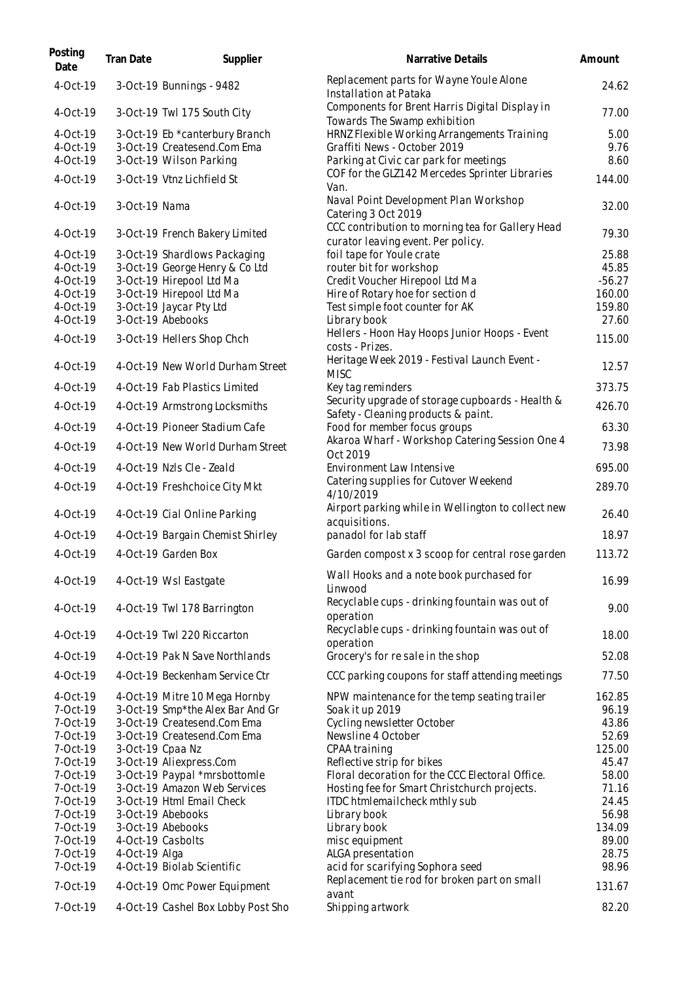| Posting<br>Date | Tran Date     | Supplier                           | Narrative Details                                                                       | Amount   |
|-----------------|---------------|------------------------------------|-----------------------------------------------------------------------------------------|----------|
| 4-Oct-19        |               | 3-Oct-19 Bunnings - 9482           | Replacement parts for Wayne Youle Alone<br>Installation at Pataka                       | 24.62    |
| 4-Oct-19        |               | 3-Oct-19 Twl 175 South City        | Components for Brent Harris Digital Display in<br>Towards The Swamp exhibition          | 77.00    |
| $4-Oct-19$      |               | 3-Oct-19 Eb *canterbury Branch     | HRNZ Flexible Working Arrangements Training                                             | 5.00     |
| 4-Oct-19        |               | 3-Oct-19 Createsend.Com Ema        | Graffiti News - October 2019                                                            | 9.76     |
| 4-Oct-19        |               | 3-Oct-19 Wilson Parking            | Parking at Civic car park for meetings                                                  | 8.60     |
| 4-Oct-19        |               | 3-Oct-19 Vtnz Lichfield St         | COF for the GLZ142 Mercedes Sprinter Libraries<br>Van.                                  | 144.00   |
| 4-Oct-19        | 3-Oct-19 Nama |                                    | Naval Point Development Plan Workshop<br>Catering 3 Oct 2019                            | 32.00    |
| 4-Oct-19        |               | 3-Oct-19 French Bakery Limited     | CCC contribution to morning tea for Gallery Head<br>curator leaving event. Per policy.  | 79.30    |
| 4-Oct-19        |               | 3-Oct-19 Shardlows Packaging       | foil tape for Youle crate                                                               | 25.88    |
| 4-Oct-19        |               | 3-Oct-19 George Henry & Co Ltd     | router bit for workshop                                                                 | 45.85    |
| 4-Oct-19        |               | 3-Oct-19 Hirepool Ltd Ma           | Credit Voucher Hirepool Ltd Ma                                                          | $-56.27$ |
| 4-Oct-19        |               | 3-Oct-19 Hirepool Ltd Ma           | Hire of Rotary hoe for section d                                                        | 160.00   |
| 4-Oct-19        |               | 3-Oct-19 Jaycar Pty Ltd            | Test simple foot counter for AK                                                         | 159.80   |
| 4-Oct-19        |               | 3-Oct-19 Abebooks                  | Library book                                                                            | 27.60    |
| 4-Oct-19        |               | 3-Oct-19 Hellers Shop Chch         | Hellers - Hoon Hay Hoops Junior Hoops - Event<br>costs - Prizes.                        | 115.00   |
| 4-Oct-19        |               | 4-Oct-19 New World Durham Street   | Heritage Week 2019 - Festival Launch Event -<br><b>MISC</b>                             | 12.57    |
| 4-Oct-19        |               | 4-Oct-19 Fab Plastics Limited      | Key tag reminders                                                                       | 373.75   |
| 4-Oct-19        |               | 4-Oct-19 Armstrong Locksmiths      | Security upgrade of storage cupboards - Health &<br>Safety - Cleaning products & paint. | 426.70   |
| 4-Oct-19        |               | 4-Oct-19 Pioneer Stadium Cafe      | Food for member focus groups                                                            | 63.30    |
| 4-Oct-19        |               | 4-Oct-19 New World Durham Street   | Akaroa Wharf - Workshop Catering Session One 4<br>Oct 2019                              | 73.98    |
| 4-Oct-19        |               | 4-Oct-19 Nzls Cle - Zeald          | Environment Law Intensive                                                               | 695.00   |
| 4-Oct-19        |               | 4-Oct-19 Freshchoice City Mkt      | Catering supplies for Cutover Weekend<br>4/10/2019                                      | 289.70   |
| 4-Oct-19        |               | 4-Oct-19 Cial Online Parking       | Airport parking while in Wellington to collect new<br>acquisitions.                     | 26.40    |
| 4-Oct-19        |               | 4-Oct-19 Bargain Chemist Shirley   | panadol for lab staff                                                                   | 18.97    |
| 4-Oct-19        |               | 4-Oct-19 Garden Box                | Garden compost x 3 scoop for central rose garden                                        | 113.72   |
| 4-Oct-19        |               | 4-Oct-19 Wsl Eastgate              | Wall Hooks and a note book purchased for<br>Linwood                                     | 16.99    |
| 4-Oct-19        |               | 4-Oct-19 Twl 178 Barrington        | Recyclable cups - drinking fountain was out of<br>operation                             | 9.00     |
| $4-Oct-19$      |               | 4-Oct-19 Twl 220 Riccarton         | Recyclable cups - drinking fountain was out of<br>operation                             | 18.00    |
| 4-Oct-19        |               | 4-Oct-19 Pak N Save Northlands     | Grocery's for resale in the shop                                                        | 52.08    |
| 4-Oct-19        |               | 4-Oct-19 Beckenham Service Ctr     | CCC parking coupons for staff attending meetings                                        | 77.50    |
| 4-Oct-19        |               | 4-Oct-19 Mitre 10 Mega Hornby      | NPW maintenance for the temp seating trailer                                            | 162.85   |
| 7-Oct-19        |               | 3-Oct-19 Smp*the Alex Bar And Gr   | Soak it up 2019                                                                         | 96.19    |
| 7-Oct-19        |               | 3-Oct-19 Createsend.Com Ema        | Cycling newsletter October                                                              | 43.86    |
| 7-Oct-19        |               | 3-Oct-19 Createsend.Com Ema        | Newsline 4 October                                                                      | 52.69    |
| 7-Oct-19        |               | 3-Oct-19 Cpaa Nz                   | CPAA training                                                                           | 125.00   |
| 7-Oct-19        |               | 3-Oct-19 Aliexpress.Com            | Reflective strip for bikes                                                              | 45.47    |
| 7-Oct-19        |               | 3-Oct-19 Paypal *mrsbottomle       | Floral decoration for the CCC Electoral Office.                                         | 58.00    |
| 7-Oct-19        |               | 3-Oct-19 Amazon Web Services       | Hosting fee for Smart Christchurch projects.                                            | 71.16    |
| 7-Oct-19        |               | 3-Oct-19 Html Email Check          | ITDC htmlemailcheck mthly sub                                                           | 24.45    |
| 7-Oct-19        |               | 3-Oct-19 Abebooks                  | Library book                                                                            | 56.98    |
| 7-Oct-19        |               | 3-Oct-19 Abebooks                  | Library book                                                                            | 134.09   |
| 7-Oct-19        |               | 4-Oct-19 Casbolts                  | misc equipment                                                                          | 89.00    |
| 7-Oct-19        | 4-Oct-19 Alga |                                    | ALGA presentation                                                                       | 28.75    |
| 7-Oct-19        |               | 4-Oct-19 Biolab Scientific         | acid for scarifying Sophora seed                                                        | 98.96    |
| 7-Oct-19        |               | 4-Oct-19 Omc Power Equipment       | Replacement tie rod for broken part on small                                            | 131.67   |
| 7-Oct-19        |               | 4-Oct-19 Cashel Box Lobby Post Sho | avant<br>Shipping artwork                                                               | 82.20    |
|                 |               |                                    |                                                                                         |          |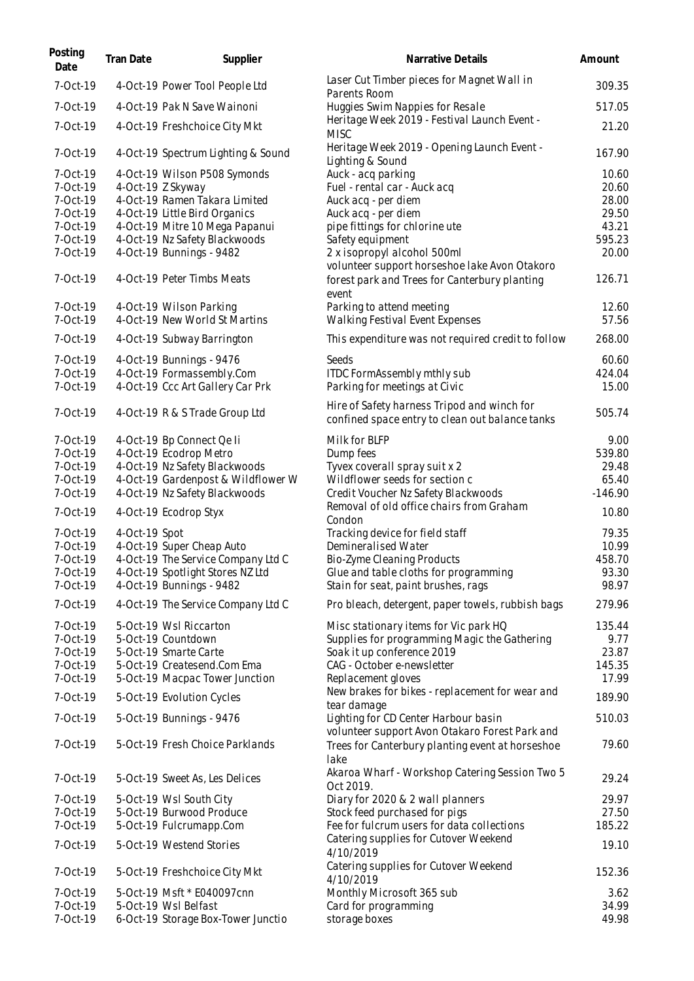| Posting<br>Date      | Tran Date     | Supplier                                                 | Narrative Details                                                                                       | Amount         |
|----------------------|---------------|----------------------------------------------------------|---------------------------------------------------------------------------------------------------------|----------------|
| 7-Oct-19             |               | 4-Oct-19 Power Tool People Ltd                           | Laser Cut Timber pieces for Magnet Wall in<br>Parents Room                                              | 309.35         |
| 7-Oct-19             |               | 4-Oct-19 Pak N Save Wainoni                              | Huggies Swim Nappies for Resale                                                                         | 517.05         |
| 7-Oct-19             |               | 4-Oct-19 Freshchoice City Mkt                            | Heritage Week 2019 - Festival Launch Event -<br><b>MISC</b>                                             | 21.20          |
| 7-Oct-19             |               | 4-Oct-19 Spectrum Lighting & Sound                       | Heritage Week 2019 - Opening Launch Event -<br>Lighting & Sound                                         | 167.90         |
| 7-Oct-19             |               | 4-Oct-19 Wilson P508 Symonds                             | Auck - acq parking                                                                                      | 10.60          |
| 7-Oct-19             |               | 4-Oct-19 Z Skyway                                        | Fuel - rental car - Auck acq                                                                            | 20.60          |
| 7-Oct-19             |               | 4-Oct-19 Ramen Takara Limited                            | Auck acq - per diem                                                                                     | 28.00          |
| 7-Oct-19             |               | 4-Oct-19 Little Bird Organics                            | Auck acq - per diem                                                                                     | 29.50          |
| 7-Oct-19             |               | 4-Oct-19 Mitre 10 Mega Papanui                           | pipe fittings for chlorine ute                                                                          | 43.21          |
| 7-Oct-19             |               | 4-Oct-19 Nz Safety Blackwoods                            | Safety equipment                                                                                        | 595.23         |
| 7-Oct-19             |               | 4-Oct-19 Bunnings - 9482                                 | 2 x isopropyl alcohol 500ml                                                                             | 20.00          |
| 7-Oct-19             |               | 4-Oct-19 Peter Timbs Meats                               | volunteer support horseshoe lake Avon Otakoro<br>forest park and Trees for Canterbury planting<br>event | 126.71         |
| 7-Oct-19<br>7-Oct-19 |               | 4-Oct-19 Wilson Parking<br>4-Oct-19 New World St Martins | Parking to attend meeting<br>Walking Festival Event Expenses                                            | 12.60<br>57.56 |
| 7-Oct-19             |               | 4-Oct-19 Subway Barrington                               | This expenditure was not required credit to follow                                                      | 268.00         |
| 7-Oct-19             |               | 4-Oct-19 Bunnings - 9476                                 | Seeds                                                                                                   | 60.60          |
| 7-Oct-19             |               | 4-Oct-19 Formassembly.Com                                | ITDC FormAssembly mthly sub                                                                             | 424.04         |
| 7-Oct-19             |               | 4-Oct-19 Ccc Art Gallery Car Prk                         | Parking for meetings at Civic                                                                           | 15.00          |
| 7-Oct-19             |               | 4-Oct-19 R & S Trade Group Ltd                           | Hire of Safety harness Tripod and winch for<br>confined space entry to clean out balance tanks          | 505.74         |
| 7-Oct-19             |               | 4-Oct-19 Bp Connect Qe li                                | Milk for BLFP                                                                                           | 9.00           |
| 7-Oct-19             |               | 4-Oct-19 Ecodrop Metro                                   | Dump fees                                                                                               | 539.80         |
| 7-Oct-19             |               | 4-Oct-19 Nz Safety Blackwoods                            | Tyvex coverall spray suit x 2                                                                           | 29.48          |
| 7-Oct-19             |               | 4-Oct-19 Gardenpost & Wildflower W                       | Wildflower seeds for section c                                                                          | 65.40          |
| 7-Oct-19             |               | 4-Oct-19 Nz Safety Blackwoods                            | Credit Voucher Nz Safety Blackwoods<br>Removal of old office chairs from Graham                         | $-146.90$      |
| 7-Oct-19             |               | 4-Oct-19 Ecodrop Styx                                    | Condon                                                                                                  | 10.80          |
| 7-Oct-19             | 4-Oct-19 Spot |                                                          | Tracking device for field staff                                                                         | 79.35          |
| 7-Oct-19             |               | 4-Oct-19 Super Cheap Auto                                | Demineralised Water                                                                                     | 10.99          |
| 7-Oct-19             |               | 4-Oct-19 The Service Company Ltd C                       | <b>Bio-Zyme Cleaning Products</b>                                                                       | 458.70         |
| 7-Oct-19             |               | 4-Oct-19 Spotlight Stores NZ Ltd                         | Glue and table cloths for programming                                                                   | 93.30          |
| 7-Oct-19             |               | 4-Oct-19 Bunnings - 9482                                 | Stain for seat, paint brushes, rags                                                                     | 98.97          |
| 7-Oct-19             |               | 4-Oct-19 The Service Company Ltd C                       | Pro bleach, detergent, paper towels, rubbish bags                                                       | 279.96         |
| $7-0ct-19$           |               | 5-Oct-19 Wsl Riccarton                                   | Misc stationary items for Vic park HQ                                                                   | 135.44         |
| 7-Oct-19             |               | 5-Oct-19 Countdown                                       | Supplies for programming Magic the Gathering                                                            | 9.77           |
| 7-Oct-19             |               | 5-Oct-19 Smarte Carte                                    | Soak it up conference 2019                                                                              | 23.87          |
| 7-Oct-19<br>7-Oct-19 |               | 5-Oct-19 Createsend.Com Ema                              | CAG - October e-newsletter                                                                              | 145.35         |
|                      |               | 5-Oct-19 Macpac Tower Junction                           | Replacement gloves<br>New brakes for bikes - replacement for wear and                                   | 17.99          |
| 7-Oct-19             |               | 5-Oct-19 Evolution Cycles                                | tear damage                                                                                             | 189.90         |
| 7-Oct-19             |               | 5-Oct-19 Bunnings - 9476                                 | Lighting for CD Center Harbour basin<br>volunteer support Avon Otakaro Forest Park and                  | 510.03         |
| 7-Oct-19             |               | 5-Oct-19 Fresh Choice Parklands                          | Trees for Canterbury planting event at horseshoe<br>lake                                                | 79.60          |
| 7-Oct-19             |               | 5-Oct-19 Sweet As, Les Delices                           | Akaroa Wharf - Workshop Catering Session Two 5<br>Oct 2019.                                             | 29.24          |
| 7-Oct-19             |               | 5-Oct-19 Wsl South City                                  | Diary for 2020 & 2 wall planners                                                                        | 29.97          |
| 7-Oct-19             |               | 5-Oct-19 Burwood Produce                                 | Stock feed purchased for pigs                                                                           | 27.50          |
| 7-Oct-19             |               | 5-Oct-19 Fulcrumapp.Com                                  | Fee for fulcrum users for data collections                                                              | 185.22         |
| 7-Oct-19             |               | 5-Oct-19 Westend Stories                                 | Catering supplies for Cutover Weekend<br>4/10/2019                                                      | 19.10          |
| 7-Oct-19             |               | 5-Oct-19 Freshchoice City Mkt                            | Catering supplies for Cutover Weekend<br>4/10/2019                                                      | 152.36         |
| 7-Oct-19             |               | 5-Oct-19 Msft * E040097cnn                               | Monthly Microsoft 365 sub                                                                               | 3.62           |
| 7-Oct-19             |               | 5-Oct-19 Wsl Belfast                                     | Card for programming                                                                                    | 34.99          |
| 7-Oct-19             |               | 6-Oct-19 Storage Box-Tower Junctio                       | storage boxes                                                                                           | 49.98          |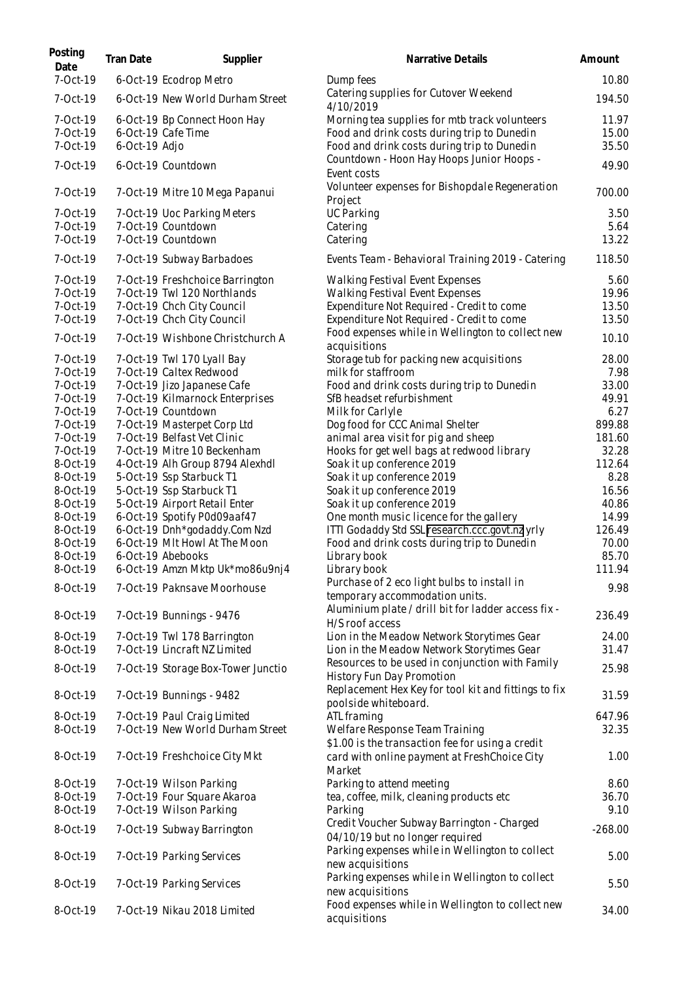| Posting<br>Date                    | Tran Date     | Supplier                                                       | Narrative Details                                                                                                                           | Amount                  |
|------------------------------------|---------------|----------------------------------------------------------------|---------------------------------------------------------------------------------------------------------------------------------------------|-------------------------|
| 7-Oct-19                           |               | 6-Oct-19 Ecodrop Metro                                         | Dump fees                                                                                                                                   | 10.80                   |
| 7-Oct-19                           |               | 6-Oct-19 New World Durham Street                               | Catering supplies for Cutover Weekend<br>4/10/2019                                                                                          | 194.50                  |
| $7-0ct-19$<br>7-Oct-19<br>7-Oct-19 | 6-Oct-19 Adjo | 6-Oct-19 Bp Connect Hoon Hay<br>6-Oct-19 Cafe Time             | Morning tea supplies for mtb track volunteers<br>Food and drink costs during trip to Dunedin<br>Food and drink costs during trip to Dunedin | 11.97<br>15.00<br>35.50 |
| 7-Oct-19                           |               | 6-Oct-19 Countdown                                             | Countdown - Hoon Hay Hoops Junior Hoops -<br>Event costs                                                                                    | 49.90                   |
| 7-Oct-19                           |               | 7-Oct-19 Mitre 10 Mega Papanui                                 | Volunteer expenses for Bishopdale Regeneration<br>Project                                                                                   | 700.00                  |
| 7-Oct-19<br>7-Oct-19               |               | 7-Oct-19 Uoc Parking Meters<br>7-Oct-19 Countdown              | <b>UC Parking</b>                                                                                                                           | 3.50<br>5.64            |
| 7-Oct-19                           |               | 7-Oct-19 Countdown                                             | Catering<br>Catering                                                                                                                        | 13.22                   |
| 7-Oct-19                           |               | 7-Oct-19 Subway Barbadoes                                      | Events Team - Behavioral Training 2019 - Catering                                                                                           | 118.50                  |
| 7-Oct-19                           |               | 7-Oct-19 Freshchoice Barrington                                | Walking Festival Event Expenses                                                                                                             | 5.60                    |
| 7-Oct-19<br>7-Oct-19               |               | 7-Oct-19 Twl 120 Northlands<br>7-Oct-19 Chch City Council      | Walking Festival Event Expenses<br>Expenditure Not Required - Credit to come                                                                | 19.96<br>13.50          |
| 7-Oct-19                           |               | 7-Oct-19 Chch City Council                                     | Expenditure Not Required - Credit to come                                                                                                   | 13.50                   |
| 7-Oct-19                           |               | 7-Oct-19 Wishbone Christchurch A                               | Food expenses while in Wellington to collect new                                                                                            | 10.10                   |
| 7-Oct-19                           |               | 7-Oct-19 Twl 170 Lyall Bay                                     | acquisitions<br>Storage tub for packing new acquisitions                                                                                    | 28.00                   |
| 7-Oct-19                           |               | 7-Oct-19 Caltex Redwood                                        | milk for staffroom                                                                                                                          | 7.98                    |
| 7-Oct-19                           |               | 7-Oct-19 Jizo Japanese Cafe                                    | Food and drink costs during trip to Dunedin                                                                                                 | 33.00                   |
| 7-Oct-19                           |               | 7-Oct-19 Kilmarnock Enterprises                                | SfB headset refurbishment                                                                                                                   | 49.91                   |
| 7-Oct-19                           |               | 7-Oct-19 Countdown                                             | Milk for Carlyle                                                                                                                            | 6.27                    |
| 7-Oct-19                           |               | 7-Oct-19 Masterpet Corp Ltd                                    | Dog food for CCC Animal Shelter                                                                                                             | 899.88                  |
| 7-Oct-19                           |               | 7-Oct-19 Belfast Vet Clinic                                    | animal area visit for pig and sheep                                                                                                         | 181.60                  |
| 7-Oct-19<br>8-Oct-19               |               | 7-Oct-19 Mitre 10 Beckenham<br>4-Oct-19 Alh Group 8794 Alexhdl | Hooks for get well bags at redwood library<br>Soak it up conference 2019                                                                    | 32.28<br>112.64         |
| 8-Oct-19                           |               | 5-Oct-19 Ssp Starbuck T1                                       | Soak it up conference 2019                                                                                                                  | 8.28                    |
| 8-Oct-19                           |               | 5-Oct-19 Ssp Starbuck T1                                       | Soak it up conference 2019                                                                                                                  | 16.56                   |
| 8-Oct-19                           |               | 5-Oct-19 Airport Retail Enter                                  | Soak it up conference 2019                                                                                                                  | 40.86                   |
| 8-Oct-19                           |               | 6-Oct-19 Spotify P0d09aaf47                                    | One month music licence for the gallery                                                                                                     | 14.99                   |
| 8-Oct-19                           |               | 6-Oct-19 Dnh*godaddy.Com Nzd                                   | ITTI Godaddy Std SSL research.ccc.govt.nz yrly                                                                                              | 126.49                  |
| 8-Oct-19                           |               | 6-Oct-19 MIt Howl At The Moon                                  | Food and drink costs during trip to Dunedin                                                                                                 | 70.00                   |
| 8-Oct-19                           |               | 6-Oct-19 Abebooks                                              | Library book                                                                                                                                | 85.70                   |
| 8-Oct-19                           |               | 6-Oct-19 Amzn Mktp Uk*mo86u9nj4                                | Library book                                                                                                                                | 111.94                  |
| 8-Oct-19                           |               | 7-Oct-19 Paknsave Moorhouse                                    | Purchase of 2 eco light bulbs to install in<br>temporary accommodation units.                                                               | 9.98                    |
| 8-Oct-19                           |               | 7-Oct-19 Bunnings - 9476                                       | Aluminium plate / drill bit for ladder access fix -<br>H/S roof access                                                                      | 236.49                  |
| 8-Oct-19                           |               | 7-Oct-19 Twl 178 Barrington                                    | Lion in the Meadow Network Storytimes Gear                                                                                                  | 24.00                   |
| 8-Oct-19                           |               | 7-Oct-19 Lincraft NZ Limited                                   | Lion in the Meadow Network Storytimes Gear<br>Resources to be used in conjunction with Family                                               | 31.47                   |
| 8-Oct-19                           |               | 7-Oct-19 Storage Box-Tower Junctio                             | History Fun Day Promotion                                                                                                                   | 25.98                   |
| 8-Oct-19                           |               | 7-Oct-19 Bunnings - 9482                                       | Replacement Hex Key for tool kit and fittings to fix<br>poolside whiteboard.                                                                | 31.59                   |
| 8-Oct-19                           |               | 7-Oct-19 Paul Craig Limited                                    | ATL framing                                                                                                                                 | 647.96                  |
| 8-Oct-19                           |               | 7-Oct-19 New World Durham Street                               | Welfare Response Team Training<br>\$1.00 is the transaction fee for using a credit                                                          | 32.35                   |
| 8-Oct-19                           |               | 7-Oct-19 Freshchoice City Mkt                                  | card with online payment at FreshChoice City<br>Market                                                                                      | 1.00                    |
| 8-Oct-19                           |               | 7-Oct-19 Wilson Parking                                        | Parking to attend meeting                                                                                                                   | 8.60                    |
| 8-Oct-19                           |               | 7-Oct-19 Four Square Akaroa                                    | tea, coffee, milk, cleaning products etc                                                                                                    | 36.70                   |
| 8-Oct-19                           |               | 7-Oct-19 Wilson Parking                                        | Parking                                                                                                                                     | 9.10                    |
| 8-Oct-19                           |               | 7-Oct-19 Subway Barrington                                     | Credit Voucher Subway Barrington - Charged<br>04/10/19 but no longer required                                                               | $-268.00$               |
| 8-Oct-19                           |               | 7-Oct-19 Parking Services                                      | Parking expenses while in Wellington to collect<br>new acquisitions                                                                         | 5.00                    |
| 8-Oct-19                           |               | 7-Oct-19 Parking Services                                      | Parking expenses while in Wellington to collect<br>new acquisitions                                                                         | 5.50                    |
| 8-Oct-19                           |               | 7-Oct-19 Nikau 2018 Limited                                    | Food expenses while in Wellington to collect new<br>acquisitions                                                                            | 34.00                   |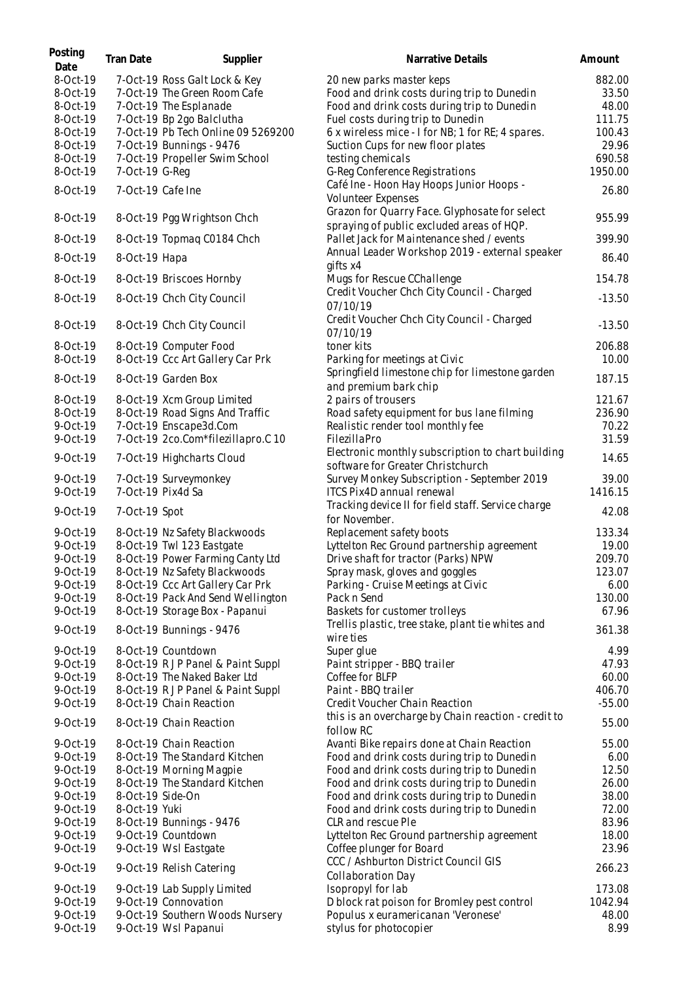| Posting<br>Date      | Tran Date        | Supplier                                                         | Narrative Details                                                                          | Amount           |
|----------------------|------------------|------------------------------------------------------------------|--------------------------------------------------------------------------------------------|------------------|
| 8-Oct-19             |                  | 7-Oct-19 Ross Galt Lock & Key                                    | 20 new parks master keps                                                                   | 882.00           |
| 8-Oct-19             |                  | 7-Oct-19 The Green Room Cafe                                     | Food and drink costs during trip to Dunedin                                                | 33.50            |
| 8-Oct-19             |                  | 7-Oct-19 The Esplanade                                           | Food and drink costs during trip to Dunedin                                                | 48.00            |
| 8-Oct-19             |                  | 7-Oct-19 Bp 2go Balclutha                                        | Fuel costs during trip to Dunedin                                                          | 111.75           |
| 8-Oct-19<br>8-Oct-19 |                  | 7-Oct-19 Pb Tech Online 09 5269200<br>7-Oct-19 Bunnings - 9476   | 6 x wireless mice - I for NB; 1 for RE; 4 spares.                                          | 100.43<br>29.96  |
| 8-Oct-19             |                  | 7-Oct-19 Propeller Swim School                                   | Suction Cups for new floor plates<br>testing chemicals                                     | 690.58           |
| 8-Oct-19             | 7-Oct-19 G-Req   |                                                                  | G-Reg Conference Registrations                                                             | 1950.00          |
|                      |                  |                                                                  | Café Ine - Hoon Hay Hoops Junior Hoops -                                                   |                  |
| 8-Oct-19             |                  | 7-Oct-19 Cafe Ine                                                | Volunteer Expenses                                                                         | 26.80            |
| 8-Oct-19             |                  | 8-Oct-19 Pgg Wrightson Chch                                      | Grazon for Quarry Face. Glyphosate for select<br>spraying of public excluded areas of HQP. | 955.99           |
| 8-Oct-19             |                  | 8-Oct-19 Topmag C0184 Chch                                       | Pallet Jack for Maintenance shed / events                                                  | 399.90           |
| 8-Oct-19             | 8-Oct-19 Hapa    |                                                                  | Annual Leader Workshop 2019 - external speaker<br>qifts x4                                 | 86.40            |
| 8-Oct-19             |                  | 8-Oct-19 Briscoes Hornby                                         | Mugs for Rescue CChallenge                                                                 | 154.78           |
| 8-Oct-19             |                  | 8-Oct-19 Chch City Council                                       | Credit Voucher Chch City Council - Charged<br>07/10/19                                     | $-13.50$         |
| 8-Oct-19             |                  | 8-Oct-19 Chch City Council                                       | Credit Voucher Chch City Council - Charged<br>07/10/19                                     | $-13.50$         |
| 8-Oct-19             |                  | 8-Oct-19 Computer Food                                           | toner kits                                                                                 | 206.88           |
| 8-Oct-19             |                  | 8-Oct-19 Ccc Art Gallery Car Prk                                 | Parking for meetings at Civic                                                              | 10.00            |
| 8-Oct-19             |                  | 8-Oct-19 Garden Box                                              | Springfield limestone chip for limestone garden<br>and premium bark chip                   | 187.15           |
| 8-Oct-19             |                  | 8-Oct-19 Xcm Group Limited                                       | 2 pairs of trousers                                                                        | 121.67           |
| 8-Oct-19             |                  | 8-Oct-19 Road Signs And Traffic                                  | Road safety equipment for bus lane filming                                                 | 236.90           |
| 9-Oct-19<br>9-Oct-19 |                  | 7-Oct-19 Enscape3d.Com<br>7-Oct-19 2co.Com*filezillapro.C 10     | Realistic render tool monthly fee<br>FilezillaPro                                          | 70.22<br>31.59   |
|                      |                  |                                                                  | Electronic monthly subscription to chart building                                          |                  |
| 9-Oct-19             |                  | 7-Oct-19 Highcharts Cloud                                        | software for Greater Christchurch                                                          | 14.65            |
| 9-Oct-19             |                  | 7-Oct-19 Surveymonkey                                            | Survey Monkey Subscription - September 2019                                                | 39.00            |
| 9-Oct-19<br>9-Oct-19 | 7-Oct-19 Spot    | 7-Oct-19 Pix4d Sa                                                | ITCS Pix4D annual renewal<br>Tracking device II for field staff. Service charge            | 1416.15<br>42.08 |
|                      |                  | 8-Oct-19 Nz Safety Blackwoods                                    | for November.                                                                              | 133.34           |
| 9-Oct-19<br>9-Oct-19 |                  | 8-Oct-19 Twl 123 Eastgate                                        | Replacement safety boots<br>Lyttelton Rec Ground partnership agreement                     | 19.00            |
| 9-Oct-19             |                  | 8-Oct-19 Power Farming Canty Ltd                                 | Drive shaft for tractor (Parks) NPW                                                        | 209.70           |
| 9-Oct-19             |                  | 8-Oct-19 Nz Safety Blackwoods                                    | Spray mask, gloves and goggles                                                             | 123.07           |
| 9-Oct-19             |                  | 8-Oct-19 Ccc Art Gallery Car Prk                                 | Parking - Cruise Meetings at Civic                                                         | 6.00             |
| 9-Oct-19             |                  | 8-Oct-19 Pack And Send Wellington                                | Pack n Send                                                                                | 130.00           |
| 9-Oct-19             |                  | 8-Oct-19 Storage Box - Papanui                                   | Baskets for customer trolleys                                                              | 67.96            |
| 9-Oct-19             |                  | 8-Oct-19 Bunnings - 9476                                         | Trellis plastic, tree stake, plant tie whites and<br>wire ties                             | 361.38           |
| 9-Oct-19             |                  | 8-Oct-19 Countdown                                               | Super glue                                                                                 | 4.99             |
| 9-Oct-19             |                  | 8-Oct-19 RJP Panel & Paint Suppl                                 | Paint stripper - BBQ trailer                                                               | 47.93            |
| 9-Oct-19<br>9-Oct-19 |                  | 8-Oct-19 The Naked Baker Ltd<br>8-Oct-19 RJP Panel & Paint Suppl | Coffee for BLFP<br>Paint - BBQ trailer                                                     | 60.00<br>406.70  |
| 9-Oct-19             |                  | 8-Oct-19 Chain Reaction                                          | Credit Voucher Chain Reaction                                                              | $-55.00$         |
| 9-Oct-19             |                  | 8-Oct-19 Chain Reaction                                          | this is an overcharge by Chain reaction - credit to<br>follow RC                           | 55.00            |
| 9-Oct-19             |                  | 8-Oct-19 Chain Reaction                                          | Avanti Bike repairs done at Chain Reaction                                                 | 55.00            |
| 9-Oct-19             |                  | 8-Oct-19 The Standard Kitchen                                    | Food and drink costs during trip to Dunedin                                                | 6.00             |
| 9-Oct-19             |                  | 8-Oct-19 Morning Magpie                                          | Food and drink costs during trip to Dunedin                                                | 12.50            |
| 9-Oct-19             |                  | 8-Oct-19 The Standard Kitchen                                    | Food and drink costs during trip to Dunedin                                                | 26.00            |
| 9-Oct-19             | 8-Oct-19 Side-On |                                                                  | Food and drink costs during trip to Dunedin                                                | 38.00            |
| 9-Oct-19<br>9-Oct-19 | 8-Oct-19 Yuki    | 8-Oct-19 Bunnings - 9476                                         | Food and drink costs during trip to Dunedin<br>CLR and rescue Ple                          | 72.00<br>83.96   |
| 9-Oct-19             |                  | 9-Oct-19 Countdown                                               | Lyttelton Rec Ground partnership agreement                                                 | 18.00            |
| 9-Oct-19             |                  | 9-Oct-19 Wsl Eastgate                                            | Coffee plunger for Board                                                                   | 23.96            |
| 9-Oct-19             |                  | 9-Oct-19 Relish Catering                                         | CCC / Ashburton District Council GIS                                                       | 266.23           |
|                      |                  |                                                                  | Collaboration Day                                                                          |                  |
| 9-Oct-19             |                  | 9-Oct-19 Lab Supply Limited                                      | Isopropyl for lab                                                                          | 173.08           |
| 9-Oct-19<br>9-Oct-19 |                  | 9-Oct-19 Connovation<br>9-Oct-19 Southern Woods Nursery          | D block rat poison for Bromley pest control<br>Populus x euramericanan 'Veronese'          | 1042.94<br>48.00 |
| 9-Oct-19             |                  | 9-Oct-19 Wsl Papanui                                             | stylus for photocopier                                                                     | 8.99             |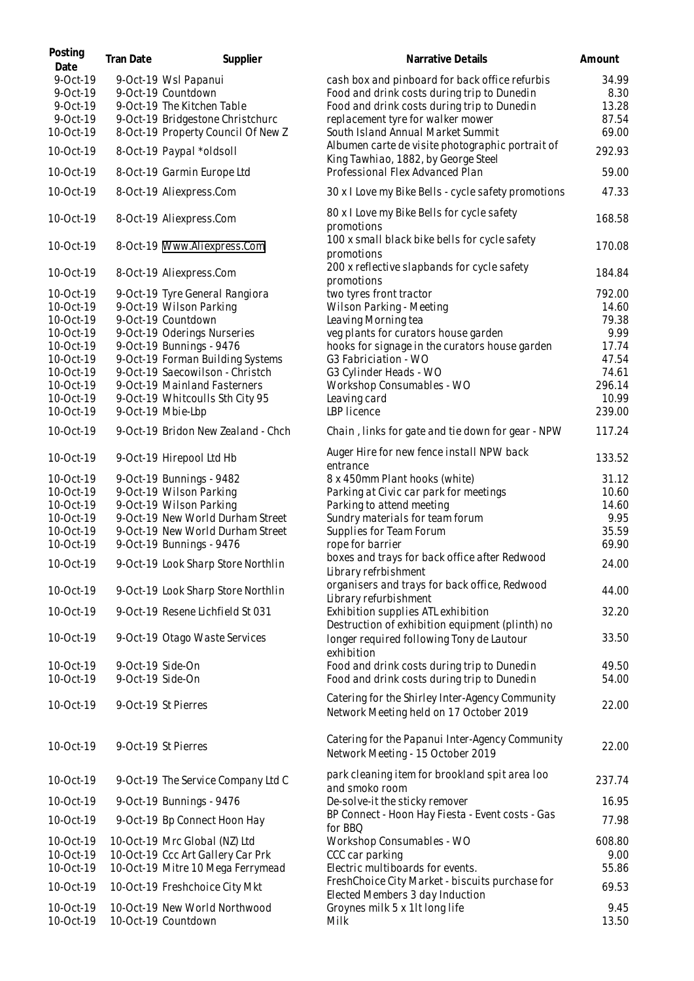| Posting<br>Date        | Tran Date                            | Supplier                                             | Narrative Details                                                                          | Amount        |
|------------------------|--------------------------------------|------------------------------------------------------|--------------------------------------------------------------------------------------------|---------------|
| 9-Oct-19               |                                      | 9-Oct-19 Wsl Papanui                                 | cash box and pinboard for back office refurbis                                             | 34.99         |
| 9-Oct-19               |                                      | 9-Oct-19 Countdown                                   | Food and drink costs during trip to Dunedin                                                | 8.30          |
| 9-Oct-19               |                                      | 9-Oct-19 The Kitchen Table                           | Food and drink costs during trip to Dunedin                                                | 13.28         |
| 9-Oct-19               |                                      | 9-Oct-19 Bridgestone Christchurc                     | replacement tyre for walker mower                                                          | 87.54         |
| 10-Oct-19              |                                      | 8-Oct-19 Property Council Of New Z                   | South Island Annual Market Summit                                                          | 69.00         |
| 10-Oct-19              |                                      | 8-Oct-19 Paypal *oldsoll                             | Albumen carte de visite photographic portrait of<br>King Tawhiao, 1882, by George Steel    | 292.93        |
| 10-Oct-19              |                                      | 8-Oct-19 Garmin Europe Ltd                           | Professional Flex Advanced Plan                                                            | 59.00         |
| 10-Oct-19              |                                      | 8-Oct-19 Aliexpress.Com                              | 30 x I Love my Bike Bells - cycle safety promotions                                        | 47.33         |
| 10-Oct-19              |                                      | 8-Oct-19 Aliexpress.Com                              | 80 x I Love my Bike Bells for cycle safety<br>promotions                                   | 168.58        |
| 10-Oct-19              |                                      | 8-Oct-19 Www.Aliexpress.Com                          | 100 x small black bike bells for cycle safety<br>promotions                                | 170.08        |
| 10-Oct-19              |                                      | 8-Oct-19 Aliexpress.Com                              | 200 x reflective slapbands for cycle safety<br>promotions                                  | 184.84        |
| 10-Oct-19              |                                      | 9-Oct-19 Tyre General Rangiora                       | two tyres front tractor                                                                    | 792.00        |
| 10-Oct-19              |                                      | 9-Oct-19 Wilson Parking                              | Wilson Parking - Meeting                                                                   | 14.60         |
| 10-Oct-19              |                                      | 9-Oct-19 Countdown                                   | Leaving Morning tea                                                                        | 79.38         |
| 10-Oct-19              |                                      | 9-Oct-19 Oderings Nurseries                          | veg plants for curators house garden                                                       | 9.99          |
| 10-Oct-19              |                                      | 9-Oct-19 Bunnings - 9476                             | hooks for signage in the curators house garden                                             | 17.74         |
| 10-Oct-19              |                                      | 9-Oct-19 Forman Building Systems                     | G3 Fabriciation - WO                                                                       | 47.54         |
| 10-Oct-19              |                                      | 9-Oct-19 Saecowilson - Christch                      | G3 Cylinder Heads - WO                                                                     | 74.61         |
| 10-Oct-19              |                                      | 9-Oct-19 Mainland Fasterners                         | Workshop Consumables - WO                                                                  | 296.14        |
| 10-Oct-19              |                                      | 9-Oct-19 Whitcoulls Sth City 95                      | Leaving card                                                                               | 10.99         |
| 10-Oct-19              |                                      | 9-Oct-19 Mbie-Lbp                                    | LBP licence                                                                                | 239.00        |
| 10-Oct-19              |                                      | 9-Oct-19 Bridon New Zealand - Chch                   | Chain, links for gate and tie down for gear - NPW                                          | 117.24        |
| 10-Oct-19              |                                      | 9-Oct-19 Hirepool Ltd Hb                             | Auger Hire for new fence install NPW back<br>entrance                                      | 133.52        |
| 10-Oct-19              |                                      | 9-Oct-19 Bunnings - 9482                             | 8 x 450mm Plant hooks (white)                                                              | 31.12         |
| 10-Oct-19              |                                      | 9-Oct-19 Wilson Parking                              | Parking at Civic car park for meetings                                                     | 10.60         |
| 10-Oct-19              |                                      | 9-Oct-19 Wilson Parking                              | Parking to attend meeting                                                                  | 14.60         |
| 10-Oct-19              |                                      | 9-Oct-19 New World Durham Street                     | Sundry materials for team forum                                                            | 9.95          |
| 10-Oct-19              |                                      | 9-Oct-19 New World Durham Street                     | Supplies for Team Forum                                                                    | 35.59         |
| 10-Oct-19              |                                      | 9-Oct-19 Bunnings - 9476                             | rope for barrier                                                                           | 69.90         |
|                        |                                      |                                                      | boxes and trays for back office after Redwood                                              |               |
| 10-Oct-19              |                                      | 9-Oct-19 Look Sharp Store Northlin                   | Library refrbishment                                                                       | 24.00         |
| 10-Oct-19              |                                      | 9-Oct-19 Look Sharp Store Northlin                   | organisers and trays for back office, Redwood<br>Library refurbishment                     | 44.00         |
| 10-Oct-19              |                                      | 9-Oct-19 Resene Lichfield St 031                     | Exhibition supplies ATL exhibition<br>Destruction of exhibition equipment (plinth) no      | 32.20         |
| 10-Oct-19              |                                      | 9-Oct-19 Otago Waste Services                        | longer required following Tony de Lautour                                                  | 33.50         |
| 10-Oct-19              |                                      |                                                      | exhibition                                                                                 | 49.50         |
| 10-Oct-19              | 9-Oct-19 Side-On<br>9-Oct-19 Side-On |                                                      | Food and drink costs during trip to Dunedin<br>Food and drink costs during trip to Dunedin | 54.00         |
| 10-Oct-19              |                                      | 9-Oct-19 St Pierres                                  | Catering for the Shirley Inter-Agency Community                                            | 22.00         |
|                        |                                      |                                                      | Network Meeting held on 17 October 2019                                                    |               |
| 10-Oct-19              |                                      | 9-Oct-19 St Pierres                                  | Catering for the Papanui Inter-Agency Community<br>Network Meeting - 15 October 2019       | 22.00         |
| 10-Oct-19              |                                      | 9-Oct-19 The Service Company Ltd C                   | park cleaning item for brookland spit area loo<br>and smoko room                           | 237.74        |
| 10-Oct-19              |                                      | 9-Oct-19 Bunnings - 9476                             | De-solve-it the sticky remover                                                             | 16.95         |
| 10-Oct-19              |                                      | 9-Oct-19 Bp Connect Hoon Hay                         | BP Connect - Hoon Hay Fiesta - Event costs - Gas<br>for BBQ                                | 77.98         |
| 10-Oct-19              |                                      | 10-Oct-19 Mrc Global (NZ) Ltd                        | Workshop Consumables - WO                                                                  | 608.80        |
| 10-Oct-19              |                                      | 10-Oct-19 Ccc Art Gallery Car Prk                    | CCC car parking                                                                            | 9.00          |
| 10-Oct-19              |                                      | 10-Oct-19 Mitre 10 Mega Ferrymead                    | Electric multiboards for events.                                                           | 55.86         |
| 10-Oct-19              |                                      | 10-Oct-19 Freshchoice City Mkt                       | FreshChoice City Market - biscuits purchase for<br>Elected Members 3 day Induction         | 69.53         |
| 10-Oct-19<br>10-Oct-19 |                                      | 10-Oct-19 New World Northwood<br>10-Oct-19 Countdown | Groynes milk 5 x 1lt long life<br>Milk                                                     | 9.45<br>13.50 |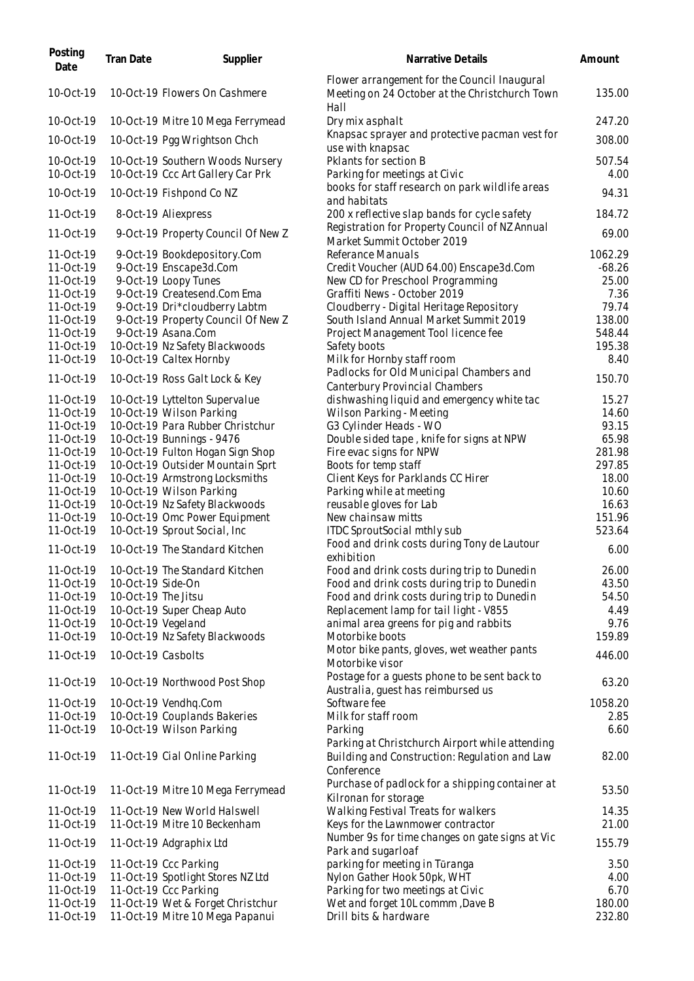| Posting<br>Date | Tran Date           | Supplier                           | Narrative Details                                                                                      | Amount   |
|-----------------|---------------------|------------------------------------|--------------------------------------------------------------------------------------------------------|----------|
| 10-Oct-19       |                     | 10-Oct-19 Flowers On Cashmere      | Flower arrangement for the Council Inaugural<br>Meeting on 24 October at the Christchurch Town<br>Hall | 135.00   |
| 10-Oct-19       |                     | 10-Oct-19 Mitre 10 Mega Ferrymead  | Dry mix asphalt                                                                                        | 247.20   |
| 10-Oct-19       |                     | 10-Oct-19 Pgg Wrightson Chch       | Knapsac sprayer and protective pacman vest for<br>use with knapsac                                     | 308.00   |
| 10-Oct-19       |                     | 10-Oct-19 Southern Woods Nursery   | Pklants for section B                                                                                  | 507.54   |
| 10-Oct-19       |                     | 10-Oct-19 Ccc Art Gallery Car Prk  | Parking for meetings at Civic                                                                          | 4.00     |
| 10-Oct-19       |                     | 10-Oct-19 Fishpond Co NZ           | books for staff research on park wildlife areas<br>and habitats                                        | 94.31    |
| 11-Oct-19       |                     | 8-Oct-19 Aliexpress                | 200 x reflective slap bands for cycle safety                                                           | 184.72   |
| 11-Oct-19       |                     | 9-Oct-19 Property Council Of New Z | Registration for Property Council of NZ Annual                                                         | 69.00    |
| 11-Oct-19       |                     | 9-Oct-19 Bookdepository.Com        | Market Summit October 2019<br>Referance Manuals                                                        | 1062.29  |
| 11-Oct-19       |                     | 9-Oct-19 Enscape3d.Com             | Credit Voucher (AUD 64.00) Enscape3d.Com                                                               | $-68.26$ |
| 11-Oct-19       |                     | 9-Oct-19 Loopy Tunes               | New CD for Preschool Programming                                                                       | 25.00    |
| 11-Oct-19       |                     | 9-Oct-19 Createsend.Com Ema        | Graffiti News - October 2019                                                                           | 7.36     |
| 11-Oct-19       |                     | 9-Oct-19 Dri*cloudberry Labtm      | Cloudberry - Digital Heritage Repository                                                               | 79.74    |
| 11-Oct-19       |                     | 9-Oct-19 Property Council Of New Z | South Island Annual Market Summit 2019                                                                 | 138.00   |
| 11-Oct-19       |                     | 9-Oct-19 Asana.Com                 | Project Management Tool licence fee                                                                    | 548.44   |
| 11-Oct-19       |                     | 10-Oct-19 Nz Safety Blackwoods     | Safety boots                                                                                           | 195.38   |
| 11-Oct-19       |                     | 10-Oct-19 Caltex Hornby            | Milk for Hornby staff room                                                                             | 8.40     |
|                 |                     |                                    | Padlocks for Old Municipal Chambers and                                                                |          |
| 11-Oct-19       |                     | 10-Oct-19 Ross Galt Lock & Key     | Canterbury Provincial Chambers                                                                         | 150.70   |
| 11-Oct-19       |                     | 10-Oct-19 Lyttelton Supervalue     | dishwashing liquid and emergency white tac                                                             | 15.27    |
| 11-Oct-19       |                     | 10-Oct-19 Wilson Parking           | Wilson Parking - Meeting                                                                               | 14.60    |
| 11-Oct-19       |                     | 10-Oct-19 Para Rubber Christchur   | G3 Cylinder Heads - WO                                                                                 | 93.15    |
| 11-Oct-19       |                     | 10-Oct-19 Bunnings - 9476          | Double sided tape, knife for signs at NPW                                                              | 65.98    |
| 11-Oct-19       |                     | 10-Oct-19 Fulton Hogan Sign Shop   | Fire evac signs for NPW                                                                                | 281.98   |
| 11-Oct-19       |                     | 10-Oct-19 Outsider Mountain Sprt   | Boots for temp staff                                                                                   | 297.85   |
| 11-Oct-19       |                     | 10-Oct-19 Armstrong Locksmiths     | Client Keys for Parklands CC Hirer                                                                     | 18.00    |
| 11-Oct-19       |                     | 10-Oct-19 Wilson Parking           | Parking while at meeting                                                                               | 10.60    |
| 11-Oct-19       |                     | 10-Oct-19 Nz Safety Blackwoods     | reusable gloves for Lab                                                                                | 16.63    |
| 11-Oct-19       |                     | 10-Oct-19 Omc Power Equipment      | New chainsaw mitts                                                                                     | 151.96   |
| 11-Oct-19       |                     | 10-Oct-19 Sprout Social, Inc       | ITDC SproutSocial mthly sub                                                                            | 523.64   |
| 11-Oct-19       |                     | 10-Oct-19 The Standard Kitchen     | Food and drink costs during Tony de Lautour                                                            | 6.00     |
| 11-Oct-19       |                     | 10-Oct-19 The Standard Kitchen     | exhibition<br>Food and drink costs during trip to Dunedin                                              | 26.00    |
| 11-Oct-19       | 10-Oct-19 Side-On   |                                    | Food and drink costs during trip to Dunedin                                                            | 43.50    |
| 11-Oct-19       | 10-Oct-19 The Jitsu |                                    | Food and drink costs during trip to Dunedin                                                            | 54.50    |
| 11-Oct-19       |                     | 10-Oct-19 Super Cheap Auto         | Replacement lamp for tail light - V855                                                                 | 4.49     |
| 11-Oct-19       | 10-Oct-19 Vegeland  |                                    | animal area greens for pig and rabbits                                                                 | 9.76     |
| 11-Oct-19       |                     | 10-Oct-19 Nz Safety Blackwoods     | Motorbike boots                                                                                        | 159.89   |
|                 |                     |                                    | Motor bike pants, gloves, wet weather pants                                                            |          |
| 11-Oct-19       | 10-Oct-19 Casbolts  |                                    | Motorbike visor                                                                                        | 446.00   |
| 11-Oct-19       |                     | 10-Oct-19 Northwood Post Shop      | Postage for a guests phone to be sent back to<br>Australia, quest has reimbursed us                    | 63.20    |
| 11-Oct-19       |                     | 10-Oct-19 Vendhq.Com               | Software fee                                                                                           | 1058.20  |
| 11-Oct-19       |                     | 10-Oct-19 Couplands Bakeries       | Milk for staff room                                                                                    | 2.85     |
| 11-Oct-19       |                     | 10-Oct-19 Wilson Parking           | Parking                                                                                                | 6.60     |
| 11-Oct-19       |                     | 11-Oct-19 Cial Online Parking      | Parking at Christchurch Airport while attending<br>Building and Construction: Regulation and Law       | 82.00    |
|                 |                     |                                    | Conference<br>Purchase of padlock for a shipping container at                                          |          |
| 11-Oct-19       |                     | 11-Oct-19 Mitre 10 Mega Ferrymead  | Kilronan for storage                                                                                   | 53.50    |
| 11-Oct-19       |                     | 11-Oct-19 New World Halswell       | Walking Festival Treats for walkers                                                                    | 14.35    |
| 11-Oct-19       |                     | 11-Oct-19 Mitre 10 Beckenham       | Keys for the Lawnmower contractor                                                                      | 21.00    |
| 11-Oct-19       |                     | 11-Oct-19 Adgraphix Ltd            | Number 9s for time changes on gate signs at Vic<br>Park and sugarloaf                                  | 155.79   |
| 11-Oct-19       |                     | 11-Oct-19 Ccc Parking              | parking for meeting in Tūranga                                                                         | 3.50     |
| 11-Oct-19       |                     | 11-Oct-19 Spotlight Stores NZ Ltd  | Nylon Gather Hook 50pk, WHT                                                                            | 4.00     |
| 11-Oct-19       |                     | 11-Oct-19 Ccc Parking              | Parking for two meetings at Civic                                                                      | 6.70     |
| 11-Oct-19       |                     | 11-Oct-19 Wet & Forget Christchur  | Wet and forget 10L commm, Dave B                                                                       | 180.00   |
| 11-Oct-19       |                     | 11-Oct-19 Mitre 10 Mega Papanui    | Drill bits & hardware                                                                                  | 232.80   |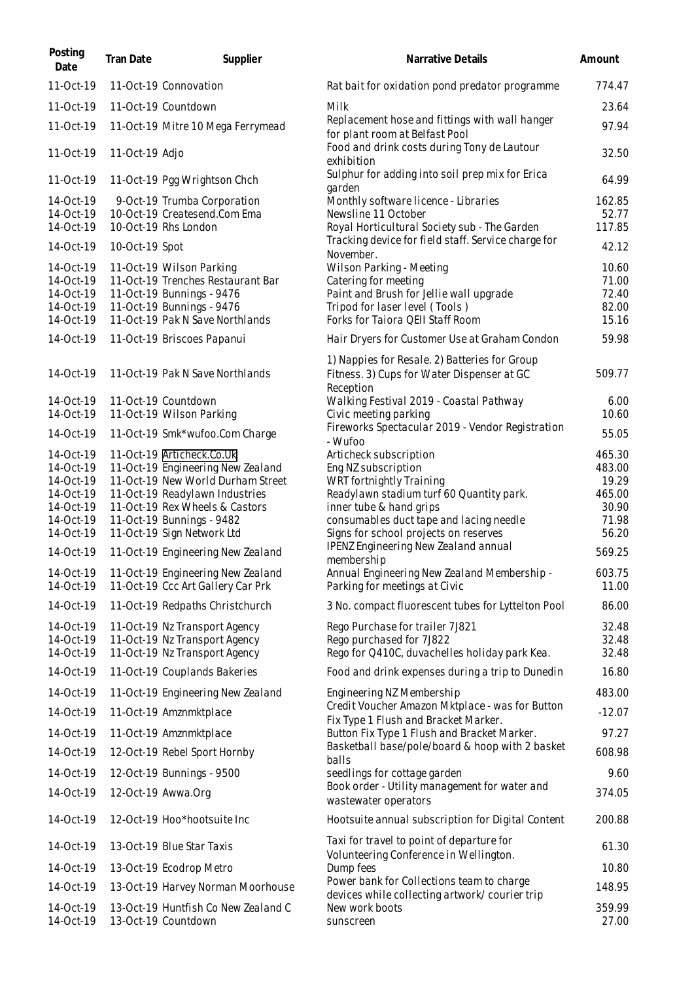| Posting<br>Date        | Tran Date      | Supplier                                                               | Narrative Details                                                                              | Amount          |
|------------------------|----------------|------------------------------------------------------------------------|------------------------------------------------------------------------------------------------|-----------------|
| 11-Oct-19              |                | 11-Oct-19 Connovation                                                  | Rat bait for oxidation pond predator programme                                                 | 774.47          |
| 11-Oct-19              |                | 11-Oct-19 Countdown                                                    | Milk                                                                                           | 23.64           |
| 11-Oct-19              |                | 11-Oct-19 Mitre 10 Mega Ferrymead                                      | Replacement hose and fittings with wall hanger<br>for plant room at Belfast Pool               | 97.94           |
| 11-Oct-19              | 11-Oct-19 Adjo |                                                                        | Food and drink costs during Tony de Lautour<br>exhibition                                      | 32.50           |
| 11-Oct-19              |                | 11-Oct-19 Pgg Wrightson Chch                                           | Sulphur for adding into soil prep mix for Erica<br>garden                                      | 64.99           |
| 14-Oct-19              |                | 9-Oct-19 Trumba Corporation                                            | Monthly software licence - Libraries                                                           | 162.85          |
| 14-Oct-19<br>14-Oct-19 |                | 10-Oct-19 Createsend.Com Ema<br>10-Oct-19 Rhs London                   | Newsline 11 October<br>Royal Horticultural Society sub - The Garden                            | 52.77<br>117.85 |
| 14-Oct-19              | 10-Oct-19 Spot |                                                                        | Tracking device for field staff. Service charge for                                            | 42.12           |
| 14-Oct-19              |                | 11-Oct-19 Wilson Parking                                               | November.<br>Wilson Parking - Meeting                                                          | 10.60           |
| 14-Oct-19              |                | 11-Oct-19 Trenches Restaurant Bar                                      | Catering for meeting                                                                           | 71.00           |
| 14-Oct-19<br>14-Oct-19 |                | 11-Oct-19 Bunnings - 9476<br>11-Oct-19 Bunnings - 9476                 | Paint and Brush for Jellie wall upgrade<br>Tripod for laser level (Tools)                      | 72.40<br>82.00  |
| 14-Oct-19              |                | 11-Oct-19 Pak N Save Northlands                                        | Forks for Taiora QEII Staff Room                                                               | 15.16           |
| 14-Oct-19              |                | 11-Oct-19 Briscoes Papanui                                             | Hair Dryers for Customer Use at Graham Condon                                                  | 59.98           |
|                        |                |                                                                        | 1) Nappies for Resale. 2) Batteries for Group                                                  |                 |
| 14-Oct-19              |                | 11-Oct-19 Pak N Save Northlands                                        | Fitness. 3) Cups for Water Dispenser at GC<br>Reception                                        | 509.77          |
| 14-Oct-19              |                | 11-Oct-19 Countdown                                                    | Walking Festival 2019 - Coastal Pathway                                                        | 6.00            |
| 14-Oct-19              |                | 11-Oct-19 Wilson Parking                                               | Civic meeting parking<br>Fireworks Spectacular 2019 - Vendor Registration                      | 10.60           |
| 14-Oct-19              |                | 11-Oct-19 Smk*wufoo.Com Charge                                         | - Wufoo                                                                                        | 55.05           |
| 14-Oct-19              |                | 11-Oct-19 Articheck.Co.Uk                                              | Articheck subscription                                                                         | 465.30          |
| 14-Oct-19<br>14-Oct-19 |                | 11-Oct-19 Engineering New Zealand<br>11-Oct-19 New World Durham Street | Eng NZ subscription<br>WRT fortnightly Training                                                | 483.00<br>19.29 |
| 14-Oct-19              |                | 11-Oct-19 Readylawn Industries                                         | Readylawn stadium turf 60 Quantity park.                                                       | 465.00          |
| 14-Oct-19              |                | 11-Oct-19 Rex Wheels & Castors                                         | inner tube & hand grips                                                                        | 30.90           |
| 14-Oct-19              |                | 11-Oct-19 Bunnings - 9482                                              | consumables duct tape and lacing needle                                                        | 71.98           |
| 14-Oct-19              |                | 11-Oct-19 Sign Network Ltd                                             | Signs for school projects on reserves<br>IPENZ Engineering New Zealand annual                  | 56.20           |
| 14-Oct-19              |                | 11-Oct-19 Engineering New Zealand                                      | membership                                                                                     | 569.25          |
| 14-Oct-19<br>14-Oct-19 |                | 11-Oct-19 Engineering New Zealand<br>11-Oct-19 Ccc Art Gallery Car Prk | Annual Engineering New Zealand Membership -<br>Parking for meetings at Civic                   | 603.75<br>11.00 |
| 14-Oct-19              |                | 11-Oct-19 Redpaths Christchurch                                        | 3 No. compact fluorescent tubes for Lyttelton Pool                                             | 86.00           |
| 14-Oct-19              |                | 11-Oct-19 Nz Transport Agency                                          | Rego Purchase for trailer 7J821                                                                | 32.48           |
| 14-Oct-19              |                | 11-Oct-19 Nz Transport Agency                                          | Rego purchased for 7J822                                                                       | 32.48           |
| 14-Oct-19              |                | 11-Oct-19 Nz Transport Agency                                          | Rego for Q410C, duvachelles holiday park Kea.                                                  | 32.48           |
| 14-Oct-19<br>14-Oct-19 |                | 11-Oct-19 Couplands Bakeries                                           | Food and drink expenses during a trip to Dunedin                                               | 16.80<br>483.00 |
|                        |                | 11-Oct-19 Engineering New Zealand                                      | Engineering NZ Membership<br>Credit Voucher Amazon Mktplace - was for Button                   |                 |
| 14-Oct-19              |                | 11-Oct-19 Amznmktplace                                                 | Fix Type 1 Flush and Bracket Marker.                                                           | $-12.07$        |
| 14-Oct-19              |                | 11-Oct-19 Amznmktplace                                                 | Button Fix Type 1 Flush and Bracket Marker.<br>Basketball base/pole/board & hoop with 2 basket | 97.27           |
| 14-Oct-19              |                | 12-Oct-19 Rebel Sport Hornby                                           | balls                                                                                          | 608.98          |
| 14-Oct-19              |                | 12-Oct-19 Bunnings - 9500                                              | seedlings for cottage garden                                                                   | 9.60            |
| 14-Oct-19              |                | 12-Oct-19 Awwa.Org                                                     | Book order - Utility management for water and<br>was tewater operators                         | 374.05          |
| 14-Oct-19              |                | 12-Oct-19 Hoo*hootsuite Inc                                            | Hootsuite annual subscription for Digital Content                                              | 200.88          |
| 14-Oct-19              |                | 13-Oct-19 Blue Star Taxis                                              | Taxi for travel to point of departure for<br>Volunteering Conference in Wellington.            | 61.30           |
| 14-Oct-19              |                | 13-Oct-19 Ecodrop Metro                                                | Dump fees                                                                                      | 10.80           |
| 14-Oct-19              |                | 13-Oct-19 Harvey Norman Moorhouse                                      | Power bank for Collections team to charge                                                      | 148.95          |
| 14-Oct-19              |                | 13-Oct-19 Huntfish Co New Zealand C                                    | devices while collecting artwork/courier trip<br>New work boots                                | 359.99          |
| 14-Oct-19              |                | 13-Oct-19 Countdown                                                    | sunscreen                                                                                      | 27.00           |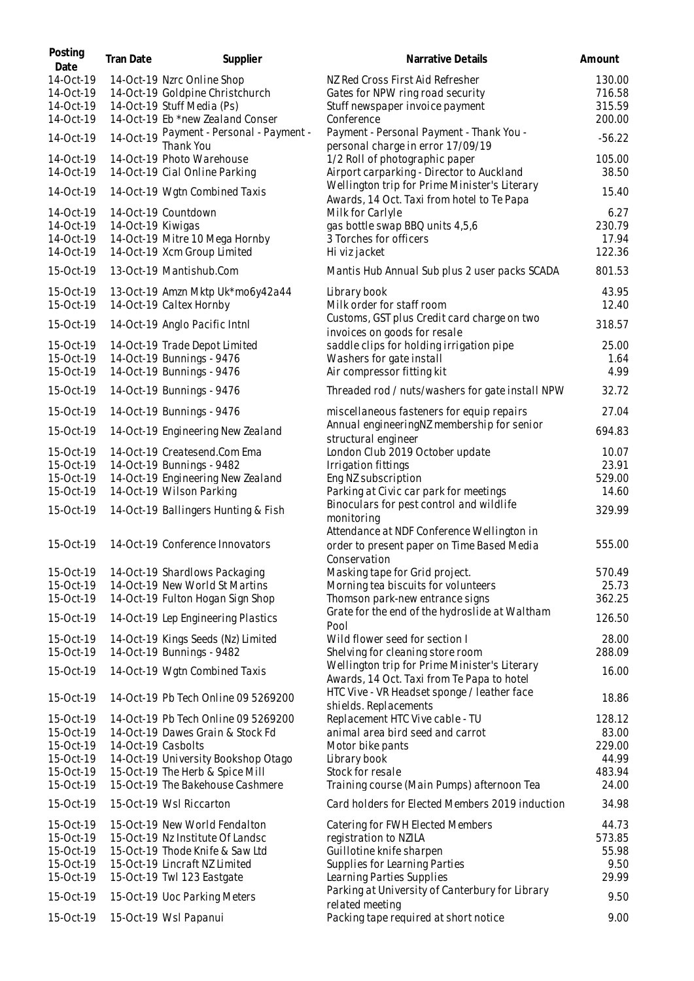| Posting<br>Date                                                                         | Tran Date          | Supplier                                                                                                                                                                                                                     | Narrative Details                                                                                                                                                                                      | Amount                                                         |
|-----------------------------------------------------------------------------------------|--------------------|------------------------------------------------------------------------------------------------------------------------------------------------------------------------------------------------------------------------------|--------------------------------------------------------------------------------------------------------------------------------------------------------------------------------------------------------|----------------------------------------------------------------|
| 14-Oct-19<br>14-Oct-19<br>14-Oct-19<br>14-Oct-19                                        |                    | 14-Oct-19 Nzrc Online Shop<br>14-Oct-19 Goldpine Christchurch<br>14-Oct-19 Stuff Media (Ps)<br>14-Oct-19 Eb *new Zealand Conser                                                                                              | NZ Red Cross First Aid Refresher<br>Gates for NPW ring road security<br>Stuff newspaper invoice payment<br>Conference                                                                                  | 130.00<br>716.58<br>315.59<br>200.00                           |
| 14-Oct-19                                                                               | 14-Oct-19          | Payment - Personal - Payment -<br>Thank You                                                                                                                                                                                  | Payment - Personal Payment - Thank You -<br>personal charge in error 17/09/19                                                                                                                          | $-56.22$                                                       |
| 14-Oct-19<br>14-Oct-19                                                                  |                    | 14-Oct-19 Photo Warehouse<br>14-Oct-19 Cial Online Parking                                                                                                                                                                   | 1/2 Roll of photographic paper<br>Airport carparking - Director to Auckland                                                                                                                            | 105.00<br>38.50                                                |
| 14-Oct-19                                                                               |                    | 14-Oct-19 Wgtn Combined Taxis                                                                                                                                                                                                | Wellington trip for Prime Minister's Literary<br>Awards, 14 Oct. Taxi from hotel to Te Papa                                                                                                            | 15.40                                                          |
| 14-Oct-19<br>14-Oct-19<br>14-Oct-19<br>14-Oct-19                                        | 14-Oct-19 Kiwigas  | 14-Oct-19 Countdown<br>14-Oct-19 Mitre 10 Mega Hornby<br>14-Oct-19 Xcm Group Limited                                                                                                                                         | Milk for Carlyle<br>gas bottle swap BBQ units 4,5,6<br>3 Torches for officers<br>Hi viz jacket                                                                                                         | 6.27<br>230.79<br>17.94<br>122.36                              |
| 15-Oct-19                                                                               |                    | 13-Oct-19 Mantishub.Com                                                                                                                                                                                                      | Mantis Hub Annual Sub plus 2 user packs SCADA                                                                                                                                                          | 801.53                                                         |
| 15-Oct-19<br>15-Oct-19<br>15-Oct-19                                                     |                    | 13-Oct-19 Amzn Mktp Uk*mo6y42a44<br>14-Oct-19 Caltex Hornby<br>14-Oct-19 Anglo Pacific Intnl                                                                                                                                 | Library book<br>Milk order for staff room<br>Customs, GST plus Credit card charge on two                                                                                                               | 43.95<br>12.40<br>318.57                                       |
| 15-Oct-19<br>15-Oct-19<br>15-Oct-19                                                     |                    | 14-Oct-19 Trade Depot Limited<br>14-Oct-19 Bunnings - 9476<br>14-Oct-19 Bunnings - 9476                                                                                                                                      | invoices on goods for resale<br>saddle clips for holding irrigation pipe<br>Washers for gate install<br>Air compressor fitting kit                                                                     | 25.00<br>1.64<br>4.99                                          |
| 15-Oct-19                                                                               |                    | 14-Oct-19 Bunnings - 9476                                                                                                                                                                                                    | Threaded rod / nuts/washers for gate install NPW                                                                                                                                                       | 32.72                                                          |
| 15-Oct-19                                                                               |                    | 14-Oct-19 Bunnings - 9476                                                                                                                                                                                                    | miscellaneous fasteners for equip repairs                                                                                                                                                              | 27.04                                                          |
| 15-Oct-19                                                                               |                    | 14-Oct-19 Engineering New Zealand                                                                                                                                                                                            | Annual engineeringNZ membership for senior<br>structural engineer                                                                                                                                      | 694.83                                                         |
| 15-Oct-19<br>15-Oct-19<br>15-Oct-19<br>15-Oct-19                                        |                    | 14-Oct-19 Createsend.Com Ema<br>14-Oct-19 Bunnings - 9482<br>14-Oct-19 Engineering New Zealand<br>14-Oct-19 Wilson Parking                                                                                                   | London Club 2019 October update<br>Irrigation fittings<br>Eng NZ subscription<br>Parking at Civic car park for meetings                                                                                | 10.07<br>23.91<br>529.00<br>14.60                              |
| 15-Oct-19                                                                               |                    | 14-Oct-19 Ballingers Hunting & Fish                                                                                                                                                                                          | Binoculars for pest control and wildlife<br>monitoring                                                                                                                                                 | 329.99                                                         |
| 15-Oct-19                                                                               |                    | 14-Oct-19 Conference Innovators                                                                                                                                                                                              | Attendance at NDF Conference Wellington in<br>order to present paper on Time Based Media<br>Conservation                                                                                               | 555.00                                                         |
| 15-Oct-19<br>15-Oct-19<br>15-Oct-19                                                     |                    | 14-Oct-19 Shardlows Packaging<br>14-Oct-19 New World St Martins<br>14-Oct-19 Fulton Hogan Sign Shop                                                                                                                          | Masking tape for Grid project.<br>Morning tea biscuits for volunteers<br>Thomson park-new entrance signs                                                                                               | 570.49<br>25.73<br>362.25                                      |
| 15-Oct-19                                                                               |                    | 14-Oct-19 Lep Engineering Plastics                                                                                                                                                                                           | Grate for the end of the hydroslide at Waltham<br>Pool                                                                                                                                                 | 126.50                                                         |
| 15-Oct-19<br>15-Oct-19                                                                  |                    | 14-Oct-19 Kings Seeds (Nz) Limited<br>14-Oct-19 Bunnings - 9482                                                                                                                                                              | Wild flower seed for section I<br>Shelving for cleaning store room                                                                                                                                     | 28.00<br>288.09                                                |
| 15-Oct-19                                                                               |                    | 14-Oct-19 Wgtn Combined Taxis                                                                                                                                                                                                | Wellington trip for Prime Minister's Literary<br>Awards, 14 Oct. Taxi from Te Papa to hotel<br>HTC Vive - VR Headset sponge / leather face                                                             | 16.00                                                          |
| 15-Oct-19<br>15-Oct-19<br>15-Oct-19<br>15-Oct-19<br>15-Oct-19<br>15-Oct-19<br>15-Oct-19 | 14-Oct-19 Casbolts | 14-Oct-19 Pb Tech Online 09 5269200<br>14-Oct-19 Pb Tech Online 09 5269200<br>14-Oct-19 Dawes Grain & Stock Fd<br>14-Oct-19 University Bookshop Otago<br>15-Oct-19 The Herb & Spice Mill<br>15-Oct-19 The Bakehouse Cashmere | shields. Replacements<br>Replacement HTC Vive cable - TU<br>animal area bird seed and carrot<br>Motor bike pants<br>Library book<br>Stock for resale<br>Training course (Main Pumps) afternoon Tea     | 18.86<br>128.12<br>83.00<br>229.00<br>44.99<br>483.94<br>24.00 |
| 15-Oct-19                                                                               |                    | 15-Oct-19 Wsl Riccarton                                                                                                                                                                                                      | Card holders for Elected Members 2019 induction                                                                                                                                                        | 34.98                                                          |
| 15-Oct-19<br>15-Oct-19<br>15-Oct-19<br>15-Oct-19<br>15-Oct-19                           |                    | 15-Oct-19 New World Fendalton<br>15-Oct-19 Nz Institute Of Landsc<br>15-Oct-19 Thode Knife & Saw Ltd<br>15-Oct-19 Lincraft NZ Limited<br>15-Oct-19 Twl 123 Eastgate                                                          | Catering for FWH Elected Members<br>registration to NZILA<br>Guillotine knife sharpen<br>Supplies for Learning Parties<br>Learning Parties Supplies<br>Parking at University of Canterbury for Library | 44.73<br>573.85<br>55.98<br>9.50<br>29.99                      |
| 15-Oct-19                                                                               |                    | 15-Oct-19 Uoc Parking Meters                                                                                                                                                                                                 | related meeting                                                                                                                                                                                        | 9.50                                                           |
| 15-Oct-19                                                                               |                    | 15-Oct-19 Wsl Papanui                                                                                                                                                                                                        | Packing tape required at short notice                                                                                                                                                                  | 9.00                                                           |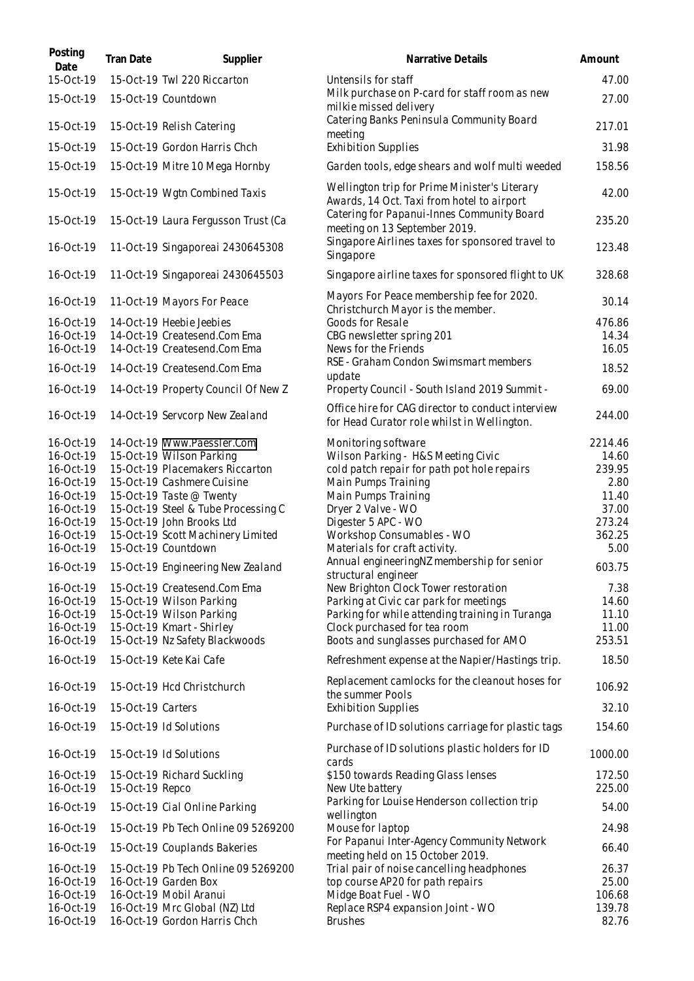| Posting<br>Date        | Tran Date         | Supplier                                                      | Narrative Details                                                                                  | Amount           |
|------------------------|-------------------|---------------------------------------------------------------|----------------------------------------------------------------------------------------------------|------------------|
| 15-Oct-19              |                   | 15-Oct-19 Twl 220 Riccarton                                   | Untensils for staff                                                                                | 47.00            |
| 15-Oct-19              |                   | 15-Oct-19 Countdown                                           | Milk purchase on P-card for staff room as new<br>milkie missed delivery                            | 27.00            |
| 15-Oct-19              |                   | 15-Oct-19 Relish Catering                                     | Catering Banks Peninsula Community Board<br>meeting                                                | 217.01           |
| 15-Oct-19              |                   | 15-Oct-19 Gordon Harris Chch                                  | <b>Exhibition Supplies</b>                                                                         | 31.98            |
| 15-Oct-19              |                   | 15-Oct-19 Mitre 10 Mega Hornby                                | Garden tools, edge shears and wolf multi weeded                                                    | 158.56           |
| 15-Oct-19              |                   | 15-Oct-19 Wgtn Combined Taxis                                 | Wellington trip for Prime Minister's Literary<br>Awards, 14 Oct. Taxi from hotel to airport        | 42.00            |
| 15-Oct-19              |                   | 15-Oct-19 Laura Fergusson Trust (Ca                           | Catering for Papanui-Innes Community Board<br>meeting on 13 September 2019.                        | 235.20           |
| 16-Oct-19              |                   | 11-Oct-19 Singaporeai 2430645308                              | Singapore Airlines taxes for sponsored travel to<br>Singapore                                      | 123.48           |
| 16-Oct-19              |                   | 11-Oct-19 Singaporeal 2430645503                              | Singapore airline taxes for sponsored flight to UK                                                 | 328.68           |
| 16-Oct-19              |                   | 11-Oct-19 Mayors For Peace                                    | Mayors For Peace membership fee for 2020.<br>Christchurch Mayor is the member.                     | 30.14            |
| 16-Oct-19              |                   | 14-Oct-19 Heebie Jeebies                                      | Goods for Resale                                                                                   | 476.86           |
| 16-Oct-19              |                   | 14-Oct-19 Createsend.Com Ema                                  | CBG newsletter spring 201                                                                          | 14.34            |
| 16-Oct-19              |                   | 14-Oct-19 Createsend.Com Ema                                  | News for the Friends<br>RSE - Graham Condon Swimsmart members                                      | 16.05            |
| 16-Oct-19              |                   | 14-Oct-19 Createsend.Com Ema                                  | update                                                                                             | 18.52            |
| 16-Oct-19              |                   | 14-Oct-19 Property Council Of New Z                           | Property Council - South Island 2019 Summit -<br>Office hire for CAG director to conduct interview | 69.00            |
| 16-Oct-19              |                   | 14-Oct-19 Servcorp New Zealand                                | for Head Curator role whilst in Wellington.                                                        | 244.00           |
| 16-Oct-19              |                   | 14-Oct-19 Www.Paessler.Com                                    | Monitoring software                                                                                | 2214.46          |
| 16-Oct-19              |                   | 15-Oct-19 Wilson Parking                                      | Wilson Parking - H&S Meeting Civic                                                                 | 14.60            |
| 16-Oct-19<br>16-Oct-19 |                   | 15-Oct-19 Placemakers Riccarton<br>15-Oct-19 Cashmere Cuisine | cold patch repair for path pot hole repairs<br>Main Pumps Training                                 | 239.95<br>2.80   |
| 16-Oct-19              |                   | 15-Oct-19 Taste @ Twenty                                      | Main Pumps Training                                                                                | 11.40            |
| 16-Oct-19              |                   | 15-Oct-19 Steel & Tube Processing C                           | Dryer 2 Valve - WO                                                                                 | 37.00            |
| 16-Oct-19              |                   | 15-Oct-19 John Brooks Ltd                                     | Digester 5 APC - WO                                                                                | 273.24           |
| 16-Oct-19              |                   | 15-Oct-19 Scott Machinery Limited                             | Workshop Consumables - WO                                                                          | 362.25           |
| 16-Oct-19              |                   | 15-Oct-19 Countdown                                           | Materials for craft activity.                                                                      | 5.00             |
| 16-Oct-19              |                   | 15-Oct-19 Engineering New Zealand                             | Annual engineeringNZ membership for senior<br>structural engineer                                  | 603.75           |
| 16-Oct-19              |                   | 15-Oct-19 Createsend.Com Ema                                  | New Brighton Clock Tower restoration                                                               | 7.38             |
| 16-Oct-19              |                   | 15-Oct-19 Wilson Parking                                      | Parking at Civic car park for meetings                                                             | 14.60            |
| 16-Oct-19              |                   | 15-Oct-19 Wilson Parking                                      | Parking for while attending training in Turanga                                                    | 11.10            |
| 16-Oct-19<br>16-Oct-19 |                   | 15-Oct-19 Kmart - Shirley<br>15-Oct-19 Nz Safety Blackwoods   | Clock purchased for tea room<br>Boots and sunglasses purchased for AMO                             | 11.00<br>253.51  |
| 16-Oct-19              |                   | 15-Oct-19 Kete Kai Cafe                                       | Refreshment expense at the Napier/Hastings trip.                                                   | 18.50            |
| 16-Oct-19              |                   | 15-Oct-19 Hcd Christchurch                                    | Replacement camlocks for the cleanout hoses for                                                    | 106.92           |
| 16-Oct-19              | 15-Oct-19 Carters |                                                               | the summer Pools<br><b>Exhibition Supplies</b>                                                     | 32.10            |
| 16-Oct-19              |                   | 15-Oct-19 Id Solutions                                        | Purchase of ID solutions carriage for plastic tags                                                 | 154.60           |
| 16-Oct-19              |                   | 15-Oct-19 Id Solutions                                        | Purchase of ID solutions plastic holders for ID<br>cards                                           | 1000.00          |
| 16-Oct-19<br>16-Oct-19 | 15-Oct-19 Repco   | 15-Oct-19 Richard Suckling                                    | \$150 towards Reading Glass lenses<br>New Ute battery                                              | 172.50<br>225.00 |
| 16-Oct-19              |                   | 15-Oct-19 Cial Online Parking                                 | Parking for Louise Henderson collection trip<br>wellington                                         | 54.00            |
| 16-Oct-19              |                   | 15-Oct-19 Pb Tech Online 09 5269200                           | Mouse for laptop                                                                                   | 24.98            |
| 16-Oct-19              |                   | 15-Oct-19 Couplands Bakeries                                  | For Papanui Inter-Agency Community Network<br>meeting held on 15 October 2019.                     | 66.40            |
| 16-Oct-19              |                   | 15-Oct-19 Pb Tech Online 09 5269200                           | Trial pair of noise cancelling headphones                                                          | 26.37            |
| 16-Oct-19              |                   | 16-Oct-19 Garden Box                                          | top course AP20 for path repairs                                                                   | 25.00            |
| 16-Oct-19              |                   | 16-Oct-19 Mobil Aranui                                        | Midge Boat Fuel - WO                                                                               | 106.68           |
| 16-Oct-19              |                   | 16-Oct-19 Mrc Global (NZ) Ltd                                 | Replace RSP4 expansion Joint - WO                                                                  | 139.78           |
| 16-Oct-19              |                   | 16-Oct-19 Gordon Harris Chch                                  | <b>Brushes</b>                                                                                     | 82.76            |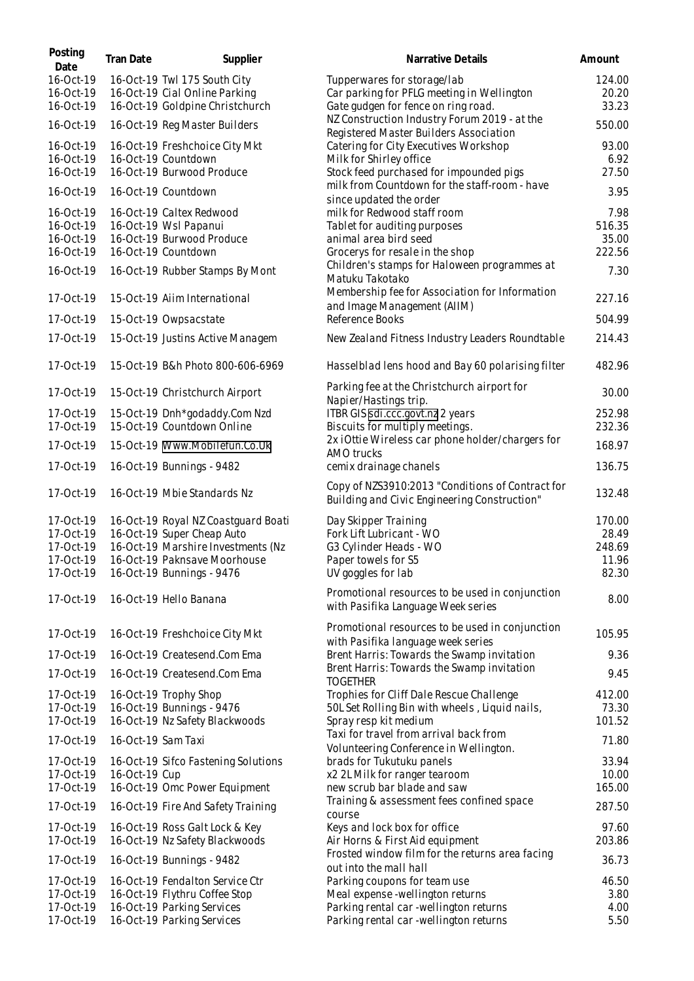| Posting<br>Date                                               | Tran Date          | Supplier                                                                                                                                                             | Narrative Details                                                                                                                                     | Amount                                      |
|---------------------------------------------------------------|--------------------|----------------------------------------------------------------------------------------------------------------------------------------------------------------------|-------------------------------------------------------------------------------------------------------------------------------------------------------|---------------------------------------------|
| 16-Oct-19<br>16-Oct-19<br>16-Oct-19                           |                    | 16-Oct-19 Twl 175 South City<br>16-Oct-19 Cial Online Parking<br>16-Oct-19 Goldpine Christchurch                                                                     | Tupperwares for storage/lab<br>Car parking for PFLG meeting in Wellington<br>Gate gudgen for fence on ring road.                                      | 124.00<br>20.20<br>33.23                    |
| 16-Oct-19                                                     |                    | 16-Oct-19 Reg Master Builders                                                                                                                                        | NZ Construction Industry Forum 2019 - at the                                                                                                          | 550.00                                      |
| 16-Oct-19<br>16-Oct-19<br>16-Oct-19                           |                    | 16-Oct-19 Freshchoice City Mkt<br>16-Oct-19 Countdown<br>16-Oct-19 Burwood Produce                                                                                   | Registered Master Builders Association<br>Catering for City Executives Workshop<br>Milk for Shirley office<br>Stock feed purchased for impounded pigs | 93.00<br>6.92<br>27.50                      |
| 16-Oct-19                                                     |                    | 16-Oct-19 Countdown                                                                                                                                                  | milk from Countdown for the staff-room - have<br>since updated the order                                                                              | 3.95                                        |
| 16-Oct-19<br>16-Oct-19<br>16-Oct-19<br>16-Oct-19              |                    | 16-Oct-19 Caltex Redwood<br>16-Oct-19 Wsl Papanui<br>16-Oct-19 Burwood Produce<br>16-Oct-19 Countdown                                                                | milk for Redwood staff room<br>Tablet for auditing purposes<br>animal area bird seed<br>Grocerys for resale in the shop                               | 7.98<br>516.35<br>35.00<br>222.56           |
| 16-Oct-19                                                     |                    | 16-Oct-19 Rubber Stamps By Mont                                                                                                                                      | Children's stamps for Haloween programmes at<br>Matuku Takotako                                                                                       | 7.30                                        |
| 17-Oct-19                                                     |                    | 15-Oct-19 Aiim International                                                                                                                                         | Membership fee for Association for Information<br>and Image Management (AIIM)                                                                         | 227.16                                      |
| 17-Oct-19                                                     |                    | 15-Oct-19 Owpsacstate                                                                                                                                                | Reference Books                                                                                                                                       | 504.99                                      |
| 17-Oct-19                                                     |                    | 15-Oct-19 Justins Active Managem                                                                                                                                     | New Zealand Fitness Industry Leaders Roundtable                                                                                                       | 214.43                                      |
| 17-Oct-19                                                     |                    | 15-Oct-19 B&h Photo 800-606-6969                                                                                                                                     | Hasselblad lens hood and Bay 60 polarising filter                                                                                                     | 482.96                                      |
| 17-Oct-19                                                     |                    | 15-Oct-19 Christchurch Airport                                                                                                                                       | Parking fee at the Christchurch airport for<br>Napier/Hastings trip.                                                                                  | 30.00                                       |
| 17-Oct-19<br>17-Oct-19                                        |                    | 15-Oct-19 Dnh*godaddy.Com Nzd<br>15-Oct-19 Countdown Online                                                                                                          | ITBR GIS sdi.ccc.govt.nz 2 years<br>Biscuits for multiply meetings.                                                                                   | 252.98<br>232.36                            |
| 17-Oct-19                                                     |                    | 15-Oct-19 Www.Mobilefun.Co.Uk                                                                                                                                        | 2x iOttie Wireless car phone holder/chargers for<br>AMO trucks                                                                                        | 168.97                                      |
| 17-Oct-19                                                     |                    | 16-Oct-19 Bunnings - 9482                                                                                                                                            | cemix drainage chanels                                                                                                                                | 136.75                                      |
| 17-Oct-19                                                     |                    | 16-Oct-19 Mbie Standards Nz                                                                                                                                          | Copy of NZS3910:2013 "Conditions of Contract for<br>Building and Civic Engineering Construction"                                                      | 132.48                                      |
| 17-Oct-19<br>17-Oct-19<br>17-Oct-19<br>17-Oct-19<br>17-Oct-19 |                    | 16-Oct-19 Royal NZ Coastguard Boati<br>16-Oct-19 Super Cheap Auto<br>16-Oct-19 Marshire Investments (Nz<br>16-Oct-19 Paknsave Moorhouse<br>16-Oct-19 Bunnings - 9476 | Day Skipper Training<br>Fork Lift Lubricant - WO<br>G3 Cylinder Heads - WO<br>Paper towels for S5<br>UV goggles for lab                               | 170.00<br>28.49<br>248.69<br>11.96<br>82.30 |
| 17-Oct-19                                                     |                    | 16-Oct-19 Hello Banana                                                                                                                                               | Promotional resources to be used in conjunction<br>with Pasifika Language Week series                                                                 | 8.00                                        |
| 17-Oct-19                                                     |                    | 16-Oct-19 Freshchoice City Mkt                                                                                                                                       | Promotional resources to be used in conjunction<br>with Pasifika language week series                                                                 | 105.95                                      |
| 17-Oct-19                                                     |                    | 16-Oct-19 Createsend.Com Ema                                                                                                                                         | Brent Harris: Towards the Swamp invitation                                                                                                            | 9.36                                        |
| 17-Oct-19                                                     |                    | 16-Oct-19 Createsend.Com Ema                                                                                                                                         | Brent Harris: Towards the Swamp invitation<br><b>TOGETHER</b>                                                                                         | 9.45                                        |
| 17-Oct-19<br>17-Oct-19<br>17-Oct-19                           |                    | 16-Oct-19 Trophy Shop<br>16-Oct-19 Bunnings - 9476<br>16-Oct-19 Nz Safety Blackwoods                                                                                 | Trophies for Cliff Dale Rescue Challenge<br>50L Set Rolling Bin with wheels, Liquid nails,<br>Spray resp kit medium                                   | 412.00<br>73.30<br>101.52                   |
| 17-Oct-19                                                     | 16-Oct-19 Sam Taxi |                                                                                                                                                                      | Taxi for travel from arrival back from<br>Volunteering Conference in Wellington.                                                                      | 71.80                                       |
| 17-Oct-19<br>17-Oct-19<br>17-Oct-19                           | 16-Oct-19 Cup      | 16-Oct-19 Sifco Fastening Solutions<br>16-Oct-19 Omc Power Equipment                                                                                                 | brads for Tukutuku panels<br>x2 2L Milk for ranger tearoom<br>new scrub bar blade and saw                                                             | 33.94<br>10.00<br>165.00                    |
| 17-Oct-19                                                     |                    | 16-Oct-19 Fire And Safety Training                                                                                                                                   | Training & assessment fees confined space<br>course                                                                                                   | 287.50                                      |
| 17-Oct-19<br>17-Oct-19                                        |                    | 16-Oct-19 Ross Galt Lock & Key<br>16-Oct-19 Nz Safety Blackwoods                                                                                                     | Keys and lock box for office<br>Air Horns & First Aid equipment                                                                                       | 97.60<br>203.86                             |
| 17-Oct-19                                                     |                    | 16-Oct-19 Bunnings - 9482                                                                                                                                            | Frosted window film for the returns area facing<br>out into the mall hall                                                                             | 36.73                                       |
| 17-Oct-19<br>17-Oct-19<br>17-Oct-19<br>17-Oct-19              |                    | 16-Oct-19 Fendalton Service Ctr<br>16-Oct-19 Flythru Coffee Stop<br>16-Oct-19 Parking Services<br>16-Oct-19 Parking Services                                         | Parking coupons for team use<br>Meal expense -wellington returns<br>Parking rental car -wellington returns<br>Parking rental car -wellington returns  | 46.50<br>3.80<br>4.00<br>5.50               |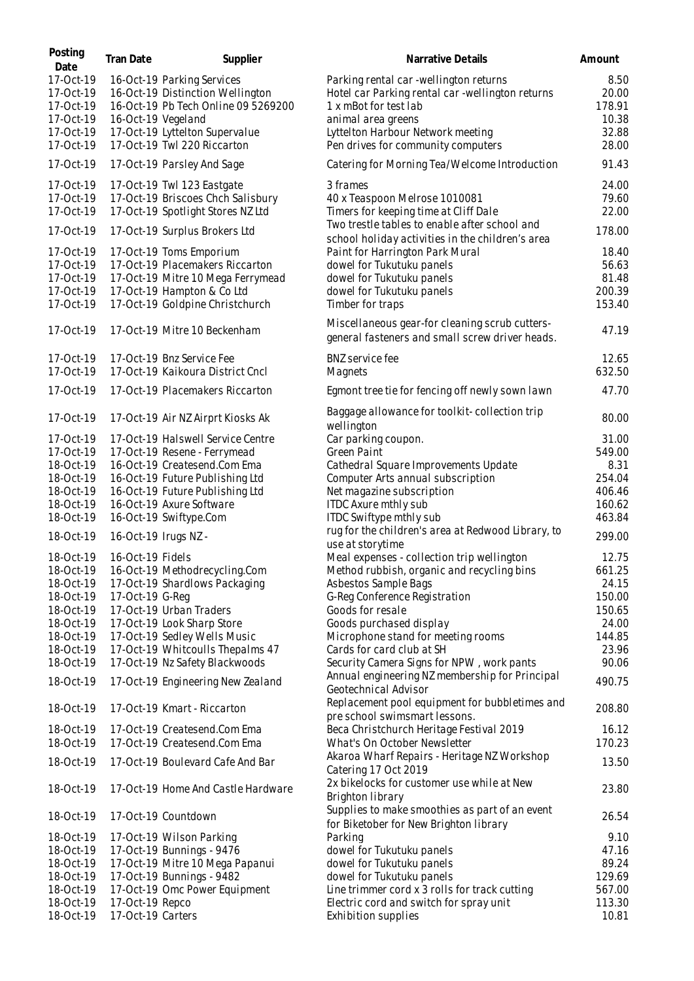| Posting<br>Date        | Tran Date          | Supplier                                                       | Narrative Details                                                                                 | Amount        |
|------------------------|--------------------|----------------------------------------------------------------|---------------------------------------------------------------------------------------------------|---------------|
| 17-Oct-19<br>17-Oct-19 |                    | 16-Oct-19 Parking Services<br>16-Oct-19 Distinction Wellington | Parking rental car -wellington returns<br>Hotel car Parking rental car -wellington returns        | 8.50<br>20.00 |
| 17-Oct-19              |                    | 16-Oct-19 Pb Tech Online 09 5269200                            | 1 x mBot for test lab                                                                             | 178.91        |
| 17-Oct-19              | 16-Oct-19 Vegeland |                                                                | animal area greens                                                                                | 10.38         |
| 17-Oct-19              |                    | 17-Oct-19 Lyttelton Supervalue                                 | Lyttelton Harbour Network meeting                                                                 | 32.88         |
| 17-Oct-19              |                    | 17-Oct-19 Twl 220 Riccarton                                    | Pen drives for community computers                                                                | 28.00         |
| 17-Oct-19              |                    | 17-Oct-19 Parsley And Sage                                     | Catering for Morning Tea/Welcome Introduction                                                     | 91.43         |
| 17-Oct-19              |                    | 17-Oct-19 Twl 123 Eastgate                                     | 3 frames                                                                                          | 24.00         |
| 17-Oct-19              |                    | 17-Oct-19 Briscoes Chch Salisbury                              | 40 x Teaspoon Melrose 1010081                                                                     | 79.60         |
| 17-Oct-19              |                    | 17-Oct-19 Spotlight Stores NZ Ltd                              | Timers for keeping time at Cliff Dale                                                             | 22.00         |
|                        |                    |                                                                | Two trestle tables to enable after school and                                                     |               |
| 17-Oct-19              |                    | 17-Oct-19 Surplus Brokers Ltd                                  | school holiday activities in the children's area                                                  | 178.00        |
| 17-Oct-19              |                    | 17-Oct-19 Toms Emporium                                        | Paint for Harrington Park Mural                                                                   | 18.40         |
| 17-Oct-19              |                    | 17-Oct-19 Placemakers Riccarton                                | dowel for Tukutuku panels                                                                         | 56.63         |
| 17-Oct-19              |                    | 17-Oct-19 Mitre 10 Mega Ferrymead                              | dowel for Tukutuku panels                                                                         | 81.48         |
| 17-Oct-19              |                    | 17-Oct-19 Hampton & Co Ltd                                     | dowel for Tukutuku panels                                                                         | 200.39        |
| 17-Oct-19              |                    | 17-Oct-19 Goldpine Christchurch                                | Timber for traps                                                                                  | 153.40        |
| 17-Oct-19              |                    | 17-Oct-19 Mitre 10 Beckenham                                   | Miscellaneous gear-for cleaning scrub cutters-<br>general fasteners and small screw driver heads. | 47.19         |
| 17-Oct-19              |                    | 17-Oct-19 Bnz Service Fee                                      | <b>BNZ</b> service fee                                                                            | 12.65         |
| 17-Oct-19              |                    | 17-Oct-19 Kaikoura District Cncl                               | Magnets                                                                                           | 632.50        |
| 17-Oct-19              |                    | 17-Oct-19 Placemakers Riccarton                                | Egmont tree tie for fencing off newly sown lawn                                                   | 47.70         |
| 17-Oct-19              |                    | 17-Oct-19 Air NZ Airprt Kiosks Ak                              | Baggage allowance for toolkit-collection trip<br>wellington                                       | 80.00         |
| 17-Oct-19              |                    | 17-Oct-19 Halswell Service Centre                              | Car parking coupon.                                                                               | 31.00         |
| 17-Oct-19              |                    | 17-Oct-19 Resene - Ferrymead                                   | Green Paint                                                                                       | 549.00        |
| 18-Oct-19              |                    | 16-Oct-19 Createsend.Com Ema                                   | Cathedral Square Improvements Update                                                              | 8.31          |
| 18-Oct-19              |                    | 16-Oct-19 Future Publishing Ltd                                | Computer Arts annual subscription                                                                 | 254.04        |
| 18-Oct-19              |                    | 16-Oct-19 Future Publishing Ltd                                | Net magazine subscription                                                                         | 406.46        |
| 18-Oct-19              |                    | 16-Oct-19 Axure Software                                       | ITDC Axure mthly sub                                                                              | 160.62        |
| 18-Oct-19              |                    | 16-Oct-19 Swiftype.Com                                         | ITDC Swiftype mthly sub                                                                           | 463.84        |
| 18-Oct-19              |                    | 16-Oct-19 Irugs NZ -                                           | rug for the children's area at Redwood Library, to<br>use at storytime                            | 299.00        |
| 18-Oct-19              | 16-Oct-19 Fidels   |                                                                | Meal expenses - collection trip wellington                                                        | 12.75         |
| 18-Oct-19              |                    | 16-Oct-19 Methodrecycling.Com                                  | Method rubbish, organic and recycling bins                                                        | 661.25        |
| 18-Oct-19              |                    | 17-Oct-19 Shardlows Packaging                                  | Asbestos Sample Bags                                                                              | 24.15         |
| 18-Oct-19              | 17-Oct-19 G-Reg    |                                                                | G-Reg Conference Registration                                                                     | 150.00        |
| 18-Oct-19              |                    | 17-Oct-19 Urban Traders                                        | Goods for resale                                                                                  | 150.65        |
| 18-Oct-19              |                    | 17-Oct-19 Look Sharp Store                                     | Goods purchased display                                                                           | 24.00         |
| 18-Oct-19              |                    | 17-Oct-19 Sedley Wells Music                                   | Microphone stand for meeting rooms                                                                | 144.85        |
| 18-Oct-19              |                    | 17-Oct-19 Whitcoulls Thepalms 47                               | Cards for card club at SH                                                                         | 23.96         |
| 18-Oct-19              |                    | 17-Oct-19 Nz Safety Blackwoods                                 | Security Camera Signs for NPW, work pants                                                         | 90.06         |
| 18-Oct-19              |                    | 17-Oct-19 Engineering New Zealand                              | Annual engineering NZ membership for Principal<br>Geotechnical Advisor                            | 490.75        |
| 18-Oct-19              |                    | 17-Oct-19 Kmart - Riccarton                                    | Replacement pool equipment for bubbletimes and<br>preschool swimsmart lessons.                    | 208.80        |
| 18-Oct-19              |                    | 17-Oct-19 Createsend.Com Ema                                   | Beca Christchurch Heritage Festival 2019                                                          | 16.12         |
| 18-Oct-19              |                    | 17-Oct-19 Createsend.Com Ema                                   | What's On October Newsletter                                                                      | 170.23        |
| 18-Oct-19              |                    | 17-Oct-19 Boulevard Cafe And Bar                               | Akaroa Wharf Repairs - Heritage NZ Workshop<br>Catering 17 Oct 2019                               | 13.50         |
| 18-Oct-19              |                    | 17-Oct-19 Home And Castle Hardware                             | 2x bikelocks for customer use while at New<br>Brighton library                                    | 23.80         |
| 18-Oct-19              |                    | 17-Oct-19 Countdown                                            | Supplies to make smoothies as part of an event<br>for Biketober for New Brighton library          | 26.54         |
| 18-Oct-19              |                    | 17-Oct-19 Wilson Parking                                       | Parking                                                                                           | 9.10          |
| 18-Oct-19              |                    | 17-Oct-19 Bunnings - 9476                                      | dowel for Tukutuku panels                                                                         | 47.16         |
| 18-Oct-19              |                    | 17-Oct-19 Mitre 10 Mega Papanui                                | dowel for Tukutuku panels                                                                         | 89.24         |
| 18-Oct-19              |                    | 17-Oct-19 Bunnings - 9482                                      | dowel for Tukutuku panels                                                                         | 129.69        |
| 18-Oct-19              |                    | 17-Oct-19 Omc Power Equipment                                  | Line trimmer cord x 3 rolls for track cutting                                                     | 567.00        |
| 18-Oct-19              | 17-Oct-19 Repco    |                                                                | Electric cord and switch for spray unit                                                           | 113.30        |
| 18-Oct-19              | 17-Oct-19 Carters  |                                                                | Exhibition supplies                                                                               | 10.81         |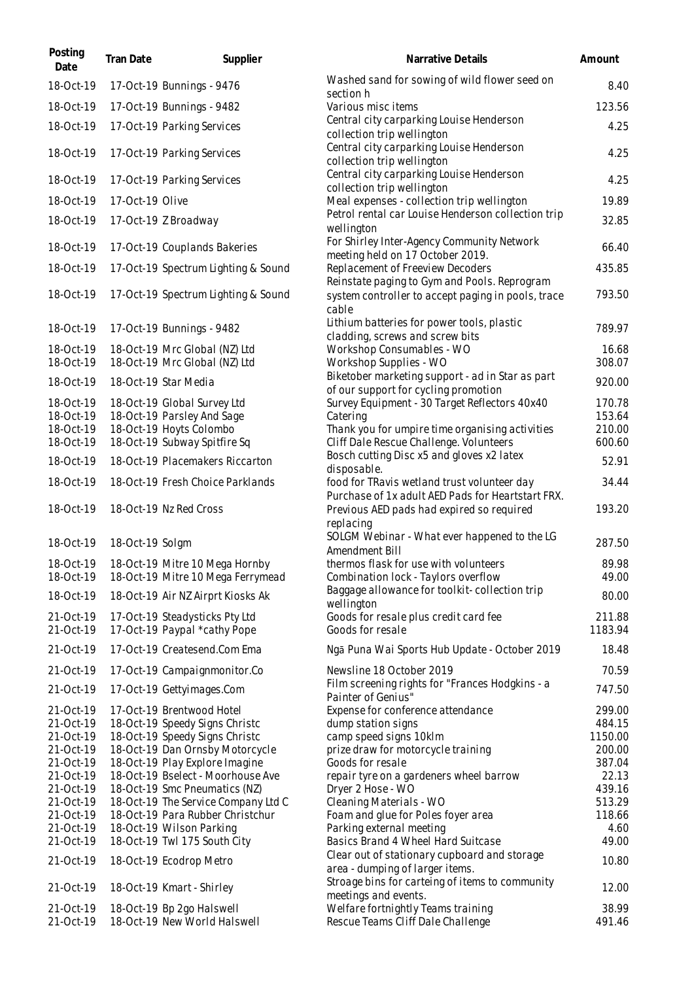| Posting<br>Date        | Tran Date       | Supplier                                                            | Narrative Details                                                                                | Amount            |
|------------------------|-----------------|---------------------------------------------------------------------|--------------------------------------------------------------------------------------------------|-------------------|
| 18-Oct-19              |                 | 17-Oct-19 Bunnings - 9476                                           | Washed sand for sowing of wild flower seed on<br>section h                                       | 8.40              |
| 18-Oct-19              |                 | 17-Oct-19 Bunnings - 9482                                           | Various misc items                                                                               | 123.56            |
| 18-Oct-19              |                 | 17-Oct-19 Parking Services                                          | Central city carparking Louise Henderson<br>collection trip wellington                           | 4.25              |
| 18-Oct-19              |                 | 17-Oct-19 Parking Services                                          | Central city carparking Louise Henderson<br>collection trip wellington                           | 4.25              |
| 18-Oct-19              |                 | 17-Oct-19 Parking Services                                          | Central city carparking Louise Henderson<br>collection trip wellington                           | 4.25              |
| 18-Oct-19              | 17-Oct-19 Olive |                                                                     | Meal expenses - collection trip wellington                                                       | 19.89             |
| 18-Oct-19              |                 | 17-Oct-19 Z Broadway                                                | Petrol rental car Louise Henderson collection trip<br>wellington                                 | 32.85             |
| 18-Oct-19              |                 | 17-Oct-19 Couplands Bakeries                                        | For Shirley Inter-Agency Community Network<br>meeting held on 17 October 2019.                   | 66.40             |
| 18-Oct-19              |                 | 17-Oct-19 Spectrum Lighting & Sound                                 | Replacement of Freeview Decoders<br>Reinstate paging to Gym and Pools. Reprogram                 | 435.85            |
| 18-Oct-19              |                 | 17-Oct-19 Spectrum Lighting & Sound                                 | system controller to accept paging in pools, trace<br>cable                                      | 793.50            |
| 18-Oct-19              |                 | 17-Oct-19 Bunnings - 9482                                           | Lithium batteries for power tools, plastic<br>cladding, screws and screw bits                    | 789.97            |
| 18-Oct-19<br>18-Oct-19 |                 | 18-Oct-19 Mrc Global (NZ) Ltd<br>18-Oct-19 Mrc Global (NZ) Ltd      | Workshop Consumables - WO<br>Workshop Supplies - WO                                              | 16.68<br>308.07   |
|                        |                 |                                                                     | Biketober marketing support - ad in Star as part                                                 | 920.00            |
| 18-Oct-19<br>18-Oct-19 |                 | 18-Oct-19 Star Media<br>18-Oct-19 Global Survey Ltd                 | of our support for cycling promotion<br>Survey Equipment - 30 Target Reflectors 40x40            | 170.78            |
| 18-Oct-19              |                 | 18-Oct-19 Parsley And Sage                                          | Catering                                                                                         | 153.64            |
| 18-Oct-19              |                 | 18-Oct-19 Hoyts Colombo                                             | Thank you for umpire time organising activities                                                  | 210.00            |
| 18-Oct-19              |                 | 18-Oct-19 Subway Spitfire Sq                                        | Cliff Dale Rescue Challenge. Volunteers<br>Bosch cutting Disc x5 and gloves x2 latex             | 600.60<br>52.91   |
| 18-Oct-19              |                 | 18-Oct-19 Placemakers Riccarton                                     | disposable.                                                                                      |                   |
| 18-Oct-19              |                 | 18-Oct-19 Fresh Choice Parklands                                    | food for TRavis wetland trust volunteer day<br>Purchase of 1x adult AED Pads for Heartstart FRX. | 34.44             |
| 18-Oct-19              |                 | 18-Oct-19 Nz Red Cross                                              | Previous AED pads had expired so required<br>replacing                                           | 193.20            |
| 18-Oct-19              | 18-Oct-19 Solgm |                                                                     | SOLGM Webinar - What ever happened to the LG<br>Amendment Bill                                   | 287.50            |
| 18-Oct-19<br>18-Oct-19 |                 | 18-Oct-19 Mitre 10 Mega Hornby<br>18-Oct-19 Mitre 10 Mega Ferrymead | thermos flask for use with volunteers<br>Combination lock - Taylors overflow                     | 89.98<br>49.00    |
| 18-Oct-19              |                 | 18-Oct-19 Air NZ Airprt Kiosks Ak                                   | Baggage allowance for toolkit-collection trip<br>wellington                                      | 80.00             |
| 21-Oct-19<br>21-Oct-19 |                 | 17-Oct-19 Steadysticks Pty Ltd<br>17-Oct-19 Paypal *cathy Pope      | Goods for resale plus credit card fee<br>Goods for resale                                        | 211.88<br>1183.94 |
| 21-Oct-19              |                 | 17-Oct-19 Createsend.Com Ema                                        | Ngā Puna Wai Sports Hub Update - October 2019                                                    | 18.48             |
| 21-Oct-19              |                 | 17-Oct-19 Campaignmonitor.Co                                        | Newsline 18 October 2019                                                                         | 70.59             |
| 21-Oct-19              |                 | 17-Oct-19 Gettyimages.Com                                           | Film screening rights for "Frances Hodgkins - a<br>Painter of Genius"                            | 747.50            |
| 21-Oct-19              |                 | 17-Oct-19 Brentwood Hotel                                           | Expense for conference attendance                                                                | 299.00            |
| 21-Oct-19              |                 | 18-Oct-19 Speedy Signs Christc                                      | dump station signs                                                                               | 484.15            |
| 21-Oct-19<br>21-Oct-19 |                 | 18-Oct-19 Speedy Signs Christc<br>18-Oct-19 Dan Ornsby Motorcycle   | camp speed signs 10klm<br>prize draw for motorcycle training                                     | 1150.00<br>200.00 |
| 21-Oct-19              |                 | 18-Oct-19 Play Explore Imagine                                      | Goods for resale                                                                                 | 387.04            |
| 21-Oct-19              |                 | 18-Oct-19 Bselect - Moorhouse Ave                                   | repair tyre on a gardeners wheel barrow                                                          | 22.13             |
| 21-Oct-19              |                 | 18-Oct-19 Smc Pneumatics (NZ)                                       | Dryer 2 Hose - WO                                                                                | 439.16            |
| 21-Oct-19              |                 | 18-Oct-19 The Service Company Ltd C                                 | Cleaning Materials - WO                                                                          | 513.29            |
| 21-Oct-19<br>21-Oct-19 |                 | 18-Oct-19 Para Rubber Christchur<br>18-Oct-19 Wilson Parking        | Foam and glue for Poles foyer area<br>Parking external meeting                                   | 118.66<br>4.60    |
| 21-Oct-19              |                 | 18-Oct-19 Twl 175 South City                                        | Basics Brand 4 Wheel Hard Suitcase                                                               | 49.00             |
| 21-Oct-19              |                 |                                                                     | Clear out of stationary cupboard and storage                                                     | 10.80             |
|                        |                 | 18-Oct-19 Ecodrop Metro                                             | area - dumping of larger items.<br>Stroage bins for carteing of items to community               |                   |
| 21-Oct-19              |                 | 18-Oct-19 Kmart - Shirley                                           | meetings and events.                                                                             | 12.00             |
| 21-Oct-19              |                 | 18-Oct-19 Bp 2go Halswell                                           | Welfare fortnightly Teams training                                                               | 38.99             |
| 21-Oct-19              |                 | 18-Oct-19 New World Halswell                                        | Rescue Teams Cliff Dale Challenge                                                                | 491.46            |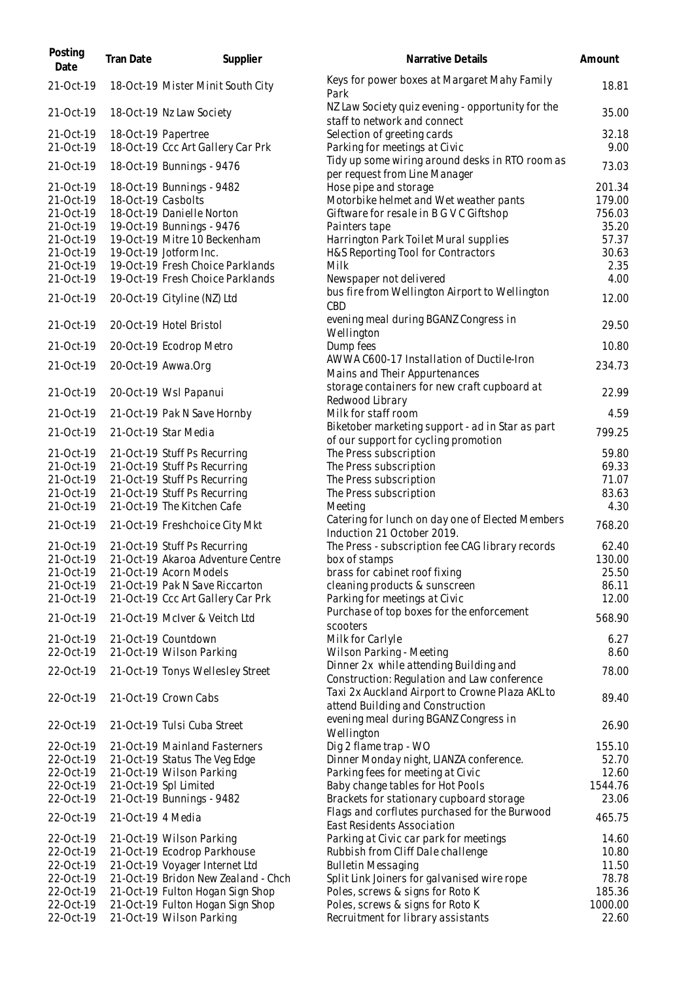| Posting<br>Date        | <b>Tran Date</b>   | Supplier                                                       | Narrative Details                                                                              | Amount            |
|------------------------|--------------------|----------------------------------------------------------------|------------------------------------------------------------------------------------------------|-------------------|
| 21-Oct-19              |                    | 18-Oct-19 Mister Minit South City                              | Keys for power boxes at Margaret Mahy Family<br>Park                                           | 18.81             |
| 21-Oct-19              |                    | 18-Oct-19 Nz Law Society                                       | NZ Law Society quiz evening - opportunity for the<br>staff to network and connect              | 35.00             |
| 21-Oct-19              |                    | 18-Oct-19 Papertree                                            | Selection of greeting cards                                                                    | 32.18             |
| 21-Oct-19              |                    | 18-Oct-19 Ccc Art Gallery Car Prk                              | Parking for meetings at Civic                                                                  | 9.00              |
| 21-Oct-19              |                    | 18-Oct-19 Bunnings - 9476                                      | Tidy up some wiring around desks in RTO room as<br>per request from Line Manager               | 73.03             |
| 21-Oct-19              |                    | 18-Oct-19 Bunnings - 9482                                      | Hose pipe and storage                                                                          | 201.34            |
| 21-Oct-19<br>21-Oct-19 | 18-Oct-19 Casbolts | 18-Oct-19 Danielle Norton                                      | Motorbike helmet and Wet weather pants<br>Giftware for resale in B G V C Giftshop              | 179.00<br>756.03  |
| 21-Oct-19              |                    | 19-Oct-19 Bunnings - 9476                                      | Painters tape                                                                                  | 35.20             |
| 21-Oct-19              |                    | 19-Oct-19 Mitre 10 Beckenham                                   | Harrington Park Toilet Mural supplies                                                          | 57.37             |
| 21-Oct-19              |                    | 19-Oct-19 Jotform Inc.                                         | H&S Reporting Tool for Contractors                                                             | 30.63             |
| 21-Oct-19              |                    | 19-Oct-19 Fresh Choice Parklands                               | Milk                                                                                           | 2.35              |
| 21-Oct-19              |                    | 19-Oct-19 Fresh Choice Parklands                               | Newspaper not delivered                                                                        | 4.00              |
| 21-Oct-19              |                    | 20-Oct-19 Cityline (NZ) Ltd                                    | bus fire from Wellington Airport to Wellington<br>CBD                                          | 12.00             |
| 21-Oct-19              |                    | 20-Oct-19 Hotel Bristol                                        | evening meal during BGANZ Congress in<br>Wellington                                            | 29.50             |
| 21-Oct-19              |                    | 20-Oct-19 Ecodrop Metro                                        | Dump fees                                                                                      | 10.80             |
| 21-Oct-19              |                    | 20-Oct-19 Awwa.Org                                             | AWWA C600-17 Installation of Ductile-Iron<br>Mains and Their Appurtenances                     | 234.73            |
| 21-Oct-19              |                    | 20-Oct-19 Wsl Papanui                                          | storage containers for new craft cupboard at<br>Redwood Library                                | 22.99             |
| 21-Oct-19              |                    | 21-Oct-19 Pak N Save Hornby                                    | Milk for staff room                                                                            | 4.59              |
| 21-Oct-19              |                    | 21-Oct-19 Star Media                                           | Biketober marketing support - ad in Star as part<br>of our support for cycling promotion       | 799.25            |
| 21-Oct-19              |                    | 21-Oct-19 Stuff Ps Recurring                                   | The Press subscription                                                                         | 59.80             |
| 21-Oct-19              |                    | 21-Oct-19 Stuff Ps Recurring                                   | The Press subscription                                                                         | 69.33             |
| 21-Oct-19              |                    | 21-Oct-19 Stuff Ps Recurring                                   | The Press subscription                                                                         | 71.07             |
| 21-Oct-19<br>21-Oct-19 |                    | 21-Oct-19 Stuff Ps Recurring<br>21-Oct-19 The Kitchen Cafe     | The Press subscription<br>Meeting                                                              | 83.63<br>4.30     |
| 21-Oct-19              |                    | 21-Oct-19 Freshchoice City Mkt                                 | Catering for lunch on day one of Elected Members<br>Induction 21 October 2019.                 | 768.20            |
| 21-Oct-19              |                    | 21-Oct-19 Stuff Ps Recurring                                   | The Press - subscription fee CAG library records                                               | 62.40             |
| 21-Oct-19              |                    | 21-Oct-19 Akaroa Adventure Centre                              | box of stamps                                                                                  | 130.00            |
| 21-Oct-19              |                    | 21-Oct-19 Acorn Models                                         | brass for cabinet roof fixing                                                                  | 25.50             |
| 21-Oct-19              |                    | 21-Oct-19 Pak N Save Riccarton                                 | cleaning products & sunscreen                                                                  | 86.11             |
| 21-Oct-19              |                    | 21-Oct-19 Ccc Art Gallery Car Prk                              | Parking for meetings at Civic                                                                  | 12.00             |
| 21-Oct-19              |                    | 21-Oct-19 McIver & Veitch Ltd                                  | Purchase of top boxes for the enforcement<br>scooters                                          | 568.90            |
| 21-Oct-19              |                    | 21-Oct-19 Countdown                                            | Milk for Carlyle                                                                               | 6.27              |
| 22-Oct-19              |                    | 21-Oct-19 Wilson Parking                                       | Wilson Parking - Meeting                                                                       | 8.60              |
| 22-Oct-19              |                    | 21-Oct-19 Tonys Wellesley Street                               | Dinner 2x while attending Building and                                                         | 78.00             |
| 22-Oct-19              |                    | 21-Oct-19 Crown Cabs                                           | Construction: Regulation and Law conference<br>Taxi 2x Auckland Airport to Crowne Plaza AKL to | 89.40             |
| 22-Oct-19              |                    | 21-Oct-19 Tulsi Cuba Street                                    | attend Building and Construction<br>evening meal during BGANZ Congress in                      | 26.90             |
|                        |                    |                                                                | Wellington                                                                                     |                   |
| 22-Oct-19<br>22-Oct-19 |                    | 21-Oct-19 Mainland Fasterners<br>21-Oct-19 Status The Veg Edge | Dig 2 flame trap - WO<br>Dinner Monday night, LIANZA conference.                               | 155.10<br>52.70   |
| 22-Oct-19              |                    | 21-Oct-19 Wilson Parking                                       | Parking fees for meeting at Civic                                                              | 12.60             |
| 22-Oct-19              |                    | 21-Oct-19 Spl Limited                                          | Baby change tables for Hot Pools                                                               | 1544.76           |
| 22-Oct-19              |                    | 21-Oct-19 Bunnings - 9482                                      | Brackets for stationary cupboard storage<br>Flags and corflutes purchased for the Burwood      | 23.06             |
| 22-Oct-19              | 21-Oct-19 4 Media  |                                                                | East Residents Association                                                                     | 465.75            |
| 22-Oct-19              |                    | 21-Oct-19 Wilson Parking                                       | Parking at Civic car park for meetings                                                         | 14.60             |
| 22-Oct-19              |                    | 21-Oct-19 Ecodrop Parkhouse                                    | Rubbish from Cliff Dale challenge                                                              | 10.80             |
| 22-Oct-19              |                    | 21-Oct-19 Voyager Internet Ltd                                 | <b>Bulletin Messaging</b>                                                                      | 11.50             |
| 22-Oct-19              |                    | 21-Oct-19 Bridon New Zealand - Chch                            | Split Link Joiners for galvanised wire rope                                                    | 78.78             |
| 22-Oct-19<br>22-Oct-19 |                    | 21-Oct-19 Fulton Hogan Sign Shop                               | Poles, screws & signs for Roto K                                                               | 185.36<br>1000.00 |
| 22-Oct-19              |                    | 21-Oct-19 Fulton Hogan Sign Shop<br>21-Oct-19 Wilson Parking   | Poles, screws & signs for Roto K<br>Recruitment for library assistants                         | 22.60             |
|                        |                    |                                                                |                                                                                                |                   |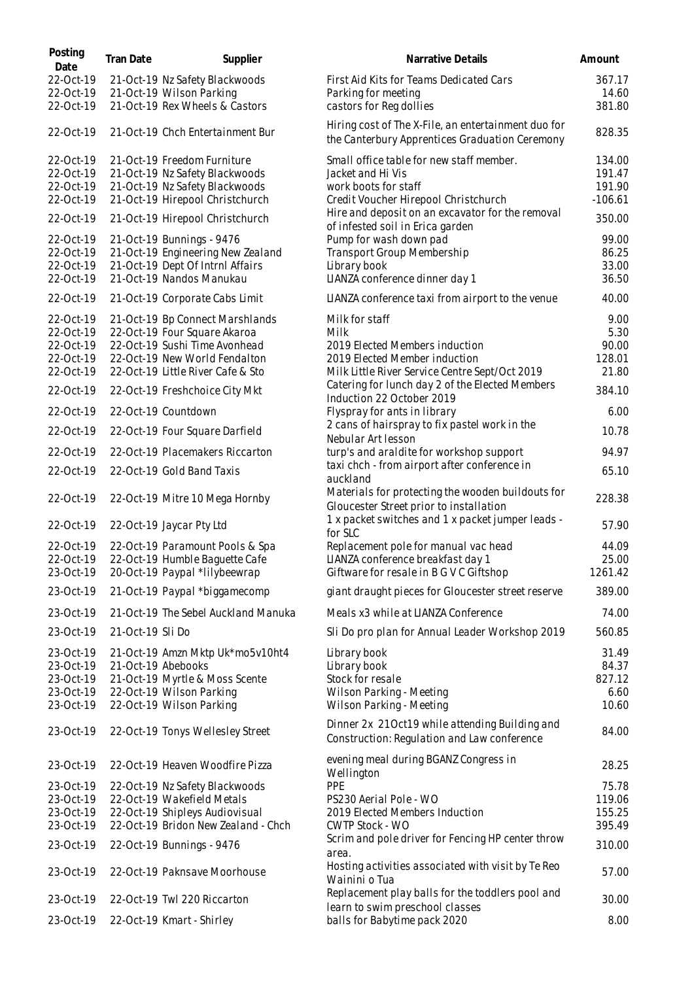| Posting<br>Date        | Tran Date        | Supplier                                                          | Narrative Details                                                                                        | Amount              |
|------------------------|------------------|-------------------------------------------------------------------|----------------------------------------------------------------------------------------------------------|---------------------|
| 22-Oct-19              |                  | 21-Oct-19 Nz Safety Blackwoods                                    | First Aid Kits for Teams Dedicated Cars                                                                  | 367.17              |
| 22-Oct-19              |                  | 21-Oct-19 Wilson Parking                                          | Parking for meeting                                                                                      | 14.60               |
| 22-Oct-19              |                  | 21-Oct-19 Rex Wheels & Castors                                    | castors for Reg dollies                                                                                  | 381.80              |
| 22-Oct-19              |                  | 21-Oct-19 Chch Entertainment Bur                                  | Hiring cost of The X-File, an entertainment duo for<br>the Canterbury Apprentices Graduation Ceremony    | 828.35              |
| 22-Oct-19              |                  | 21-Oct-19 Freedom Furniture                                       | Small office table for new staff member.                                                                 | 134.00              |
| 22-Oct-19              |                  | 21-Oct-19 Nz Safety Blackwoods                                    | Jacket and Hi Vis                                                                                        | 191.47              |
| 22-Oct-19<br>22-Oct-19 |                  | 21-Oct-19 Nz Safety Blackwoods<br>21-Oct-19 Hirepool Christchurch | work boots for staff<br>Credit Voucher Hirepool Christchurch                                             | 191.90<br>$-106.61$ |
|                        |                  |                                                                   | Hire and deposit on an excavator for the removal                                                         |                     |
| 22-Oct-19              |                  | 21-Oct-19 Hirepool Christchurch                                   | of infested soil in Erica garden                                                                         | 350.00              |
| 22-Oct-19              |                  | 21-Oct-19 Bunnings - 9476                                         | Pump for wash down pad                                                                                   | 99.00               |
| 22-Oct-19              |                  | 21-Oct-19 Engineering New Zealand                                 | Transport Group Membership                                                                               | 86.25               |
| 22-Oct-19<br>22-Oct-19 |                  | 21-Oct-19 Dept Of Intrnl Affairs<br>21-Oct-19 Nandos Manukau      | Library book<br>LIANZA conference dinner day 1                                                           | 33.00<br>36.50      |
| 22-Oct-19              |                  | 21-Oct-19 Corporate Cabs Limit                                    | LIANZA conference taxi from airport to the venue                                                         | 40.00               |
|                        |                  |                                                                   |                                                                                                          |                     |
| 22-Oct-19<br>22-Oct-19 |                  | 21-Oct-19 Bp Connect Marshlands<br>22-Oct-19 Four Square Akaroa   | Milk for staff<br>Milk                                                                                   | 9.00<br>5.30        |
| 22-Oct-19              |                  | 22-Oct-19 Sushi Time Avonhead                                     | 2019 Elected Members induction                                                                           | 90.00               |
| 22-Oct-19              |                  | 22-Oct-19 New World Fendalton                                     | 2019 Elected Member induction                                                                            | 128.01              |
| 22-Oct-19              |                  | 22-Oct-19 Little River Cafe & Sto                                 | Milk Little River Service Centre Sept/Oct 2019                                                           | 21.80               |
| 22-Oct-19              |                  | 22-Oct-19 Freshchoice City Mkt                                    | Catering for lunch day 2 of the Elected Members<br>Induction 22 October 2019                             | 384.10              |
| 22-Oct-19              |                  | 22-Oct-19 Countdown                                               | Flyspray for ants in library                                                                             | 6.00                |
| 22-Oct-19              |                  | 22-Oct-19 Four Square Darfield                                    | 2 cans of hairspray to fix pastel work in the<br>Nebular Art lesson                                      | 10.78               |
| 22-Oct-19              |                  | 22-Oct-19 Placemakers Riccarton                                   | turp's and araldite for workshop support                                                                 | 94.97               |
| 22-Oct-19              |                  | 22-Oct-19 Gold Band Taxis                                         | taxi chch - from airport after conference in                                                             | 65.10               |
| 22-Oct-19              |                  | 22-Oct-19 Mitre 10 Mega Hornby                                    | auckland<br>Materials for protecting the wooden buildouts for<br>Gloucester Street prior to installation | 228.38              |
| 22-Oct-19              |                  | 22-Oct-19 Jaycar Pty Ltd                                          | 1 x packet switches and 1 x packet jumper leads -<br>for SLC                                             | 57.90               |
| 22-Oct-19              |                  | 22-Oct-19 Paramount Pools & Spa                                   | Replacement pole for manual vac head                                                                     | 44.09               |
| 22-Oct-19              |                  | 22-Oct-19 Humble Baguette Cafe                                    | LIANZA conference breakfast day 1                                                                        | 25.00               |
| 23-Oct-19              |                  | 20-Oct-19 Paypal *lilybeewrap                                     | Giftware for resale in B G V C Giftshop                                                                  | 1261.42             |
| 23-Oct-19              |                  | 21-Oct-19 Paypal *biggamecomp                                     | giant draught pieces for Gloucester street reserve                                                       | 389.00              |
| 23-Oct-19              |                  | 21-Oct-19 The Sebel Auckland Manuka                               | Meals x3 while at LIANZA Conference                                                                      | 74.00               |
| 23-Oct-19              | 21-Oct-19 Sli Do |                                                                   | Sli Do pro plan for Annual Leader Workshop 2019                                                          | 560.85              |
| 23-Oct-19              |                  | 21-Oct-19 Amzn Mktp Uk*mo5v10ht4                                  | Library book                                                                                             | 31.49               |
| 23-Oct-19              |                  | 21-Oct-19 Abebooks                                                | Library book<br>Stock for resale                                                                         | 84.37               |
| 23-Oct-19<br>23-Oct-19 |                  | 21-Oct-19 Myrtle & Moss Scente<br>22-Oct-19 Wilson Parking        | Wilson Parking - Meeting                                                                                 | 827.12<br>6.60      |
| 23-Oct-19              |                  | 22-Oct-19 Wilson Parking                                          | Wilson Parking - Meeting                                                                                 | 10.60               |
| 23-Oct-19              |                  | 22-Oct-19 Tonys Wellesley Street                                  | Dinner 2x 21Oct19 while attending Building and<br>Construction: Regulation and Law conference            | 84.00               |
| 23-Oct-19              |                  | 22-Oct-19 Heaven Woodfire Pizza                                   | evening meal during BGANZ Congress in<br>Wellington                                                      | 28.25               |
| 23-Oct-19              |                  | 22-Oct-19 Nz Safety Blackwoods                                    | PPE                                                                                                      | 75.78               |
| 23-Oct-19              |                  | 22-Oct-19 Wakefield Metals                                        | PS230 Aerial Pole - WO                                                                                   | 119.06              |
| 23-Oct-19              |                  | 22-Oct-19 Shipleys Audiovisual                                    | 2019 Elected Members Induction                                                                           | 155.25              |
| 23-Oct-19              |                  | 22-Oct-19 Bridon New Zealand - Chch                               | CWTP Stock - WO<br>Scrim and pole driver for Fencing HP center throw                                     | 395.49              |
| 23-Oct-19              |                  | 22-Oct-19 Bunnings - 9476                                         | area.                                                                                                    | 310.00              |
| 23-Oct-19              |                  | 22-Oct-19 Paknsave Moorhouse                                      | Hosting activities associated with visit by Te Reo<br>Wainini o Tua                                      | 57.00               |
| 23-Oct-19              |                  | 22-Oct-19 Twl 220 Riccarton                                       | Replacement play balls for the toddlers pool and<br>learn to swim preschool classes                      | 30.00               |
| 23-Oct-19              |                  | 22-Oct-19 Kmart - Shirley                                         | balls for Babytime pack 2020                                                                             | 8.00                |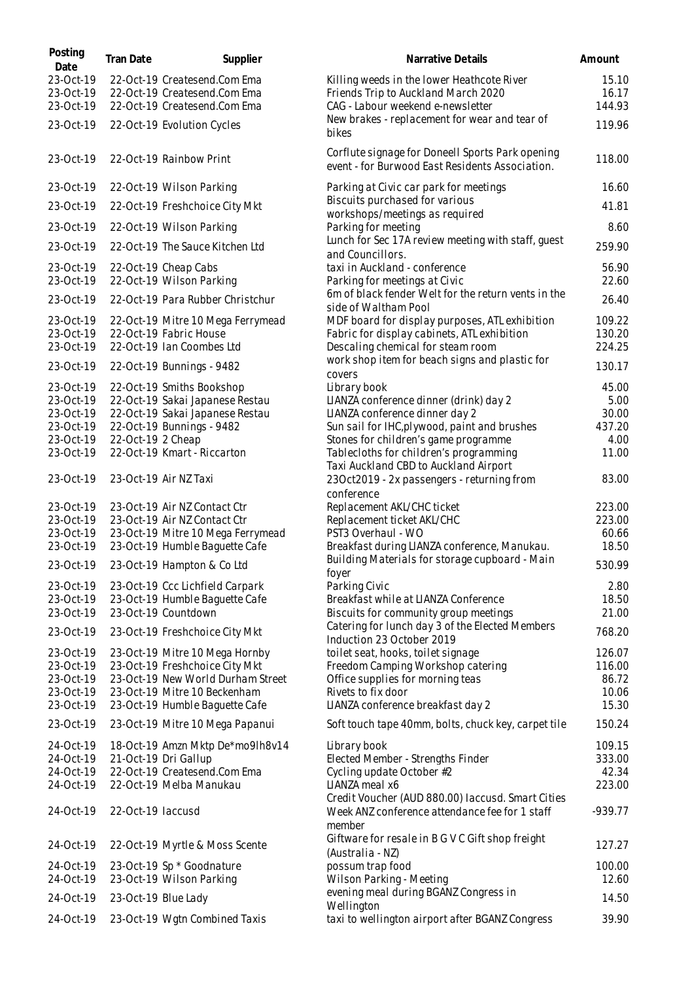| Posting<br>Date                     | Tran Date           | Supplier                                                                                     | Narrative Details                                                                                                      | Amount                   |
|-------------------------------------|---------------------|----------------------------------------------------------------------------------------------|------------------------------------------------------------------------------------------------------------------------|--------------------------|
| 23-Oct-19<br>23-Oct-19<br>23-Oct-19 |                     | 22-Oct-19 Createsend.Com Ema<br>22-Oct-19 Createsend.Com Ema<br>22-Oct-19 Createsend.Com Ema | Killing weeds in the lower Heathcote River<br>Friends Trip to Auckland March 2020<br>CAG - Labour weekend e-newsletter | 15.10<br>16.17<br>144.93 |
| 23-Oct-19                           |                     | 22-Oct-19 Evolution Cycles                                                                   | New brakes - replacement for wear and tear of<br>bikes                                                                 | 119.96                   |
| 23-Oct-19                           |                     | 22-Oct-19 Rainbow Print                                                                      | Corflute signage for Doneell Sports Park opening<br>event - for Burwood East Residents Association.                    | 118.00                   |
| 23-Oct-19                           |                     | 22-Oct-19 Wilson Parking                                                                     | Parking at Civic car park for meetings                                                                                 | 16.60                    |
| 23-Oct-19                           |                     | 22-Oct-19 Freshchoice City Mkt                                                               | Biscuits purchased for various<br>workshops/meetings as required                                                       | 41.81                    |
| 23-Oct-19                           |                     | 22-Oct-19 Wilson Parking                                                                     | Parking for meeting                                                                                                    | 8.60                     |
| 23-Oct-19                           |                     | 22-Oct-19 The Sauce Kitchen Ltd                                                              | Lunch for Sec 17A review meeting with staff, guest<br>and Councillors.                                                 | 259.90                   |
| 23-Oct-19<br>23-Oct-19              |                     | 22-Oct-19 Cheap Cabs<br>22-Oct-19 Wilson Parking                                             | taxi in Auckland - conference<br>Parking for meetings at Civic                                                         | 56.90<br>22.60           |
| 23-Oct-19                           |                     | 22-Oct-19 Para Rubber Christchur                                                             | 6m of black fender Welt for the return vents in the<br>side of Waltham Pool                                            | 26.40                    |
| 23-Oct-19<br>23-Oct-19              |                     | 22-Oct-19 Mitre 10 Mega Ferrymead<br>22-Oct-19 Fabric House                                  | MDF board for display purposes, ATL exhibition<br>Fabric for display cabinets, ATL exhibition                          | 109.22<br>130.20         |
| 23-Oct-19                           |                     | 22-Oct-19 Ian Coombes Ltd                                                                    | Descaling chemical for steam room                                                                                      | 224.25                   |
| 23-Oct-19                           |                     | 22-Oct-19 Bunnings - 9482                                                                    | work shop item for beach signs and plastic for<br>covers                                                               | 130.17                   |
| 23-Oct-19                           |                     | 22-Oct-19 Smiths Bookshop                                                                    | Library book                                                                                                           | 45.00                    |
| 23-Oct-19                           |                     | 22-Oct-19 Sakai Japanese Restau                                                              | LIANZA conference dinner (drink) day 2                                                                                 | 5.00                     |
| 23-Oct-19                           |                     | 22-Oct-19 Sakai Japanese Restau                                                              | LIANZA conference dinner day 2                                                                                         | 30.00                    |
| 23-Oct-19                           |                     | 22-Oct-19 Bunnings - 9482                                                                    | Sun sail for IHC, plywood, paint and brushes                                                                           | 437.20                   |
| 23-Oct-19<br>23-Oct-19              | 22-Oct-19 2 Cheap   | 22-Oct-19 Kmart - Riccarton                                                                  | Stones for children's game programme<br>Tablecloths for children's programming                                         | 4.00<br>11.00            |
| 23-Oct-19                           |                     | 23-Oct-19 Air NZ Taxi                                                                        | Taxi Auckland CBD to Auckland Airport<br>23Oct2019 - 2x passengers - returning from                                    | 83.00                    |
| 23-Oct-19                           |                     | 23-Oct-19 Air NZ Contact Ctr                                                                 | conference<br>Replacement AKL/CHC ticket                                                                               | 223.00                   |
| 23-Oct-19                           |                     | 23-Oct-19 Air NZ Contact Ctr                                                                 | Replacement ticket AKL/CHC                                                                                             | 223.00                   |
| 23-Oct-19                           |                     | 23-Oct-19 Mitre 10 Mega Ferrymead                                                            | PST3 Overhaul - WO                                                                                                     | 60.66                    |
| 23-Oct-19                           |                     | 23-Oct-19 Humble Baquette Cafe                                                               | Breakfast during LIANZA conference, Manukau.                                                                           | 18.50                    |
| 23-Oct-19                           |                     | 23-Oct-19 Hampton & Co Ltd                                                                   | Building Materials for storage cupboard - Main<br>foyer                                                                | 530.99                   |
| 23-Oct-19                           |                     | 23-Oct-19 Ccc Lichfield Carpark                                                              | Parking Civic                                                                                                          | 2.80                     |
| 23-Oct-19                           |                     | 23-Oct-19 Humble Baguette Cafe                                                               | Breakfast while at LIANZA Conference                                                                                   | 18.50                    |
| 23-Oct-19                           |                     | 23-Oct-19 Countdown                                                                          | Biscuits for community group meetings<br>Catering for lunch day 3 of the Elected Members                               | 21.00                    |
| 23-Oct-19                           |                     | 23-Oct-19 Freshchoice City Mkt                                                               | Induction 23 October 2019                                                                                              | 768.20                   |
| 23-Oct-19<br>23-Oct-19              |                     | 23-Oct-19 Mitre 10 Mega Hornby<br>23-Oct-19 Freshchoice City Mkt                             | toilet seat, hooks, toilet signage                                                                                     | 126.07                   |
| 23-Oct-19                           |                     | 23-Oct-19 New World Durham Street                                                            | Freedom Camping Workshop catering<br>Office supplies for morning teas                                                  | 116.00<br>86.72          |
| 23-Oct-19                           |                     | 23-Oct-19 Mitre 10 Beckenham                                                                 | Rivets to fix door                                                                                                     | 10.06                    |
| 23-Oct-19                           |                     | 23-Oct-19 Humble Baguette Cafe                                                               | LIANZA conference breakfast day 2                                                                                      | 15.30                    |
| 23-Oct-19                           |                     | 23-Oct-19 Mitre 10 Mega Papanui                                                              | Soft touch tape 40mm, bolts, chuck key, carpet tile                                                                    | 150.24                   |
| 24-Oct-19                           |                     | 18-Oct-19 Amzn Mktp De*mo9lh8v14                                                             | Library book                                                                                                           | 109.15                   |
| 24-Oct-19                           |                     | 21-Oct-19 Dri Gallup                                                                         | Elected Member - Strengths Finder                                                                                      | 333.00                   |
| 24-Oct-19                           |                     | 22-Oct-19 Createsend.Com Ema                                                                 | Cycling update October #2                                                                                              | 42.34                    |
| 24-Oct-19                           |                     | 22-Oct-19 Melba Manukau                                                                      | LIANZA meal x6<br>Credit Voucher (AUD 880.00) laccusd. Smart Cities                                                    | 223.00                   |
| 24-Oct-19                           | 22-Oct-19 laccusd   |                                                                                              | Week ANZ conference attendance fee for 1 staff<br>member                                                               | $-939.77$                |
| 24-Oct-19                           |                     | 22-Oct-19 Myrtle & Moss Scente                                                               | Giftware for resale in B G V C Gift shop freight<br>(Australia - NZ)                                                   | 127.27                   |
| 24-Oct-19                           |                     | 23-Oct-19 Sp * Goodnature                                                                    | possum trap food                                                                                                       | 100.00                   |
| 24-Oct-19                           |                     | 23-Oct-19 Wilson Parking                                                                     | Wilson Parking - Meeting                                                                                               | 12.60                    |
| 24-Oct-19                           | 23-Oct-19 Blue Lady |                                                                                              | evening meal during BGANZ Congress in                                                                                  | 14.50                    |
| 24-Oct-19                           |                     | 23-Oct-19 Wgtn Combined Taxis                                                                | Wellington<br>taxi to wellington airport after BGANZ Congress                                                          | 39.90                    |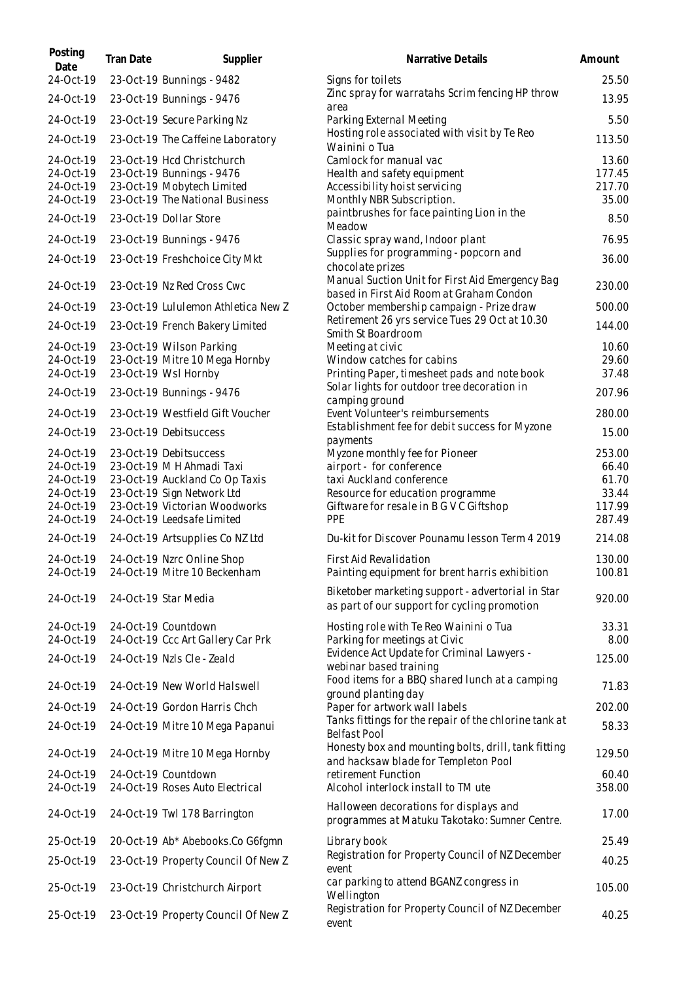| Posting<br>Date        | Tran Date | Supplier                                                    | Narrative Details                                                                                 | Amount           |
|------------------------|-----------|-------------------------------------------------------------|---------------------------------------------------------------------------------------------------|------------------|
| 24-Oct-19              |           | 23-Oct-19 Bunnings - 9482                                   | Signs for toilets                                                                                 | 25.50            |
| 24-Oct-19              |           | 23-Oct-19 Bunnings - 9476                                   | Zinc spray for warratahs Scrim fencing HP throw<br>area                                           | 13.95            |
| 24-Oct-19              |           | 23-Oct-19 Secure Parking Nz                                 | Parking External Meeting                                                                          | 5.50             |
| 24-Oct-19              |           | 23-Oct-19 The Caffeine Laboratory                           | Hosting role associated with visit by Te Reo<br>Wainini o Tua                                     | 113.50           |
| 24-Oct-19              |           | 23-Oct-19 Hcd Christchurch                                  | Camlock for manual vac                                                                            | 13.60            |
| 24-Oct-19<br>24-Oct-19 |           | 23-Oct-19 Bunnings - 9476<br>23-Oct-19 Mobytech Limited     | Health and safety equipment<br>Accessibility hoist servicing                                      | 177.45<br>217.70 |
| 24-Oct-19              |           | 23-Oct-19 The National Business                             | Monthly NBR Subscription.                                                                         | 35.00            |
| 24-Oct-19              |           | 23-Oct-19 Dollar Store                                      | paintbrushes for face painting Lion in the                                                        | 8.50             |
| 24-Oct-19              |           | 23-Oct-19 Bunnings - 9476                                   | Meadow<br>Classic spray wand, Indoor plant                                                        | 76.95            |
| 24-Oct-19              |           | 23-Oct-19 Freshchoice City Mkt                              | Supplies for programming - popcorn and<br>chocolate prizes                                        | 36.00            |
| 24-Oct-19              |           | 23-Oct-19 Nz Red Cross Cwc                                  | Manual Suction Unit for First Aid Emergency Bag<br>based in First Aid Room at Graham Condon       | 230.00           |
| 24-Oct-19              |           | 23-Oct-19 Lululemon Athletica New Z                         | October membership campaign - Prize draw                                                          | 500.00           |
| 24-Oct-19              |           | 23-Oct-19 French Bakery Limited                             | Retirement 26 yrs service Tues 29 Oct at 10.30<br>Smith St Boardroom                              | 144.00           |
| 24-Oct-19              |           | 23-Oct-19 Wilson Parking                                    | Meeting at civic                                                                                  | 10.60            |
| 24-Oct-19              |           | 23-Oct-19 Mitre 10 Mega Hornby                              | Window catches for cabins                                                                         | 29.60            |
| 24-Oct-19              |           | 23-Oct-19 Wsl Hornby                                        | Printing Paper, timesheet pads and note book<br>Solar lights for outdoor tree decoration in       | 37.48            |
| 24-Oct-19              |           | 23-Oct-19 Bunnings - 9476                                   | camping ground                                                                                    | 207.96           |
| 24-Oct-19              |           | 23-Oct-19 Westfield Gift Voucher                            | Event Volunteer's reimbursements<br>Establishment fee for debit success for Myzone                | 280.00           |
| 24-Oct-19              |           | 23-Oct-19 Debitsuccess                                      | payments                                                                                          | 15.00            |
| 24-Oct-19              |           | 23-Oct-19 Debitsuccess                                      | Myzone monthly fee for Pioneer                                                                    | 253.00           |
| 24-Oct-19<br>24-Oct-19 |           | 23-Oct-19 M H Ahmadi Taxi<br>23-Oct-19 Auckland Co Op Taxis | airport - for conference<br>taxi Auckland conference                                              | 66.40<br>61.70   |
| 24-Oct-19              |           | 23-Oct-19 Sign Network Ltd                                  | Resource for education programme                                                                  | 33.44            |
| 24-Oct-19              |           | 23-Oct-19 Victorian Woodworks                               | Giftware for resale in B G V C Giftshop                                                           | 117.99           |
| 24-Oct-19              |           | 24-Oct-19 Leedsafe Limited                                  | PPE                                                                                               | 287.49           |
| 24-Oct-19              |           | 24-Oct-19 Artsupplies Co NZ Ltd                             | Du-kit for Discover Pounamu lesson Term 4 2019                                                    | 214.08           |
| 24-Oct-19<br>24-Oct-19 |           | 24-Oct-19 Nzrc Online Shop<br>24-Oct-19 Mitre 10 Beckenham  | First Aid Revalidation<br>Painting equipment for brent harris exhibition                          | 130.00<br>100.81 |
| 24-Oct-19              |           | 24-Oct-19 Star Media                                        | Biketober marketing support - advertorial in Star<br>as part of our support for cycling promotion | 920.00           |
| 24-Oct-19              |           | 24-Oct-19 Countdown                                         | Hosting role with Te Reo Wainini o Tua                                                            | 33.31            |
| 24-Oct-19              |           | 24-Oct-19 Ccc Art Gallery Car Prk                           | Parking for meetings at Civic<br>Evidence Act Update for Criminal Lawyers -                       | 8.00             |
| 24-Oct-19              |           | 24-Oct-19 Nzls Cle - Zeald                                  | webinar based training                                                                            | 125.00           |
| 24-Oct-19              |           | 24-Oct-19 New World Halswell                                | Food items for a BBQ shared lunch at a camping<br>ground planting day                             | 71.83            |
| 24-Oct-19              |           | 24-Oct-19 Gordon Harris Chch                                | Paper for artwork wall labels                                                                     | 202.00           |
| 24-Oct-19              |           | 24-Oct-19 Mitre 10 Mega Papanui                             | Tanks fittings for the repair of the chlorine tank at<br><b>Belfast Pool</b>                      | 58.33            |
| 24-Oct-19              |           | 24-Oct-19 Mitre 10 Mega Hornby                              | Honesty box and mounting bolts, drill, tank fitting<br>and hacksaw blade for Templeton Pool       | 129.50           |
| 24-Oct-19              |           | 24-Oct-19 Countdown                                         | retirement Function                                                                               | 60.40            |
| 24-Oct-19              |           | 24-Oct-19 Roses Auto Electrical                             | Alcohol interlock install to TM ute                                                               | 358.00           |
| 24-Oct-19              |           | 24-Oct-19 Twl 178 Barrington                                | Halloween decorations for displays and<br>programmes at Matuku Takotako: Sumner Centre.           | 17.00            |
| 25-Oct-19              |           | 20-Oct-19 Ab* Abebooks.Co G6fgmn                            | Library book                                                                                      | 25.49            |
| 25-Oct-19              |           | 23-Oct-19 Property Council Of New Z                         | Registration for Property Council of NZ December<br>event                                         | 40.25            |
| 25-Oct-19              |           | 23-Oct-19 Christchurch Airport                              | car parking to attend BGANZ congress in<br>Wellington                                             | 105.00           |
| 25-Oct-19              |           | 23-Oct-19 Property Council Of New Z                         | Registration for Property Council of NZ December<br>event                                         | 40.25            |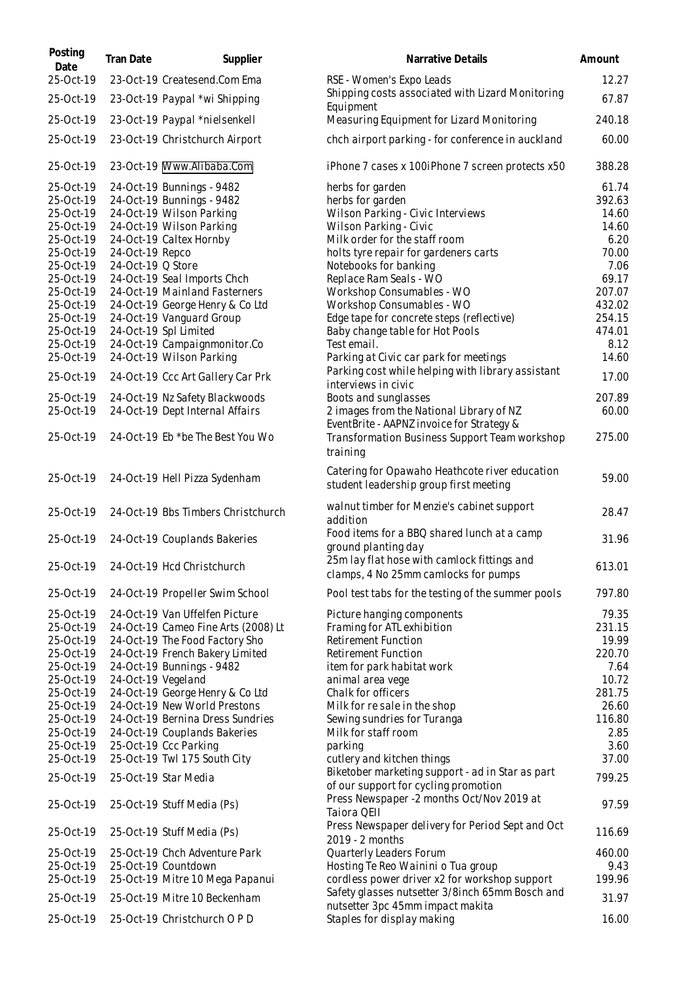| Posting<br>Date        | Tran Date          | Supplier                                                     | Narrative Details                                                                                      | Amount        |
|------------------------|--------------------|--------------------------------------------------------------|--------------------------------------------------------------------------------------------------------|---------------|
| 25-Oct-19              |                    | 23-Oct-19 Createsend.Com Ema                                 | RSE - Women's Expo Leads                                                                               | 12.27         |
| 25-Oct-19              |                    | 23-Oct-19 Paypal *wi Shipping                                | Shipping costs associated with Lizard Monitoring<br>Equipment                                          | 67.87         |
| 25-Oct-19              |                    | 23-Oct-19 Paypal *nielsenkell                                | Measuring Equipment for Lizard Monitoring                                                              | 240.18        |
| 25-Oct-19              |                    | 23-Oct-19 Christchurch Airport                               | chch airport parking - for conference in auckland                                                      | 60.00         |
| 25-Oct-19              |                    | 23-Oct-19 Www.Alibaba.Com                                    | iPhone 7 cases x 100iPhone 7 screen protects x50                                                       | 388.28        |
| 25-Oct-19              |                    | 24-Oct-19 Bunnings - 9482                                    | herbs for garden                                                                                       | 61.74         |
| 25-Oct-19              |                    | 24-Oct-19 Bunnings - 9482                                    | herbs for garden                                                                                       | 392.63        |
| 25-Oct-19              |                    | 24-Oct-19 Wilson Parking                                     | Wilson Parking - Civic Interviews                                                                      | 14.60         |
| 25-Oct-19              |                    | 24-Oct-19 Wilson Parking                                     | Wilson Parking - Civic                                                                                 | 14.60         |
| 25-Oct-19<br>25-Oct-19 | 24-Oct-19 Repco    | 24-Oct-19 Caltex Hornby                                      | Milk order for the staff room<br>holts tyre repair for gardeners carts                                 | 6.20<br>70.00 |
| 25-Oct-19              | 24-Oct-19 Q Store  |                                                              | Notebooks for banking                                                                                  | 7.06          |
| 25-Oct-19              |                    | 24-Oct-19 Seal Imports Chch                                  | Replace Ram Seals - WO                                                                                 | 69.17         |
| 25-Oct-19              |                    | 24-Oct-19 Mainland Fasterners                                | Workshop Consumables - WO                                                                              | 207.07        |
| 25-Oct-19              |                    | 24-Oct-19 George Henry & Co Ltd                              | Workshop Consumables - WO                                                                              | 432.02        |
| 25-Oct-19              |                    | 24-Oct-19 Vanguard Group                                     | Edge tape for concrete steps (reflective)                                                              | 254.15        |
| 25-Oct-19              |                    | 24-Oct-19 Spl Limited                                        | Baby change table for Hot Pools                                                                        | 474.01        |
| 25-Oct-19              |                    | 24-Oct-19 Campaignmonitor.Co                                 | Test email.                                                                                            | 8.12          |
| 25-Oct-19              |                    | 24-Oct-19 Wilson Parking                                     | Parking at Civic car park for meetings                                                                 | 14.60         |
| 25-Oct-19              |                    | 24-Oct-19 Ccc Art Gallery Car Prk                            | Parking cost while helping with library assistant<br>interviews in civic                               | 17.00         |
| 25-Oct-19              |                    | 24-Oct-19 Nz Safety Blackwoods                               | Boots and sunglasses                                                                                   | 207.89        |
| 25-Oct-19              |                    | 24-Oct-19 Dept Internal Affairs                              | 2 images from the National Library of NZ                                                               | 60.00         |
| 25-Oct-19              |                    | 24-Oct-19 Eb *be The Best You Wo                             | EventBrite - AAPNZ invoice for Strategy &<br>Transformation Business Support Team workshop<br>training | 275.00        |
| 25-Oct-19              |                    | 24-Oct-19 Hell Pizza Sydenham                                | Catering for Opawaho Heathcote river education<br>student leadership group first meeting               | 59.00         |
| 25-Oct-19              |                    | 24-Oct-19 Bbs Timbers Christchurch                           | walnut timber for Menzie's cabinet support<br>addition                                                 | 28.47         |
| 25-Oct-19              |                    | 24-Oct-19 Couplands Bakeries                                 | Food items for a BBQ shared lunch at a camp<br>ground planting day                                     | 31.96         |
|                        |                    | 25-Oct-19 24-Oct-19 Hcd Christchurch                         | 25m lay flat hose with camlock fittings and<br>clamps, 4 No 25mm camlocks for pumps                    | 613.01        |
| 25-Oct-19              |                    | 24-Oct-19 Propeller Swim School                              | Pool test tabs for the testing of the summer pools                                                     | 797.80        |
| 25-Oct-19              |                    | 24-Oct-19 Van Uffelfen Picture                               | Picture hanging components                                                                             | 79.35         |
| 25-Oct-19              |                    | 24-Oct-19 Cameo Fine Arts (2008) Lt                          | Framing for ATL exhibition                                                                             | 231.15        |
| 25-Oct-19              |                    | 24-Oct-19 The Food Factory Sho                               | Retirement Function                                                                                    | 19.99         |
| 25-Oct-19<br>25-Oct-19 |                    | 24-Oct-19 French Bakery Limited<br>24-Oct-19 Bunnings - 9482 | Retirement Function                                                                                    | 220.70        |
| 25-Oct-19              | 24-Oct-19 Vegeland |                                                              | item for park habitat work<br>animal area vege                                                         | 7.64<br>10.72 |
| 25-Oct-19              |                    | 24-Oct-19 George Henry & Co Ltd                              | Chalk for officers                                                                                     | 281.75        |
| 25-Oct-19              |                    | 24-Oct-19 New World Prestons                                 | Milk for resale in the shop                                                                            | 26.60         |
| 25-Oct-19              |                    | 24-Oct-19 Bernina Dress Sundries                             | Sewing sundries for Turanga                                                                            | 116.80        |
| 25-Oct-19              |                    | 24-Oct-19 Couplands Bakeries                                 | Milk for staff room                                                                                    | 2.85          |
| 25-Oct-19              |                    | 25-Oct-19 Ccc Parking                                        | parking                                                                                                | 3.60          |
| 25-Oct-19              |                    | 25-Oct-19 Twl 175 South City                                 | cutlery and kitchen things                                                                             | 37.00         |
| 25-Oct-19              |                    | 25-Oct-19 Star Media                                         | Biketober marketing support - ad in Star as part<br>of our support for cycling promotion               | 799.25        |
| 25-Oct-19              |                    | 25-Oct-19 Stuff Media (Ps)                                   | Press Newspaper -2 months Oct/Nov 2019 at<br>Taiora QEII                                               | 97.59         |
| 25-Oct-19              |                    | 25-Oct-19 Stuff Media (Ps)                                   | Press Newspaper delivery for Period Sept and Oct<br>2019 - 2 months                                    | 116.69        |
| 25-Oct-19              |                    | 25-Oct-19 Chch Adventure Park                                | Quarterly Leaders Forum                                                                                | 460.00        |
| 25-Oct-19              |                    | 25-Oct-19 Countdown                                          | Hosting Te Reo Wainini o Tua group                                                                     | 9.43          |
| 25-Oct-19              |                    | 25-Oct-19 Mitre 10 Mega Papanui                              | cordless power driver x2 for workshop support                                                          | 199.96        |
| 25-Oct-19              |                    | 25-Oct-19 Mitre 10 Beckenham                                 | Safety glasses nutsetter 3/8inch 65mm Bosch and<br>nutsetter 3pc 45mm impact makita                    | 31.97         |
| 25-Oct-19              |                    | 25-Oct-19 Christchurch O P D                                 | Staples for display making                                                                             | 16.00         |